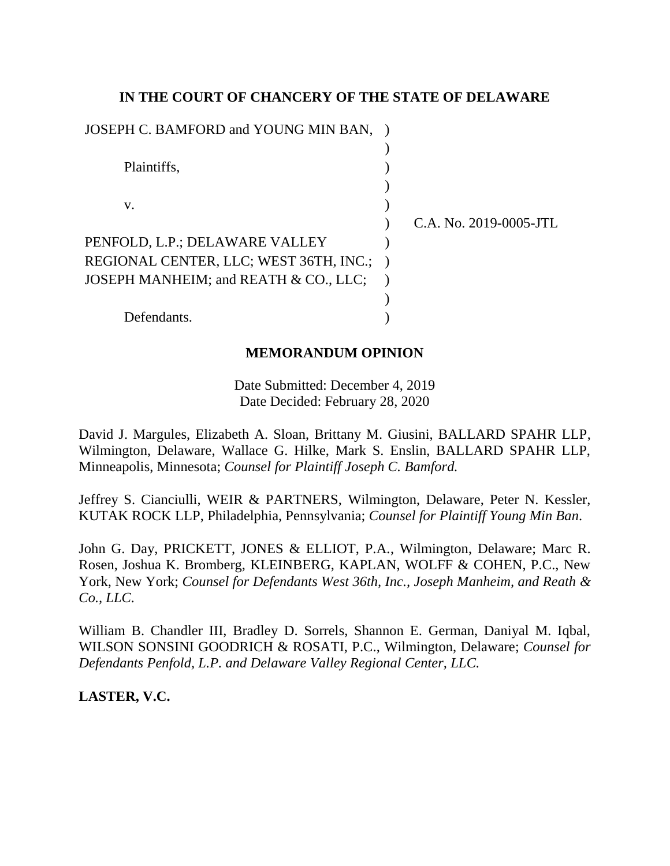## **IN THE COURT OF CHANCERY OF THE STATE OF DELAWARE**

| JOSEPH C. BAMFORD and YOUNG MIN BAN, ) |                        |
|----------------------------------------|------------------------|
|                                        |                        |
| Plaintiffs,                            |                        |
|                                        |                        |
| V.                                     |                        |
|                                        | C.A. No. 2019-0005-JTL |
| PENFOLD, L.P.; DELAWARE VALLEY         |                        |
| REGIONAL CENTER, LLC; WEST 36TH, INC.; |                        |
| JOSEPH MANHEIM; and REATH & CO., LLC;  |                        |
|                                        |                        |
| Defendants.                            |                        |
|                                        |                        |

## **MEMORANDUM OPINION**

Date Submitted: December 4, 2019 Date Decided: February 28, 2020

David J. Margules, Elizabeth A. Sloan, Brittany M. Giusini, BALLARD SPAHR LLP, Wilmington, Delaware, Wallace G. Hilke, Mark S. Enslin, BALLARD SPAHR LLP, Minneapolis, Minnesota; *Counsel for Plaintiff Joseph C. Bamford.*

Jeffrey S. Cianciulli, WEIR & PARTNERS, Wilmington, Delaware, Peter N. Kessler, KUTAK ROCK LLP, Philadelphia, Pennsylvania; *Counsel for Plaintiff Young Min Ban*.

John G. Day, PRICKETT, JONES & ELLIOT, P.A., Wilmington, Delaware; Marc R. Rosen, Joshua K. Bromberg, KLEINBERG, KAPLAN, WOLFF & COHEN, P.C., New York, New York; *Counsel for Defendants West 36th, Inc., Joseph Manheim, and Reath & Co., LLC.* 

William B. Chandler III, Bradley D. Sorrels, Shannon E. German, Daniyal M. Iqbal, WILSON SONSINI GOODRICH & ROSATI, P.C., Wilmington, Delaware; *Counsel for Defendants Penfold, L.P. and Delaware Valley Regional Center, LLC.* 

**LASTER, V.C.**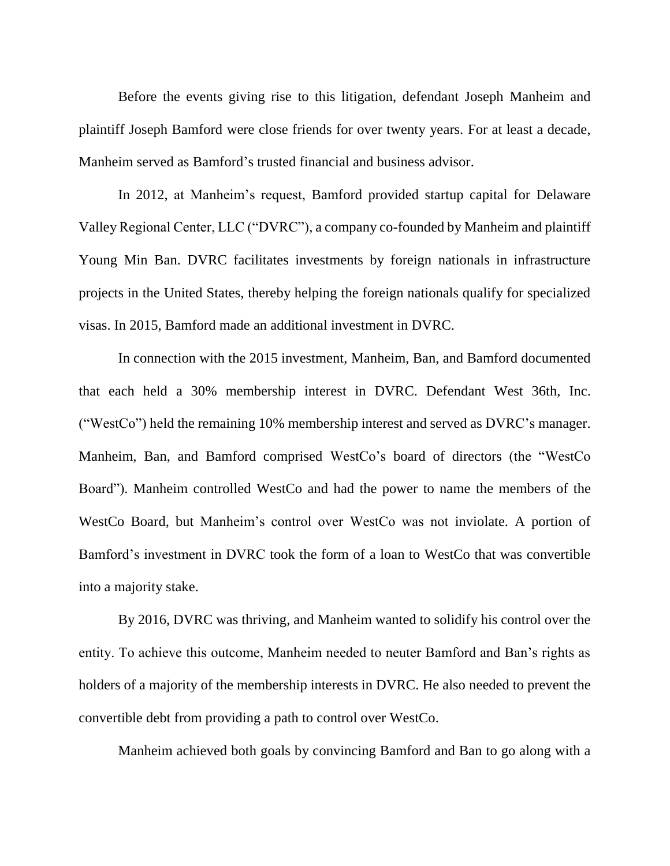Before the events giving rise to this litigation, defendant Joseph Manheim and plaintiff Joseph Bamford were close friends for over twenty years. For at least a decade, Manheim served as Bamford's trusted financial and business advisor.

In 2012, at Manheim's request, Bamford provided startup capital for Delaware Valley Regional Center, LLC ("DVRC"), a company co-founded by Manheim and plaintiff Young Min Ban. DVRC facilitates investments by foreign nationals in infrastructure projects in the United States, thereby helping the foreign nationals qualify for specialized visas. In 2015, Bamford made an additional investment in DVRC.

In connection with the 2015 investment, Manheim, Ban, and Bamford documented that each held a 30% membership interest in DVRC. Defendant West 36th, Inc. ("WestCo") held the remaining 10% membership interest and served as DVRC's manager. Manheim, Ban, and Bamford comprised WestCo's board of directors (the "WestCo Board"). Manheim controlled WestCo and had the power to name the members of the WestCo Board, but Manheim's control over WestCo was not inviolate. A portion of Bamford's investment in DVRC took the form of a loan to WestCo that was convertible into a majority stake.

By 2016, DVRC was thriving, and Manheim wanted to solidify his control over the entity. To achieve this outcome, Manheim needed to neuter Bamford and Ban's rights as holders of a majority of the membership interests in DVRC. He also needed to prevent the convertible debt from providing a path to control over WestCo.

Manheim achieved both goals by convincing Bamford and Ban to go along with a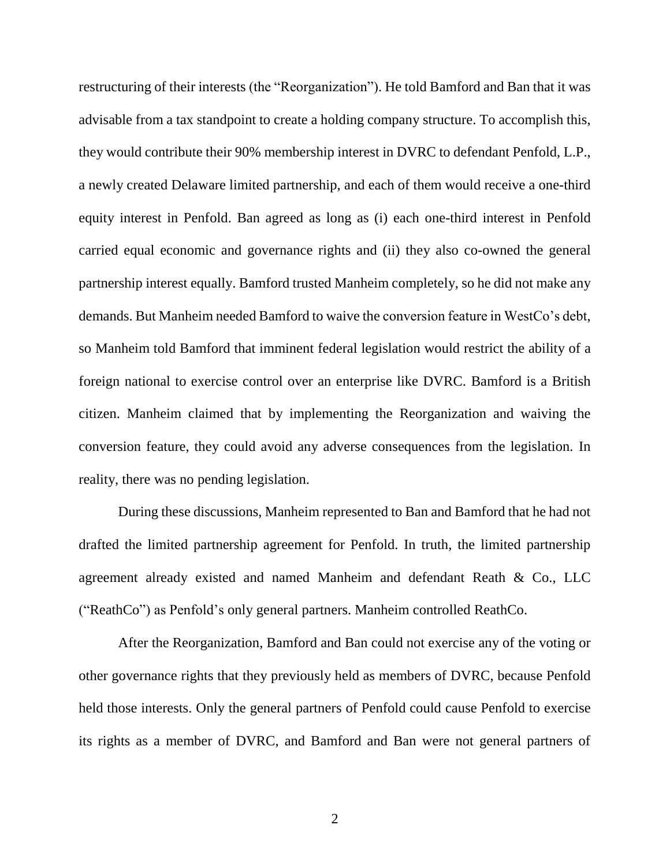restructuring of their interests (the "Reorganization"). He told Bamford and Ban that it was advisable from a tax standpoint to create a holding company structure. To accomplish this, they would contribute their 90% membership interest in DVRC to defendant Penfold, L.P., a newly created Delaware limited partnership, and each of them would receive a one-third equity interest in Penfold. Ban agreed as long as (i) each one-third interest in Penfold carried equal economic and governance rights and (ii) they also co-owned the general partnership interest equally. Bamford trusted Manheim completely, so he did not make any demands. But Manheim needed Bamford to waive the conversion feature in WestCo's debt, so Manheim told Bamford that imminent federal legislation would restrict the ability of a foreign national to exercise control over an enterprise like DVRC. Bamford is a British citizen. Manheim claimed that by implementing the Reorganization and waiving the conversion feature, they could avoid any adverse consequences from the legislation. In reality, there was no pending legislation.

During these discussions, Manheim represented to Ban and Bamford that he had not drafted the limited partnership agreement for Penfold. In truth, the limited partnership agreement already existed and named Manheim and defendant Reath & Co., LLC ("ReathCo") as Penfold's only general partners. Manheim controlled ReathCo.

After the Reorganization, Bamford and Ban could not exercise any of the voting or other governance rights that they previously held as members of DVRC, because Penfold held those interests. Only the general partners of Penfold could cause Penfold to exercise its rights as a member of DVRC, and Bamford and Ban were not general partners of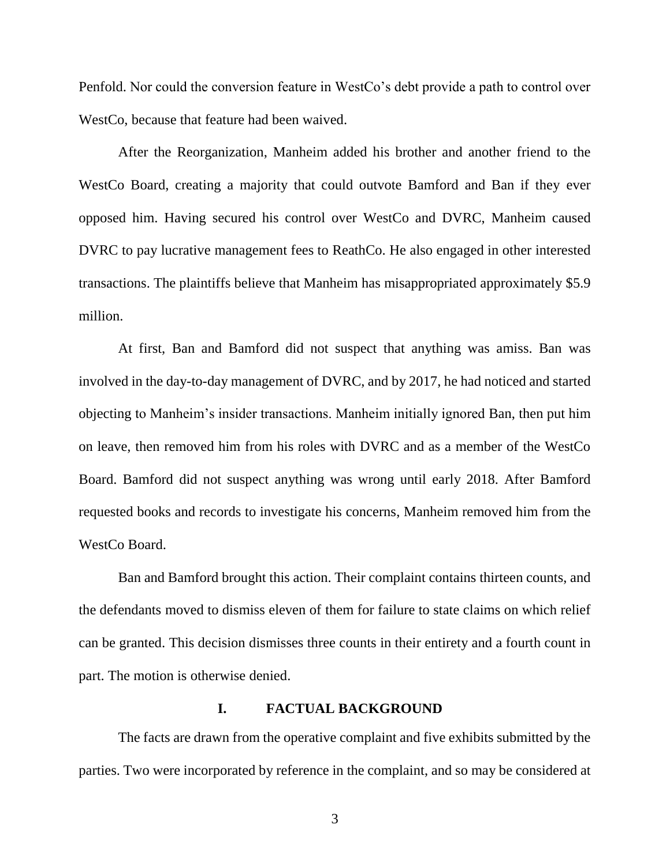Penfold. Nor could the conversion feature in WestCo's debt provide a path to control over WestCo, because that feature had been waived.

After the Reorganization, Manheim added his brother and another friend to the WestCo Board, creating a majority that could outvote Bamford and Ban if they ever opposed him. Having secured his control over WestCo and DVRC, Manheim caused DVRC to pay lucrative management fees to ReathCo. He also engaged in other interested transactions. The plaintiffs believe that Manheim has misappropriated approximately \$5.9 million.

At first, Ban and Bamford did not suspect that anything was amiss. Ban was involved in the day-to-day management of DVRC, and by 2017, he had noticed and started objecting to Manheim's insider transactions. Manheim initially ignored Ban, then put him on leave, then removed him from his roles with DVRC and as a member of the WestCo Board. Bamford did not suspect anything was wrong until early 2018. After Bamford requested books and records to investigate his concerns, Manheim removed him from the WestCo Board.

Ban and Bamford brought this action. Their complaint contains thirteen counts, and the defendants moved to dismiss eleven of them for failure to state claims on which relief can be granted. This decision dismisses three counts in their entirety and a fourth count in part. The motion is otherwise denied.

#### **I. FACTUAL BACKGROUND**

The facts are drawn from the operative complaint and five exhibits submitted by the parties. Two were incorporated by reference in the complaint, and so may be considered at

3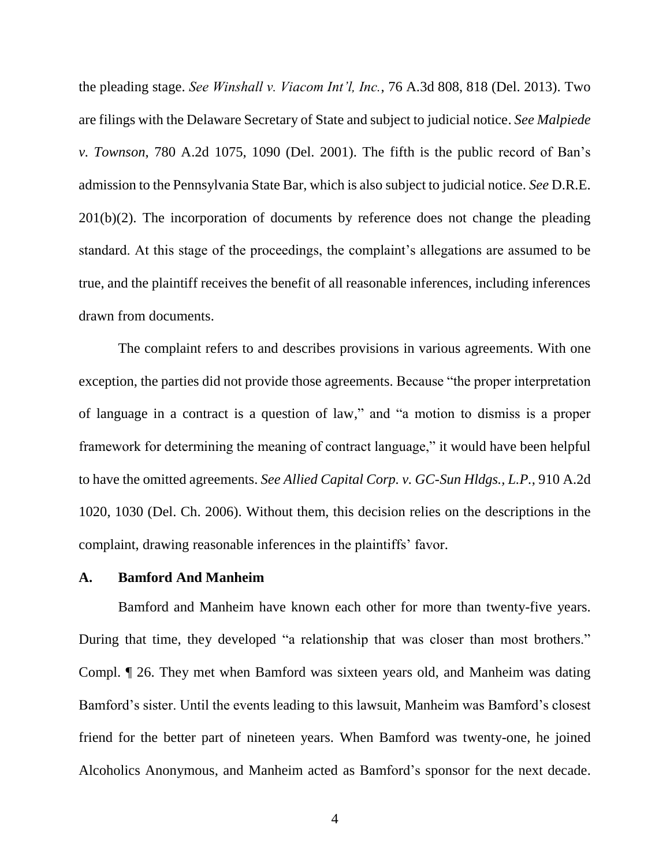the pleading stage. *See Winshall v. Viacom Int'l, Inc.*, 76 A.3d 808, 818 (Del. 2013). Two are filings with the Delaware Secretary of State and subject to judicial notice. *See Malpiede v. Townson*, 780 A.2d 1075, 1090 (Del. 2001). The fifth is the public record of Ban's admission to the Pennsylvania State Bar, which is also subject to judicial notice. *See* D.R.E.  $201(b)(2)$ . The incorporation of documents by reference does not change the pleading standard. At this stage of the proceedings, the complaint's allegations are assumed to be true, and the plaintiff receives the benefit of all reasonable inferences, including inferences drawn from documents.

The complaint refers to and describes provisions in various agreements. With one exception, the parties did not provide those agreements. Because "the proper interpretation of language in a contract is a question of law," and "a motion to dismiss is a proper framework for determining the meaning of contract language," it would have been helpful to have the omitted agreements. *See Allied Capital Corp. v. GC-Sun Hldgs., L.P.*, 910 A.2d 1020, 1030 (Del. Ch. 2006). Without them, this decision relies on the descriptions in the complaint, drawing reasonable inferences in the plaintiffs' favor.

### **A. Bamford And Manheim**

Bamford and Manheim have known each other for more than twenty-five years. During that time, they developed "a relationship that was closer than most brothers." Compl. ¶ 26. They met when Bamford was sixteen years old, and Manheim was dating Bamford's sister. Until the events leading to this lawsuit, Manheim was Bamford's closest friend for the better part of nineteen years. When Bamford was twenty-one, he joined Alcoholics Anonymous, and Manheim acted as Bamford's sponsor for the next decade.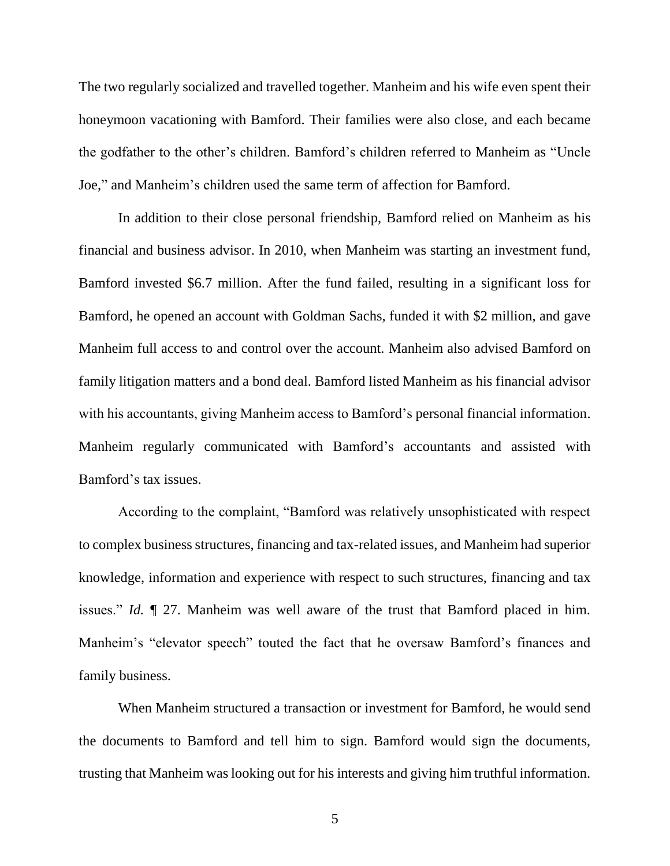The two regularly socialized and travelled together. Manheim and his wife even spent their honeymoon vacationing with Bamford. Their families were also close, and each became the godfather to the other's children. Bamford's children referred to Manheim as "Uncle Joe," and Manheim's children used the same term of affection for Bamford.

In addition to their close personal friendship, Bamford relied on Manheim as his financial and business advisor. In 2010, when Manheim was starting an investment fund, Bamford invested \$6.7 million. After the fund failed, resulting in a significant loss for Bamford, he opened an account with Goldman Sachs, funded it with \$2 million, and gave Manheim full access to and control over the account. Manheim also advised Bamford on family litigation matters and a bond deal. Bamford listed Manheim as his financial advisor with his accountants, giving Manheim access to Bamford's personal financial information. Manheim regularly communicated with Bamford's accountants and assisted with Bamford's tax issues.

According to the complaint, "Bamford was relatively unsophisticated with respect to complex business structures, financing and tax-related issues, and Manheim had superior knowledge, information and experience with respect to such structures, financing and tax issues." *Id.* ¶ 27. Manheim was well aware of the trust that Bamford placed in him. Manheim's "elevator speech" touted the fact that he oversaw Bamford's finances and family business.

When Manheim structured a transaction or investment for Bamford, he would send the documents to Bamford and tell him to sign. Bamford would sign the documents, trusting that Manheim was looking out for his interests and giving him truthful information.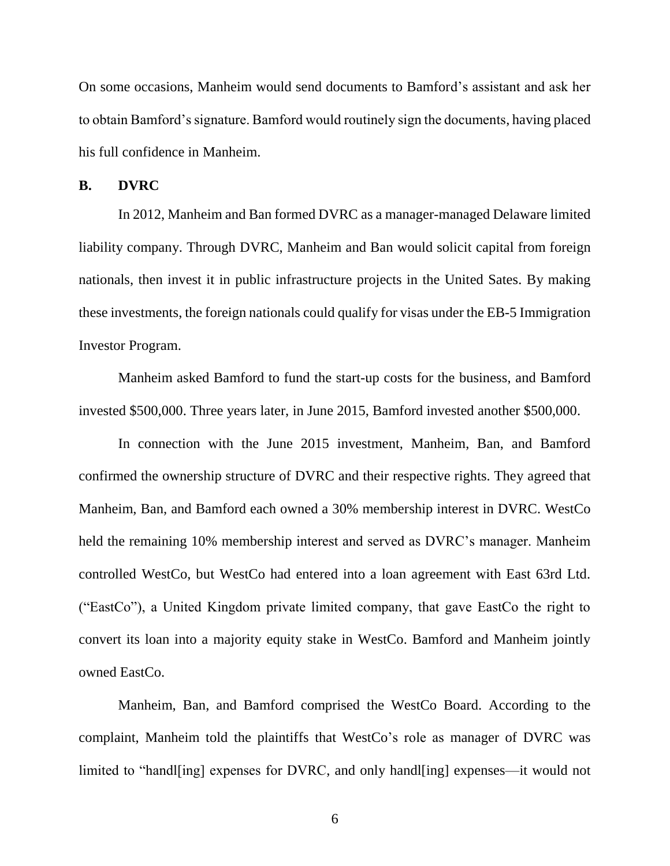On some occasions, Manheim would send documents to Bamford's assistant and ask her to obtain Bamford's signature. Bamford would routinely sign the documents, having placed his full confidence in Manheim.

#### **B. DVRC**

In 2012, Manheim and Ban formed DVRC as a manager-managed Delaware limited liability company. Through DVRC, Manheim and Ban would solicit capital from foreign nationals, then invest it in public infrastructure projects in the United Sates. By making these investments, the foreign nationals could qualify for visas under the EB-5 Immigration Investor Program.

Manheim asked Bamford to fund the start-up costs for the business, and Bamford invested \$500,000. Three years later, in June 2015, Bamford invested another \$500,000.

In connection with the June 2015 investment, Manheim, Ban, and Bamford confirmed the ownership structure of DVRC and their respective rights. They agreed that Manheim, Ban, and Bamford each owned a 30% membership interest in DVRC. WestCo held the remaining 10% membership interest and served as DVRC's manager. Manheim controlled WestCo, but WestCo had entered into a loan agreement with East 63rd Ltd. ("EastCo"), a United Kingdom private limited company, that gave EastCo the right to convert its loan into a majority equity stake in WestCo. Bamford and Manheim jointly owned EastCo.

Manheim, Ban, and Bamford comprised the WestCo Board. According to the complaint, Manheim told the plaintiffs that WestCo's role as manager of DVRC was limited to "handl[ing] expenses for DVRC, and only handl[ing] expenses—it would not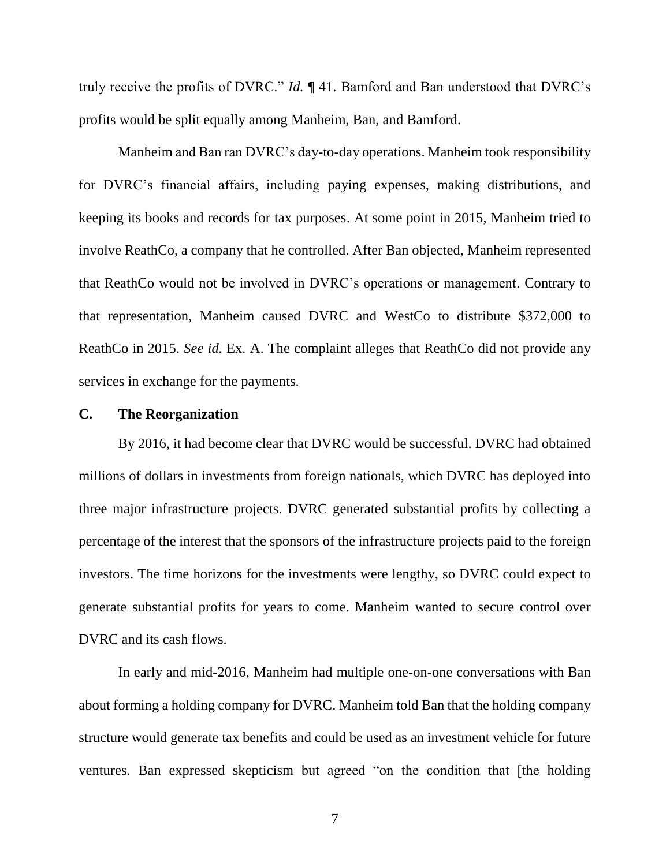truly receive the profits of DVRC." *Id.* ¶ 41. Bamford and Ban understood that DVRC's profits would be split equally among Manheim, Ban, and Bamford.

Manheim and Ban ran DVRC's day-to-day operations. Manheim took responsibility for DVRC's financial affairs, including paying expenses, making distributions, and keeping its books and records for tax purposes. At some point in 2015, Manheim tried to involve ReathCo, a company that he controlled. After Ban objected, Manheim represented that ReathCo would not be involved in DVRC's operations or management. Contrary to that representation, Manheim caused DVRC and WestCo to distribute \$372,000 to ReathCo in 2015. *See id.* Ex. A. The complaint alleges that ReathCo did not provide any services in exchange for the payments.

#### **C. The Reorganization**

By 2016, it had become clear that DVRC would be successful. DVRC had obtained millions of dollars in investments from foreign nationals, which DVRC has deployed into three major infrastructure projects. DVRC generated substantial profits by collecting a percentage of the interest that the sponsors of the infrastructure projects paid to the foreign investors. The time horizons for the investments were lengthy, so DVRC could expect to generate substantial profits for years to come. Manheim wanted to secure control over DVRC and its cash flows.

In early and mid-2016, Manheim had multiple one-on-one conversations with Ban about forming a holding company for DVRC. Manheim told Ban that the holding company structure would generate tax benefits and could be used as an investment vehicle for future ventures. Ban expressed skepticism but agreed "on the condition that [the holding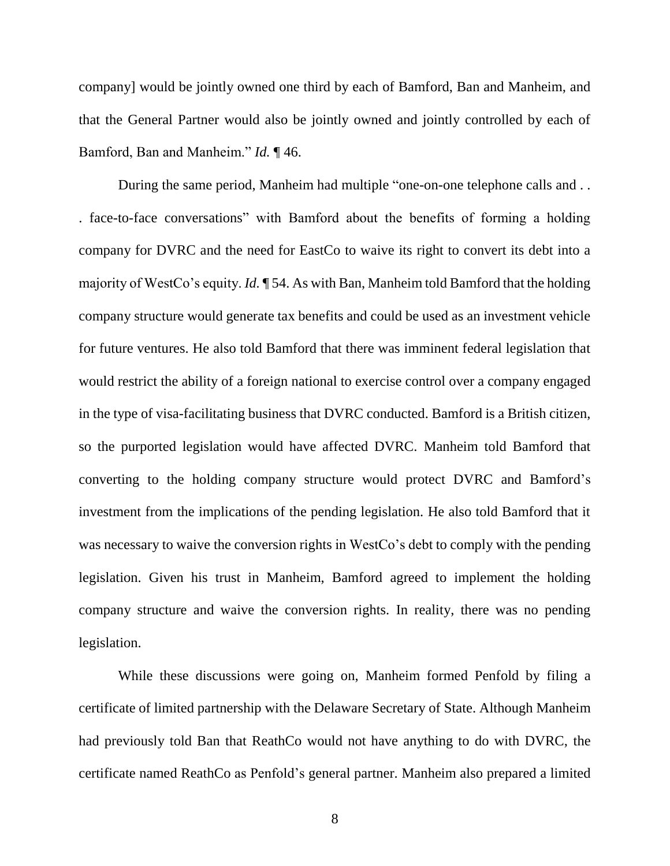company] would be jointly owned one third by each of Bamford, Ban and Manheim, and that the General Partner would also be jointly owned and jointly controlled by each of Bamford, Ban and Manheim." *Id.* ¶ 46.

During the same period, Manheim had multiple "one-on-one telephone calls and . . . face-to-face conversations" with Bamford about the benefits of forming a holding company for DVRC and the need for EastCo to waive its right to convert its debt into a majority of WestCo's equity. *Id.* ¶ 54. As with Ban, Manheim told Bamford that the holding company structure would generate tax benefits and could be used as an investment vehicle for future ventures. He also told Bamford that there was imminent federal legislation that would restrict the ability of a foreign national to exercise control over a company engaged in the type of visa-facilitating business that DVRC conducted. Bamford is a British citizen, so the purported legislation would have affected DVRC. Manheim told Bamford that converting to the holding company structure would protect DVRC and Bamford's investment from the implications of the pending legislation. He also told Bamford that it was necessary to waive the conversion rights in WestCo's debt to comply with the pending legislation. Given his trust in Manheim, Bamford agreed to implement the holding company structure and waive the conversion rights. In reality, there was no pending legislation.

While these discussions were going on, Manheim formed Penfold by filing a certificate of limited partnership with the Delaware Secretary of State. Although Manheim had previously told Ban that ReathCo would not have anything to do with DVRC, the certificate named ReathCo as Penfold's general partner. Manheim also prepared a limited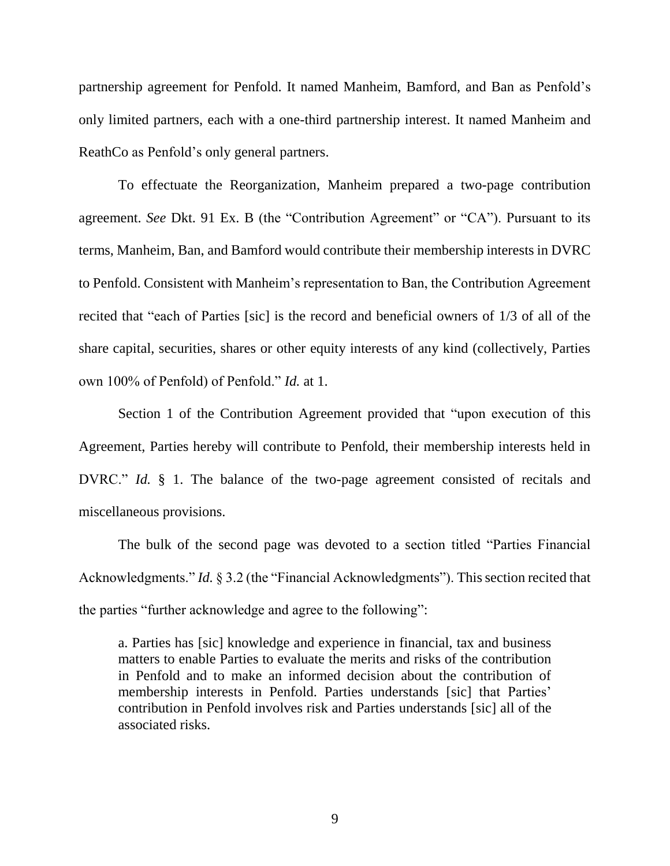partnership agreement for Penfold. It named Manheim, Bamford, and Ban as Penfold's only limited partners, each with a one-third partnership interest. It named Manheim and ReathCo as Penfold's only general partners.

To effectuate the Reorganization, Manheim prepared a two-page contribution agreement. *See* Dkt. 91 Ex. B (the "Contribution Agreement" or "CA"). Pursuant to its terms, Manheim, Ban, and Bamford would contribute their membership interests in DVRC to Penfold. Consistent with Manheim's representation to Ban, the Contribution Agreement recited that "each of Parties [sic] is the record and beneficial owners of 1/3 of all of the share capital, securities, shares or other equity interests of any kind (collectively, Parties own 100% of Penfold) of Penfold." *Id.* at 1.

Section 1 of the Contribution Agreement provided that "upon execution of this Agreement, Parties hereby will contribute to Penfold, their membership interests held in DVRC." *Id.* § 1. The balance of the two-page agreement consisted of recitals and miscellaneous provisions.

The bulk of the second page was devoted to a section titled "Parties Financial Acknowledgments." *Id.* § 3.2 (the "Financial Acknowledgments"). This section recited that the parties "further acknowledge and agree to the following":

a. Parties has [sic] knowledge and experience in financial, tax and business matters to enable Parties to evaluate the merits and risks of the contribution in Penfold and to make an informed decision about the contribution of membership interests in Penfold. Parties understands [sic] that Parties' contribution in Penfold involves risk and Parties understands [sic] all of the associated risks.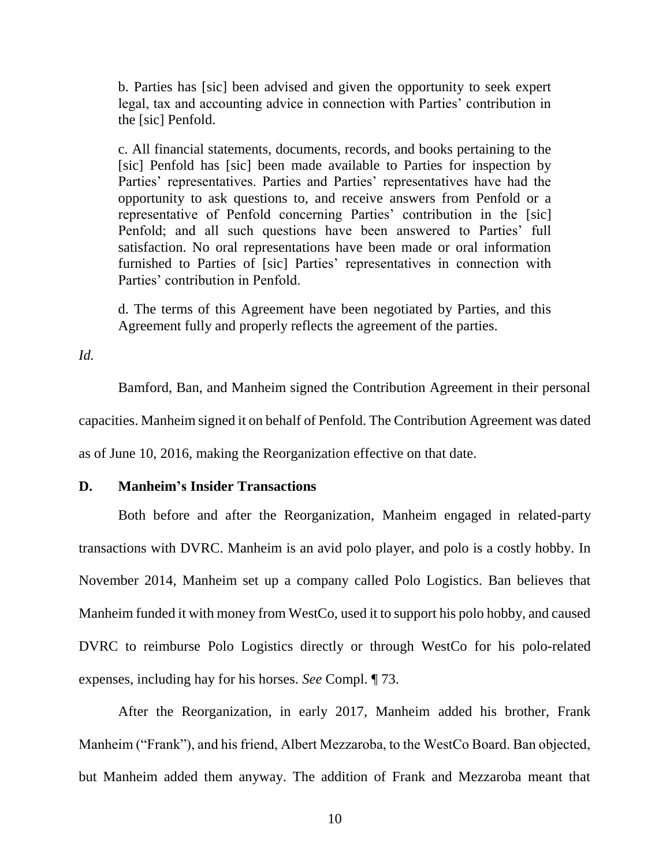b. Parties has [sic] been advised and given the opportunity to seek expert legal, tax and accounting advice in connection with Parties' contribution in the [sic] Penfold.

c. All financial statements, documents, records, and books pertaining to the [sic] Penfold has [sic] been made available to Parties for inspection by Parties' representatives. Parties and Parties' representatives have had the opportunity to ask questions to, and receive answers from Penfold or a representative of Penfold concerning Parties' contribution in the [sic] Penfold; and all such questions have been answered to Parties' full satisfaction. No oral representations have been made or oral information furnished to Parties of [sic] Parties' representatives in connection with Parties' contribution in Penfold.

d. The terms of this Agreement have been negotiated by Parties, and this Agreement fully and properly reflects the agreement of the parties.

*Id.*

Bamford, Ban, and Manheim signed the Contribution Agreement in their personal capacities. Manheim signed it on behalf of Penfold. The Contribution Agreement was dated as of June 10, 2016, making the Reorganization effective on that date.

#### **D. Manheim's Insider Transactions**

Both before and after the Reorganization, Manheim engaged in related-party transactions with DVRC. Manheim is an avid polo player, and polo is a costly hobby. In November 2014, Manheim set up a company called Polo Logistics. Ban believes that Manheim funded it with money from WestCo, used it to support his polo hobby, and caused DVRC to reimburse Polo Logistics directly or through WestCo for his polo-related expenses, including hay for his horses. *See* Compl. ¶ 73.

After the Reorganization, in early 2017, Manheim added his brother, Frank Manheim ("Frank"), and his friend, Albert Mezzaroba, to the WestCo Board. Ban objected, but Manheim added them anyway. The addition of Frank and Mezzaroba meant that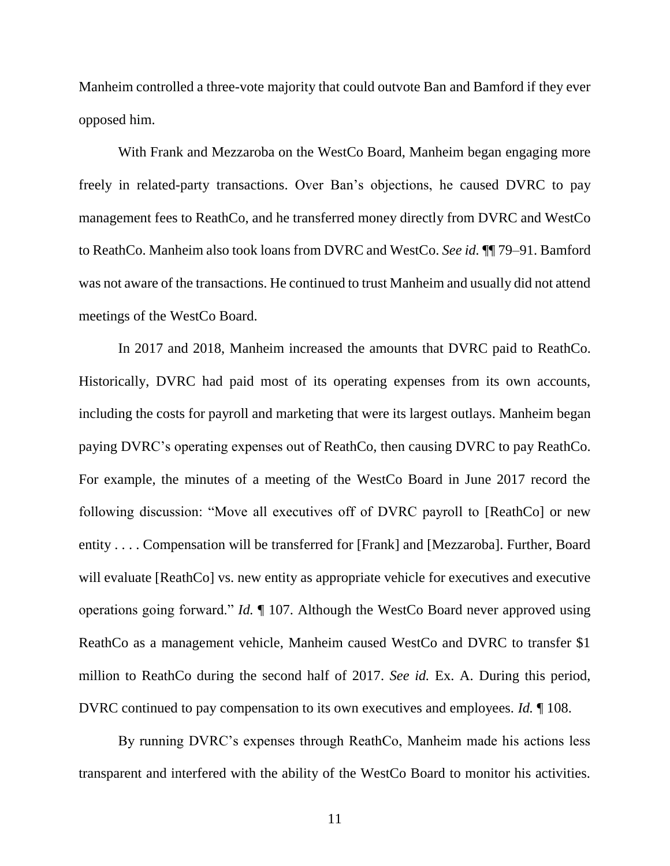Manheim controlled a three-vote majority that could outvote Ban and Bamford if they ever opposed him.

With Frank and Mezzaroba on the WestCo Board, Manheim began engaging more freely in related-party transactions. Over Ban's objections, he caused DVRC to pay management fees to ReathCo, and he transferred money directly from DVRC and WestCo to ReathCo. Manheim also took loans from DVRC and WestCo. *See id.* ¶¶ 79–91. Bamford was not aware of the transactions. He continued to trust Manheim and usually did not attend meetings of the WestCo Board.

In 2017 and 2018, Manheim increased the amounts that DVRC paid to ReathCo. Historically, DVRC had paid most of its operating expenses from its own accounts, including the costs for payroll and marketing that were its largest outlays. Manheim began paying DVRC's operating expenses out of ReathCo, then causing DVRC to pay ReathCo. For example, the minutes of a meeting of the WestCo Board in June 2017 record the following discussion: "Move all executives off of DVRC payroll to [ReathCo] or new entity . . . . Compensation will be transferred for [Frank] and [Mezzaroba]. Further, Board will evaluate [ReathCo] vs. new entity as appropriate vehicle for executives and executive operations going forward." *Id.* ¶ 107. Although the WestCo Board never approved using ReathCo as a management vehicle, Manheim caused WestCo and DVRC to transfer \$1 million to ReathCo during the second half of 2017. *See id.* Ex. A. During this period, DVRC continued to pay compensation to its own executives and employees. *Id.* ¶ 108.

By running DVRC's expenses through ReathCo, Manheim made his actions less transparent and interfered with the ability of the WestCo Board to monitor his activities.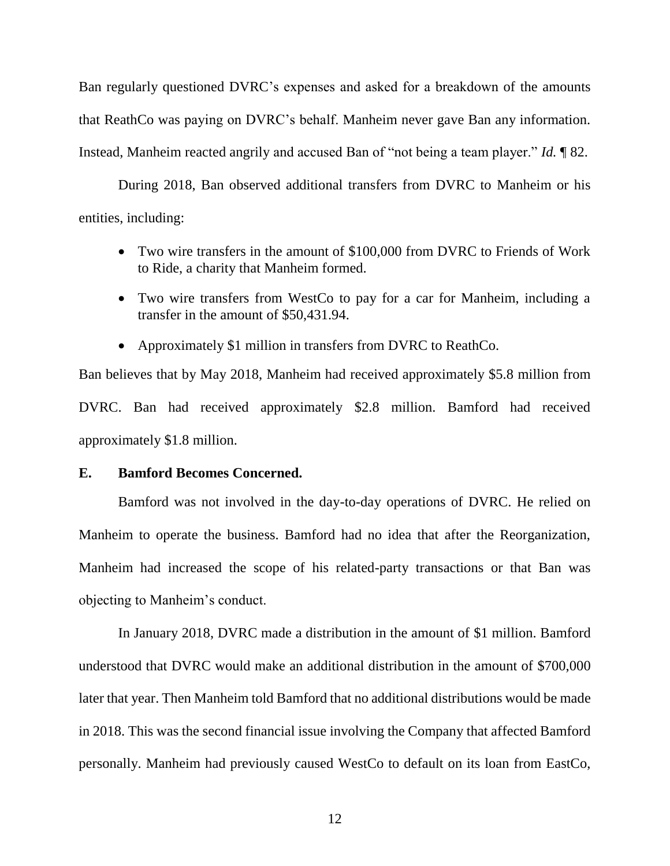Ban regularly questioned DVRC's expenses and asked for a breakdown of the amounts that ReathCo was paying on DVRC's behalf. Manheim never gave Ban any information. Instead, Manheim reacted angrily and accused Ban of "not being a team player." *Id.* ¶ 82.

During 2018, Ban observed additional transfers from DVRC to Manheim or his entities, including:

- Two wire transfers in the amount of \$100,000 from DVRC to Friends of Work to Ride, a charity that Manheim formed.
- Two wire transfers from WestCo to pay for a car for Manheim, including a transfer in the amount of \$50,431.94.
- Approximately \$1 million in transfers from DVRC to ReathCo.

Ban believes that by May 2018, Manheim had received approximately \$5.8 million from DVRC. Ban had received approximately \$2.8 million. Bamford had received approximately \$1.8 million.

### **E. Bamford Becomes Concerned.**

Bamford was not involved in the day-to-day operations of DVRC. He relied on Manheim to operate the business. Bamford had no idea that after the Reorganization, Manheim had increased the scope of his related-party transactions or that Ban was objecting to Manheim's conduct.

In January 2018, DVRC made a distribution in the amount of \$1 million. Bamford understood that DVRC would make an additional distribution in the amount of \$700,000 later that year. Then Manheim told Bamford that no additional distributions would be made in 2018. This was the second financial issue involving the Company that affected Bamford personally. Manheim had previously caused WestCo to default on its loan from EastCo,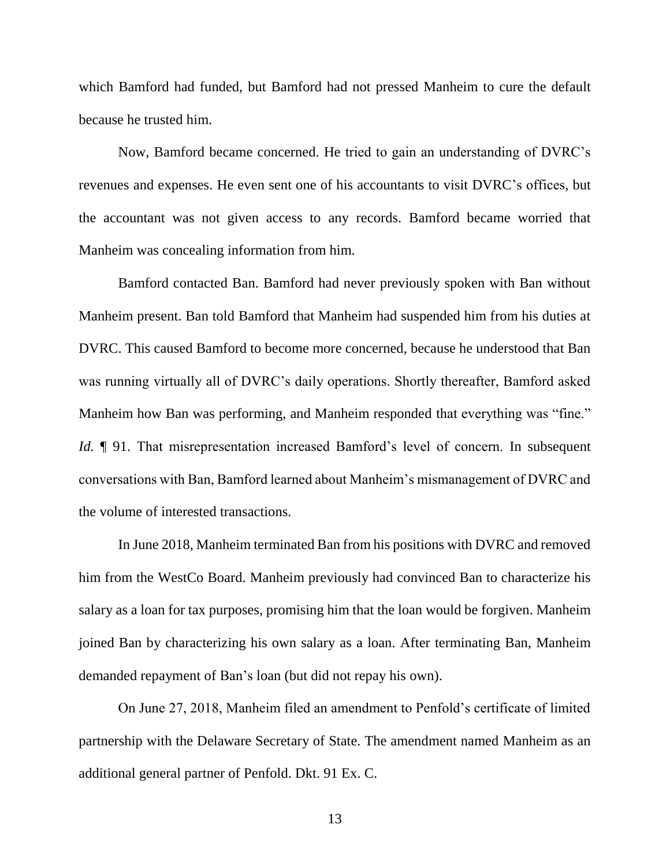which Bamford had funded, but Bamford had not pressed Manheim to cure the default because he trusted him.

Now, Bamford became concerned. He tried to gain an understanding of DVRC's revenues and expenses. He even sent one of his accountants to visit DVRC's offices, but the accountant was not given access to any records. Bamford became worried that Manheim was concealing information from him.

Bamford contacted Ban. Bamford had never previously spoken with Ban without Manheim present. Ban told Bamford that Manheim had suspended him from his duties at DVRC. This caused Bamford to become more concerned, because he understood that Ban was running virtually all of DVRC's daily operations. Shortly thereafter, Bamford asked Manheim how Ban was performing, and Manheim responded that everything was "fine." *Id.* 191. That misrepresentation increased Bamford's level of concern. In subsequent conversations with Ban, Bamford learned about Manheim's mismanagement of DVRC and the volume of interested transactions.

In June 2018, Manheim terminated Ban from his positions with DVRC and removed him from the WestCo Board. Manheim previously had convinced Ban to characterize his salary as a loan for tax purposes, promising him that the loan would be forgiven. Manheim joined Ban by characterizing his own salary as a loan. After terminating Ban, Manheim demanded repayment of Ban's loan (but did not repay his own).

On June 27, 2018, Manheim filed an amendment to Penfold's certificate of limited partnership with the Delaware Secretary of State. The amendment named Manheim as an additional general partner of Penfold. Dkt. 91 Ex. C.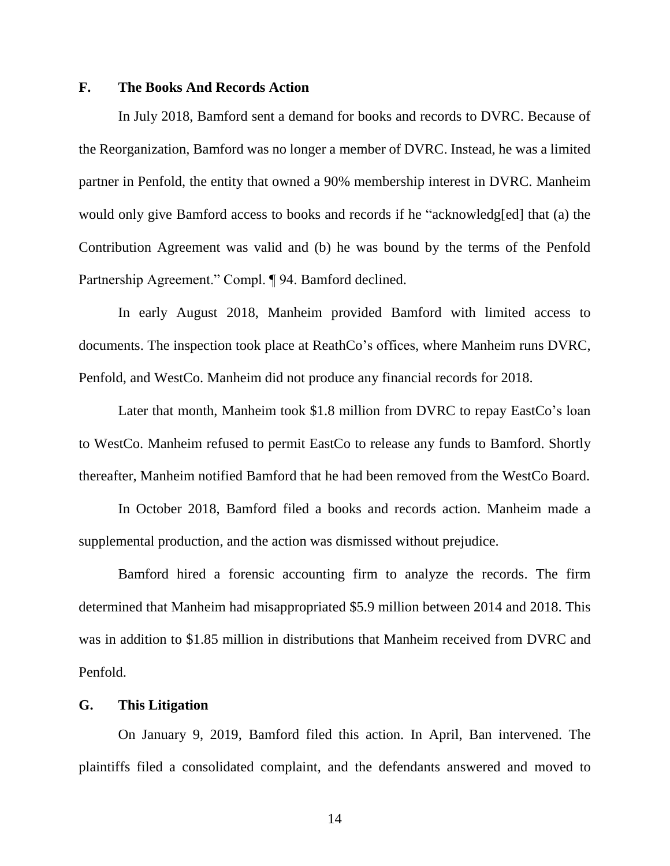### **F. The Books And Records Action**

In July 2018, Bamford sent a demand for books and records to DVRC. Because of the Reorganization, Bamford was no longer a member of DVRC. Instead, he was a limited partner in Penfold, the entity that owned a 90% membership interest in DVRC. Manheim would only give Bamford access to books and records if he "acknowledg[ed] that (a) the Contribution Agreement was valid and (b) he was bound by the terms of the Penfold Partnership Agreement." Compl. ¶ 94. Bamford declined.

In early August 2018, Manheim provided Bamford with limited access to documents. The inspection took place at ReathCo's offices, where Manheim runs DVRC, Penfold, and WestCo. Manheim did not produce any financial records for 2018.

Later that month, Manheim took \$1.8 million from DVRC to repay EastCo's loan to WestCo. Manheim refused to permit EastCo to release any funds to Bamford. Shortly thereafter, Manheim notified Bamford that he had been removed from the WestCo Board.

In October 2018, Bamford filed a books and records action. Manheim made a supplemental production, and the action was dismissed without prejudice.

Bamford hired a forensic accounting firm to analyze the records. The firm determined that Manheim had misappropriated \$5.9 million between 2014 and 2018. This was in addition to \$1.85 million in distributions that Manheim received from DVRC and Penfold.

## **G. This Litigation**

On January 9, 2019, Bamford filed this action. In April, Ban intervened. The plaintiffs filed a consolidated complaint, and the defendants answered and moved to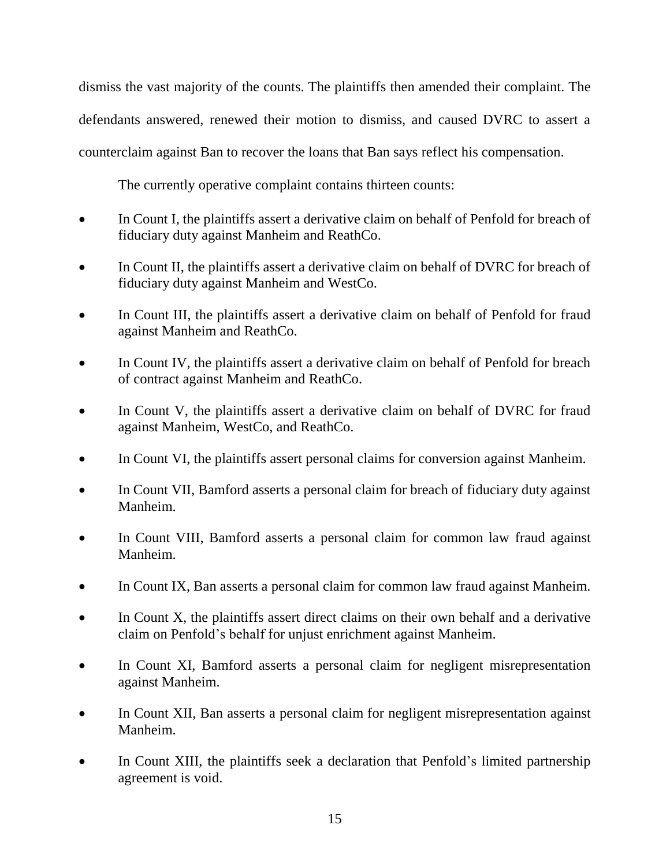dismiss the vast majority of the counts. The plaintiffs then amended their complaint. The defendants answered, renewed their motion to dismiss, and caused DVRC to assert a counterclaim against Ban to recover the loans that Ban says reflect his compensation.

The currently operative complaint contains thirteen counts:

- In Count I, the plaintiffs assert a derivative claim on behalf of Penfold for breach of fiduciary duty against Manheim and ReathCo.
- In Count II, the plaintiffs assert a derivative claim on behalf of DVRC for breach of fiduciary duty against Manheim and WestCo.
- In Count III, the plaintiffs assert a derivative claim on behalf of Penfold for fraud against Manheim and ReathCo.
- In Count IV, the plaintiffs assert a derivative claim on behalf of Penfold for breach of contract against Manheim and ReathCo.
- In Count V, the plaintiffs assert a derivative claim on behalf of DVRC for fraud against Manheim, WestCo, and ReathCo.
- In Count VI, the plaintiffs assert personal claims for conversion against Manheim.
- In Count VII, Bamford asserts a personal claim for breach of fiduciary duty against Manheim.
- In Count VIII, Bamford asserts a personal claim for common law fraud against Manheim.
- In Count IX, Ban asserts a personal claim for common law fraud against Manheim.
- In Count X, the plaintiffs assert direct claims on their own behalf and a derivative claim on Penfold's behalf for unjust enrichment against Manheim.
- In Count XI, Bamford asserts a personal claim for negligent misrepresentation against Manheim.
- In Count XII, Ban asserts a personal claim for negligent misrepresentation against Manheim.
- In Count XIII, the plaintiffs seek a declaration that Penfold's limited partnership agreement is void.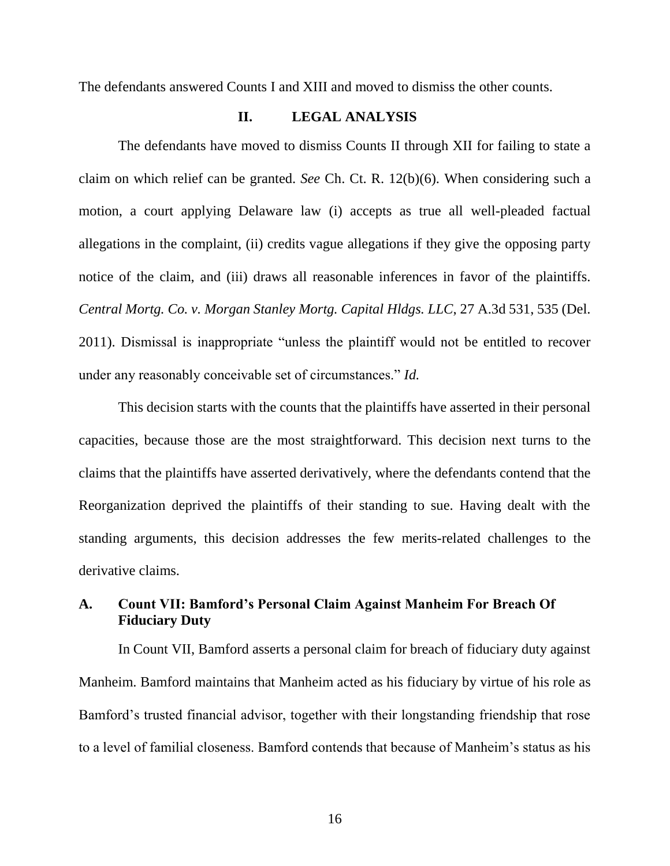The defendants answered Counts I and XIII and moved to dismiss the other counts.

### **II. LEGAL ANALYSIS**

The defendants have moved to dismiss Counts II through XII for failing to state a claim on which relief can be granted. *See* Ch. Ct. R. 12(b)(6). When considering such a motion, a court applying Delaware law (i) accepts as true all well-pleaded factual allegations in the complaint, (ii) credits vague allegations if they give the opposing party notice of the claim, and (iii) draws all reasonable inferences in favor of the plaintiffs. *Central Mortg. Co. v. Morgan Stanley Mortg. Capital Hldgs. LLC*, 27 A.3d 531, 535 (Del. 2011). Dismissal is inappropriate "unless the plaintiff would not be entitled to recover under any reasonably conceivable set of circumstances." *Id.*

This decision starts with the counts that the plaintiffs have asserted in their personal capacities, because those are the most straightforward. This decision next turns to the claims that the plaintiffs have asserted derivatively, where the defendants contend that the Reorganization deprived the plaintiffs of their standing to sue. Having dealt with the standing arguments, this decision addresses the few merits-related challenges to the derivative claims.

# **A. Count VII: Bamford's Personal Claim Against Manheim For Breach Of Fiduciary Duty**

In Count VII, Bamford asserts a personal claim for breach of fiduciary duty against Manheim. Bamford maintains that Manheim acted as his fiduciary by virtue of his role as Bamford's trusted financial advisor, together with their longstanding friendship that rose to a level of familial closeness. Bamford contends that because of Manheim's status as his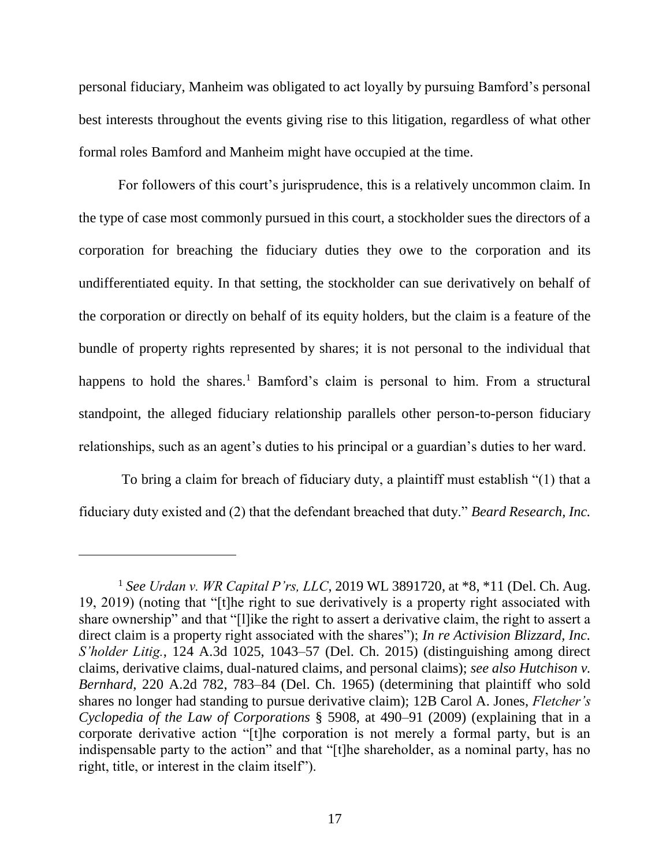personal fiduciary, Manheim was obligated to act loyally by pursuing Bamford's personal best interests throughout the events giving rise to this litigation, regardless of what other formal roles Bamford and Manheim might have occupied at the time.

For followers of this court's jurisprudence, this is a relatively uncommon claim. In the type of case most commonly pursued in this court, a stockholder sues the directors of a corporation for breaching the fiduciary duties they owe to the corporation and its undifferentiated equity. In that setting, the stockholder can sue derivatively on behalf of the corporation or directly on behalf of its equity holders, but the claim is a feature of the bundle of property rights represented by shares; it is not personal to the individual that happens to hold the shares.<sup>1</sup> Bamford's claim is personal to him. From a structural standpoint, the alleged fiduciary relationship parallels other person-to-person fiduciary relationships, such as an agent's duties to his principal or a guardian's duties to her ward.

To bring a claim for breach of fiduciary duty, a plaintiff must establish "(1) that a fiduciary duty existed and (2) that the defendant breached that duty." *Beard Research, Inc.* 

 $\overline{a}$ 

<sup>1</sup> *See Urdan v. WR Capital P'rs, LLC*, 2019 WL 3891720, at \*8, \*11 (Del. Ch. Aug. 19, 2019) (noting that "[t]he right to sue derivatively is a property right associated with share ownership" and that "[l]ike the right to assert a derivative claim, the right to assert a direct claim is a property right associated with the shares"); *In re Activision Blizzard, Inc. S'holder Litig.*, 124 A.3d 1025, 1043–57 (Del. Ch. 2015) (distinguishing among direct claims, derivative claims, dual-natured claims, and personal claims); *see also Hutchison v. Bernhard*, 220 A.2d 782, 783–84 (Del. Ch. 1965) (determining that plaintiff who sold shares no longer had standing to pursue derivative claim); 12B Carol A. Jones, *Fletcher's Cyclopedia of the Law of Corporations* § 5908, at 490–91 (2009) (explaining that in a corporate derivative action "[t]he corporation is not merely a formal party, but is an indispensable party to the action" and that "[t]he shareholder, as a nominal party, has no right, title, or interest in the claim itself").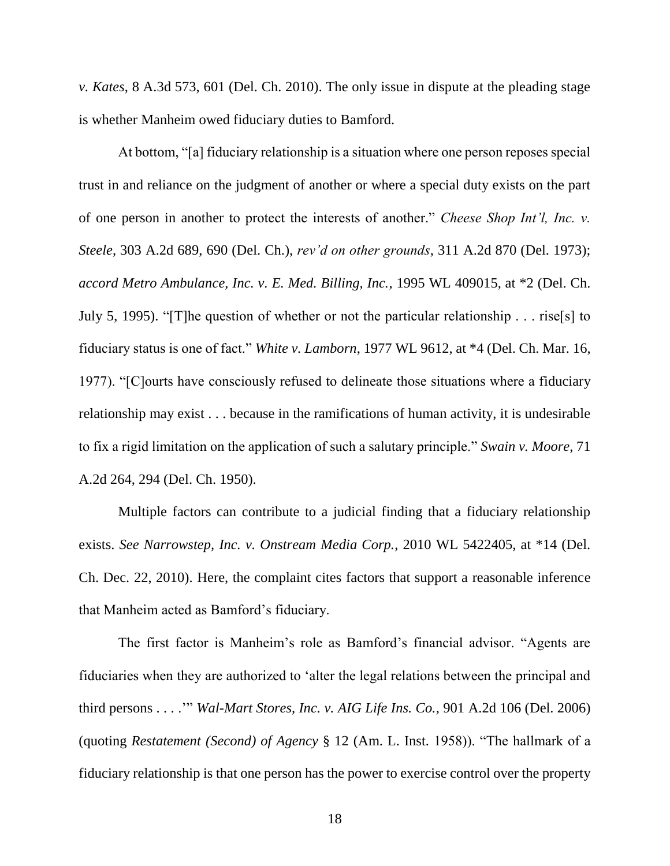*v. Kates*, 8 A.3d 573, 601 (Del. Ch. 2010). The only issue in dispute at the pleading stage is whether Manheim owed fiduciary duties to Bamford.

At bottom, "[a] fiduciary relationship is a situation where one person reposes special trust in and reliance on the judgment of another or where a special duty exists on the part of one person in another to protect the interests of another." *Cheese Shop Int'l, Inc. v. Steele*, 303 A.2d 689, 690 (Del. Ch.), *rev'd on other grounds*, 311 A.2d 870 (Del. 1973); *accord Metro Ambulance, Inc. v. E. Med. Billing, Inc.*, 1995 WL 409015, at \*2 (Del. Ch. July 5, 1995). "[T]he question of whether or not the particular relationship . . . rise[s] to fiduciary status is one of fact." *White v. Lamborn*, 1977 WL 9612, at \*4 (Del. Ch. Mar. 16, 1977). "[C]ourts have consciously refused to delineate those situations where a fiduciary relationship may exist . . . because in the ramifications of human activity, it is undesirable to fix a rigid limitation on the application of such a salutary principle." *Swain v. Moore*, 71 A.2d 264, 294 (Del. Ch. 1950).

Multiple factors can contribute to a judicial finding that a fiduciary relationship exists. *See Narrowstep, Inc. v. Onstream Media Corp.*, 2010 WL 5422405, at \*14 (Del. Ch. Dec. 22, 2010). Here, the complaint cites factors that support a reasonable inference that Manheim acted as Bamford's fiduciary.

The first factor is Manheim's role as Bamford's financial advisor. "Agents are fiduciaries when they are authorized to 'alter the legal relations between the principal and third persons . . . .'" *Wal-Mart Stores, Inc. v. AIG Life Ins. Co.*, 901 A.2d 106 (Del. 2006) (quoting *Restatement (Second) of Agency* § 12 (Am. L. Inst. 1958)). "The hallmark of a fiduciary relationship is that one person has the power to exercise control over the property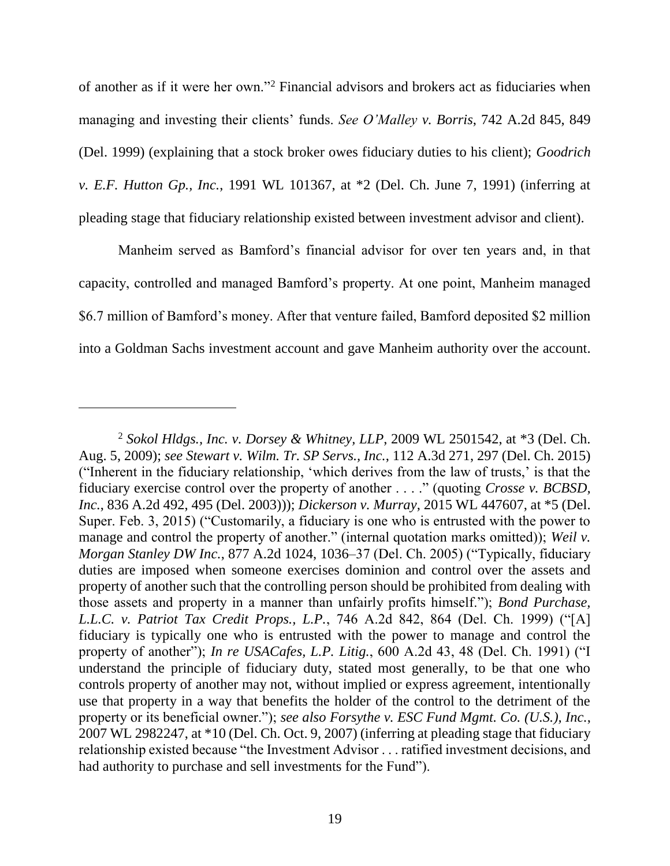of another as if it were her own."<sup>2</sup> Financial advisors and brokers act as fiduciaries when managing and investing their clients' funds. *See O'Malley v. Borris*, 742 A.2d 845, 849 (Del. 1999) (explaining that a stock broker owes fiduciary duties to his client); *Goodrich v. E.F. Hutton Gp., Inc.*, 1991 WL 101367, at \*2 (Del. Ch. June 7, 1991) (inferring at pleading stage that fiduciary relationship existed between investment advisor and client).

Manheim served as Bamford's financial advisor for over ten years and, in that capacity, controlled and managed Bamford's property. At one point, Manheim managed \$6.7 million of Bamford's money. After that venture failed, Bamford deposited \$2 million into a Goldman Sachs investment account and gave Manheim authority over the account.

 $\overline{a}$ 

<sup>2</sup> *Sokol Hldgs., Inc. v. Dorsey & Whitney, LLP*, 2009 WL 2501542, at \*3 (Del. Ch. Aug. 5, 2009); *see Stewart v. Wilm. Tr. SP Servs., Inc.*, 112 A.3d 271, 297 (Del. Ch. 2015) ("Inherent in the fiduciary relationship, 'which derives from the law of trusts,' is that the fiduciary exercise control over the property of another . . . ." (quoting *Crosse v. BCBSD, Inc.*, 836 A.2d 492, 495 (Del. 2003))); *Dickerson v. Murray*, 2015 WL 447607, at \*5 (Del. Super. Feb. 3, 2015) ("Customarily, a fiduciary is one who is entrusted with the power to manage and control the property of another." (internal quotation marks omitted)); *Weil v. Morgan Stanley DW Inc.*, 877 A.2d 1024, 1036–37 (Del. Ch. 2005) ("Typically, fiduciary duties are imposed when someone exercises dominion and control over the assets and property of another such that the controlling person should be prohibited from dealing with those assets and property in a manner than unfairly profits himself."); *Bond Purchase, L.L.C. v. Patriot Tax Credit Props., L.P.*, 746 A.2d 842, 864 (Del. Ch. 1999) ("[A] fiduciary is typically one who is entrusted with the power to manage and control the property of another"); *In re USACafes, L.P. Litig.*, 600 A.2d 43, 48 (Del. Ch. 1991) ("I understand the principle of fiduciary duty, stated most generally, to be that one who controls property of another may not, without implied or express agreement, intentionally use that property in a way that benefits the holder of the control to the detriment of the property or its beneficial owner."); *see also Forsythe v. ESC Fund Mgmt. Co. (U.S.), Inc.*, 2007 WL 2982247, at \*10 (Del. Ch. Oct. 9, 2007) (inferring at pleading stage that fiduciary relationship existed because "the Investment Advisor . . . ratified investment decisions, and had authority to purchase and sell investments for the Fund").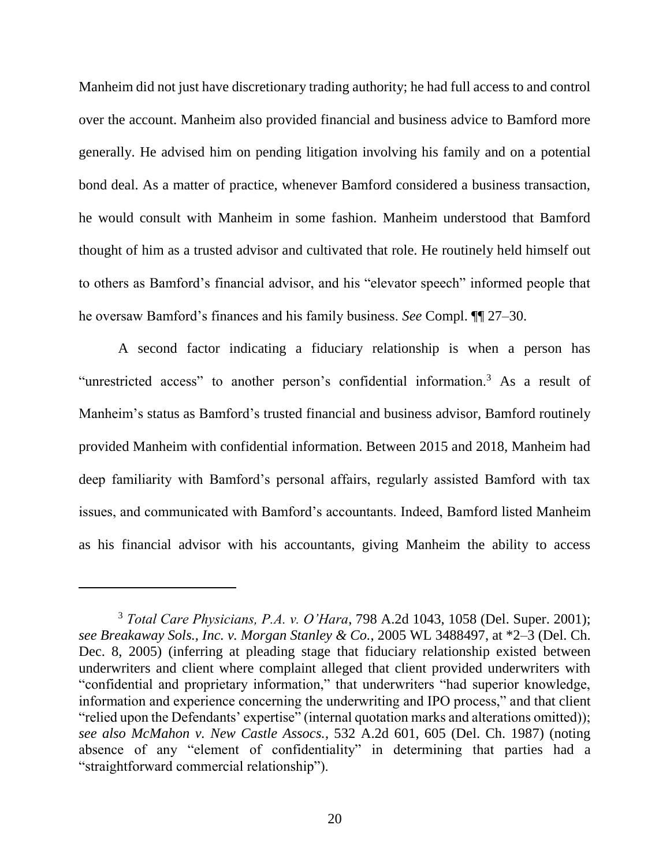Manheim did not just have discretionary trading authority; he had full access to and control over the account. Manheim also provided financial and business advice to Bamford more generally. He advised him on pending litigation involving his family and on a potential bond deal. As a matter of practice, whenever Bamford considered a business transaction, he would consult with Manheim in some fashion. Manheim understood that Bamford thought of him as a trusted advisor and cultivated that role. He routinely held himself out to others as Bamford's financial advisor, and his "elevator speech" informed people that he oversaw Bamford's finances and his family business. *See* Compl. ¶¶ 27–30.

A second factor indicating a fiduciary relationship is when a person has "unrestricted access" to another person's confidential information.<sup>3</sup> As a result of Manheim's status as Bamford's trusted financial and business advisor, Bamford routinely provided Manheim with confidential information. Between 2015 and 2018, Manheim had deep familiarity with Bamford's personal affairs, regularly assisted Bamford with tax issues, and communicated with Bamford's accountants. Indeed, Bamford listed Manheim as his financial advisor with his accountants, giving Manheim the ability to access

<sup>3</sup> *Total Care Physicians, P.A. v. O'Hara*, 798 A.2d 1043, 1058 (Del. Super. 2001); *see Breakaway Sols., Inc. v. Morgan Stanley & Co.*, 2005 WL 3488497, at \*2–3 (Del. Ch. Dec. 8, 2005) (inferring at pleading stage that fiduciary relationship existed between underwriters and client where complaint alleged that client provided underwriters with "confidential and proprietary information," that underwriters "had superior knowledge, information and experience concerning the underwriting and IPO process," and that client "relied upon the Defendants' expertise" (internal quotation marks and alterations omitted)); *see also McMahon v. New Castle Assocs.*, 532 A.2d 601, 605 (Del. Ch. 1987) (noting absence of any "element of confidentiality" in determining that parties had a "straightforward commercial relationship").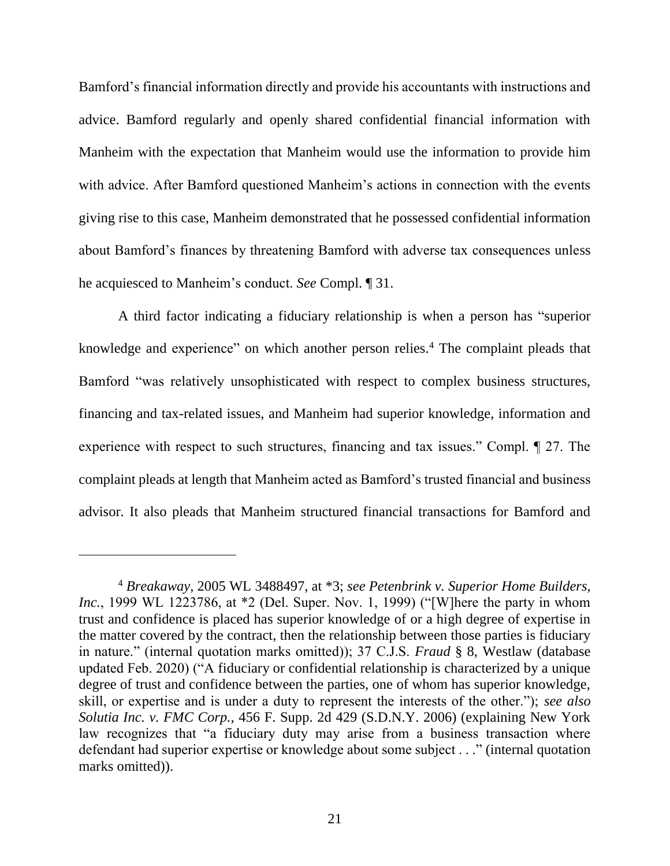Bamford's financial information directly and provide his accountants with instructions and advice. Bamford regularly and openly shared confidential financial information with Manheim with the expectation that Manheim would use the information to provide him with advice. After Bamford questioned Manheim's actions in connection with the events giving rise to this case, Manheim demonstrated that he possessed confidential information about Bamford's finances by threatening Bamford with adverse tax consequences unless he acquiesced to Manheim's conduct. *See* Compl. ¶ 31.

A third factor indicating a fiduciary relationship is when a person has "superior knowledge and experience" on which another person relies.<sup>4</sup> The complaint pleads that Bamford "was relatively unsophisticated with respect to complex business structures, financing and tax-related issues, and Manheim had superior knowledge, information and experience with respect to such structures, financing and tax issues." Compl. ¶ 27. The complaint pleads at length that Manheim acted as Bamford's trusted financial and business advisor. It also pleads that Manheim structured financial transactions for Bamford and

 $\overline{a}$ 

<sup>4</sup> *Breakaway*, 2005 WL 3488497, at \*3; *see Petenbrink v. Superior Home Builders, Inc.*, 1999 WL 1223786, at \*2 (Del. Super. Nov. 1, 1999) ("[W]here the party in whom trust and confidence is placed has superior knowledge of or a high degree of expertise in the matter covered by the contract, then the relationship between those parties is fiduciary in nature." (internal quotation marks omitted)); 37 C.J.S. *Fraud* § 8, Westlaw (database updated Feb. 2020) ("A fiduciary or confidential relationship is characterized by a unique degree of trust and confidence between the parties, one of whom has superior knowledge, skill, or expertise and is under a duty to represent the interests of the other."); *see also Solutia Inc. v. FMC Corp.*, 456 F. Supp. 2d 429 (S.D.N.Y. 2006) (explaining New York law recognizes that "a fiduciary duty may arise from a business transaction where defendant had superior expertise or knowledge about some subject . . ." (internal quotation marks omitted).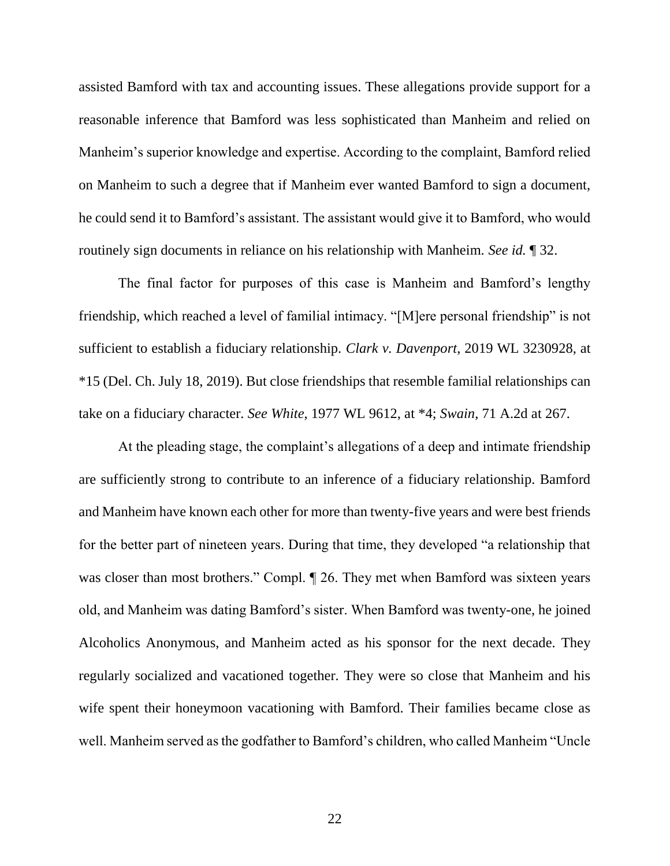assisted Bamford with tax and accounting issues. These allegations provide support for a reasonable inference that Bamford was less sophisticated than Manheim and relied on Manheim's superior knowledge and expertise. According to the complaint, Bamford relied on Manheim to such a degree that if Manheim ever wanted Bamford to sign a document, he could send it to Bamford's assistant. The assistant would give it to Bamford, who would routinely sign documents in reliance on his relationship with Manheim. *See id.* ¶ 32.

The final factor for purposes of this case is Manheim and Bamford's lengthy friendship, which reached a level of familial intimacy. "[M]ere personal friendship" is not sufficient to establish a fiduciary relationship. *Clark v. Davenport*, 2019 WL 3230928, at \*15 (Del. Ch. July 18, 2019). But close friendships that resemble familial relationships can take on a fiduciary character. *See White*, 1977 WL 9612, at \*4; *Swain*, 71 A.2d at 267.

At the pleading stage, the complaint's allegations of a deep and intimate friendship are sufficiently strong to contribute to an inference of a fiduciary relationship. Bamford and Manheim have known each other for more than twenty-five years and were best friends for the better part of nineteen years. During that time, they developed "a relationship that was closer than most brothers." Compl.  $\P$  26. They met when Bamford was sixteen years old, and Manheim was dating Bamford's sister. When Bamford was twenty-one, he joined Alcoholics Anonymous, and Manheim acted as his sponsor for the next decade. They regularly socialized and vacationed together. They were so close that Manheim and his wife spent their honeymoon vacationing with Bamford. Their families became close as well. Manheim served as the godfather to Bamford's children, who called Manheim "Uncle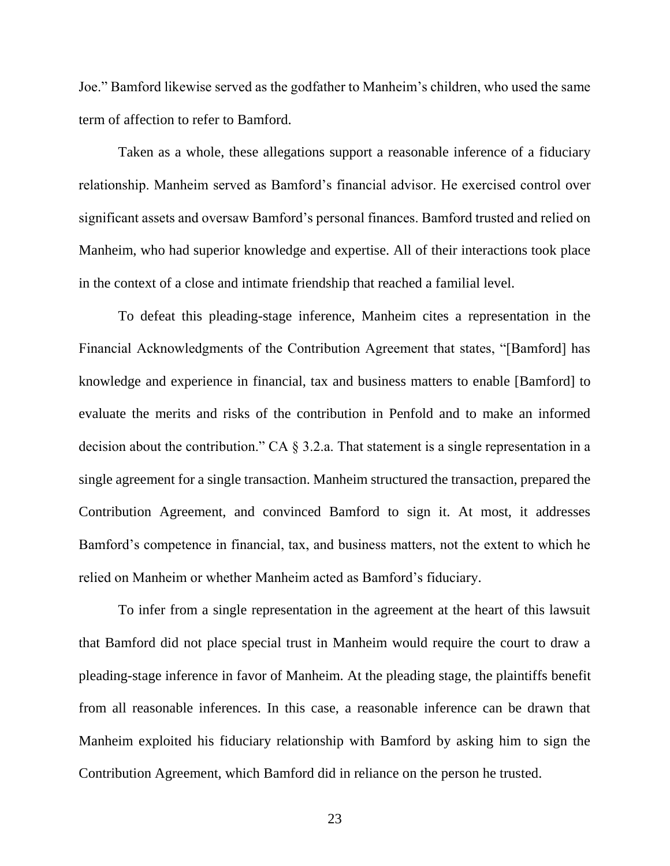Joe." Bamford likewise served as the godfather to Manheim's children, who used the same term of affection to refer to Bamford.

Taken as a whole, these allegations support a reasonable inference of a fiduciary relationship. Manheim served as Bamford's financial advisor. He exercised control over significant assets and oversaw Bamford's personal finances. Bamford trusted and relied on Manheim, who had superior knowledge and expertise. All of their interactions took place in the context of a close and intimate friendship that reached a familial level.

To defeat this pleading-stage inference, Manheim cites a representation in the Financial Acknowledgments of the Contribution Agreement that states, "[Bamford] has knowledge and experience in financial, tax and business matters to enable [Bamford] to evaluate the merits and risks of the contribution in Penfold and to make an informed decision about the contribution." CA § 3.2.a. That statement is a single representation in a single agreement for a single transaction. Manheim structured the transaction, prepared the Contribution Agreement, and convinced Bamford to sign it. At most, it addresses Bamford's competence in financial, tax, and business matters, not the extent to which he relied on Manheim or whether Manheim acted as Bamford's fiduciary.

To infer from a single representation in the agreement at the heart of this lawsuit that Bamford did not place special trust in Manheim would require the court to draw a pleading-stage inference in favor of Manheim. At the pleading stage, the plaintiffs benefit from all reasonable inferences. In this case, a reasonable inference can be drawn that Manheim exploited his fiduciary relationship with Bamford by asking him to sign the Contribution Agreement, which Bamford did in reliance on the person he trusted.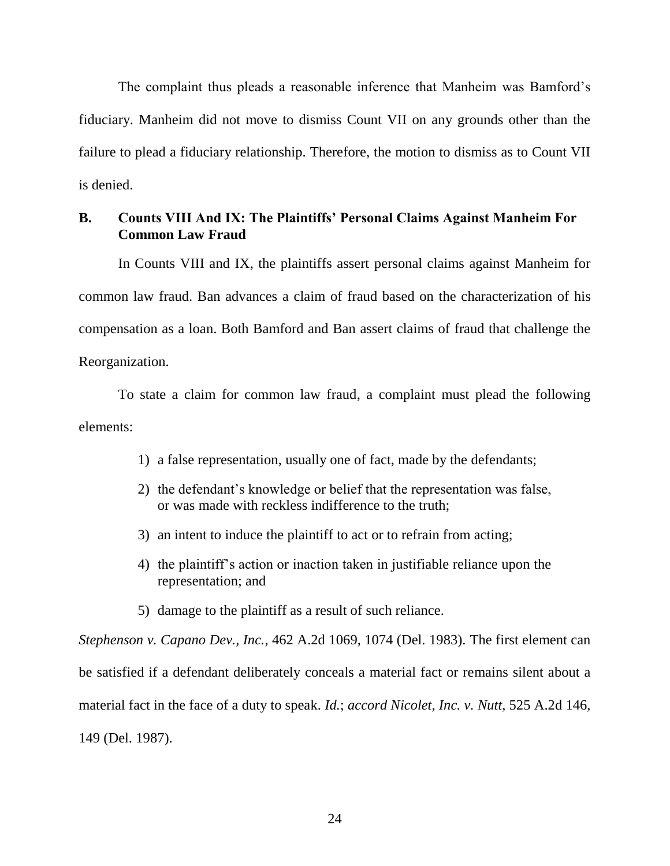The complaint thus pleads a reasonable inference that Manheim was Bamford's fiduciary. Manheim did not move to dismiss Count VII on any grounds other than the failure to plead a fiduciary relationship. Therefore, the motion to dismiss as to Count VII is denied.

## **B. Counts VIII And IX: The Plaintiffs' Personal Claims Against Manheim For Common Law Fraud**

In Counts VIII and IX, the plaintiffs assert personal claims against Manheim for common law fraud. Ban advances a claim of fraud based on the characterization of his compensation as a loan. Both Bamford and Ban assert claims of fraud that challenge the Reorganization.

To state a claim for common law fraud, a complaint must plead the following elements:

- 1) a false representation, usually one of fact, made by the defendants;
- 2) the defendant's knowledge or belief that the representation was false, or was made with reckless indifference to the truth;
- 3) an intent to induce the plaintiff to act or to refrain from acting;
- 4) the plaintiff's action or inaction taken in justifiable reliance upon the representation; and
- 5) damage to the plaintiff as a result of such reliance.

*Stephenson v. Capano Dev., Inc.*, 462 A.2d 1069, 1074 (Del. 1983). The first element can be satisfied if a defendant deliberately conceals a material fact or remains silent about a material fact in the face of a duty to speak. *Id.*; *accord Nicolet, Inc. v. Nutt*, 525 A.2d 146, 149 (Del. 1987).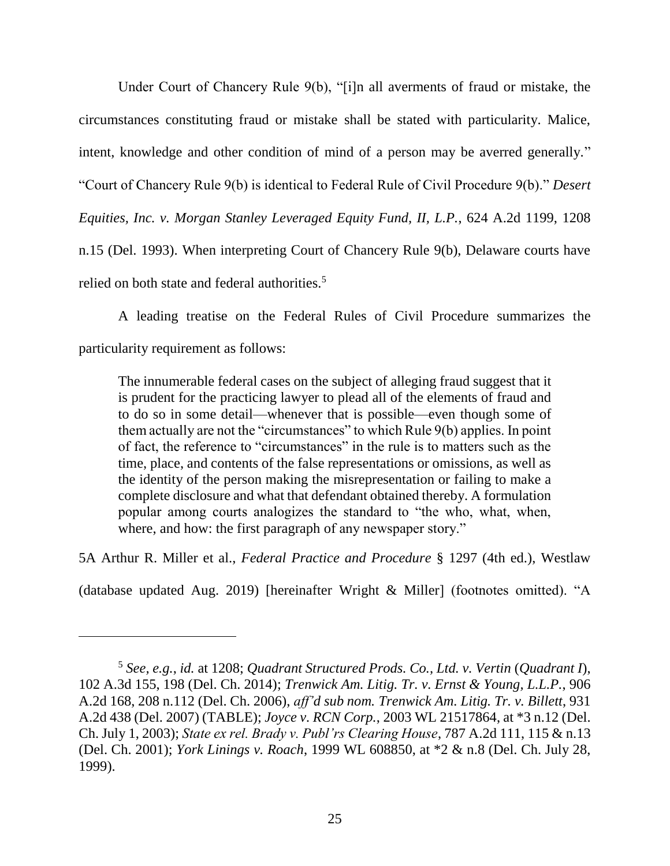Under Court of Chancery Rule 9(b), "[i]n all averments of fraud or mistake, the circumstances constituting fraud or mistake shall be stated with particularity. Malice, intent, knowledge and other condition of mind of a person may be averred generally." "Court of Chancery Rule 9(b) is identical to Federal Rule of Civil Procedure 9(b)." *Desert Equities, Inc. v. Morgan Stanley Leveraged Equity Fund, II, L.P.*, 624 A.2d 1199, 1208 n.15 (Del. 1993). When interpreting Court of Chancery Rule 9(b), Delaware courts have relied on both state and federal authorities.<sup>5</sup>

A leading treatise on the Federal Rules of Civil Procedure summarizes the particularity requirement as follows:

The innumerable federal cases on the subject of alleging fraud suggest that it is prudent for the practicing lawyer to plead all of the elements of fraud and to do so in some detail—whenever that is possible—even though some of them actually are not the "circumstances" to which Rule 9(b) applies. In point of fact, the reference to "circumstances" in the rule is to matters such as the time, place, and contents of the false representations or omissions, as well as the identity of the person making the misrepresentation or failing to make a complete disclosure and what that defendant obtained thereby. A formulation popular among courts analogizes the standard to "the who, what, when, where, and how: the first paragraph of any newspaper story."

5A Arthur R. Miller et al., *Federal Practice and Procedure* § 1297 (4th ed.), Westlaw

(database updated Aug. 2019) [hereinafter Wright & Miller] (footnotes omitted). "A

 $\overline{a}$ 

<sup>5</sup> *See, e.g.*, *id.* at 1208; *Quadrant Structured Prods. Co., Ltd. v. Vertin* (*Quadrant I*), 102 A.3d 155, 198 (Del. Ch. 2014); *Trenwick Am. Litig. Tr. v. Ernst & Young, L.L.P.*, 906 A.2d 168, 208 n.112 (Del. Ch. 2006), *aff'd sub nom. Trenwick Am. Litig. Tr. v. Billett*, 931 A.2d 438 (Del. 2007) (TABLE); *Joyce v. RCN Corp.*, 2003 WL 21517864, at \*3 n.12 (Del. Ch. July 1, 2003); *State ex rel. Brady v. Publ'rs Clearing House*, 787 A.2d 111, 115 & n.13 (Del. Ch. 2001); *York Linings v. Roach*, 1999 WL 608850, at \*2 & n.8 (Del. Ch. July 28, 1999).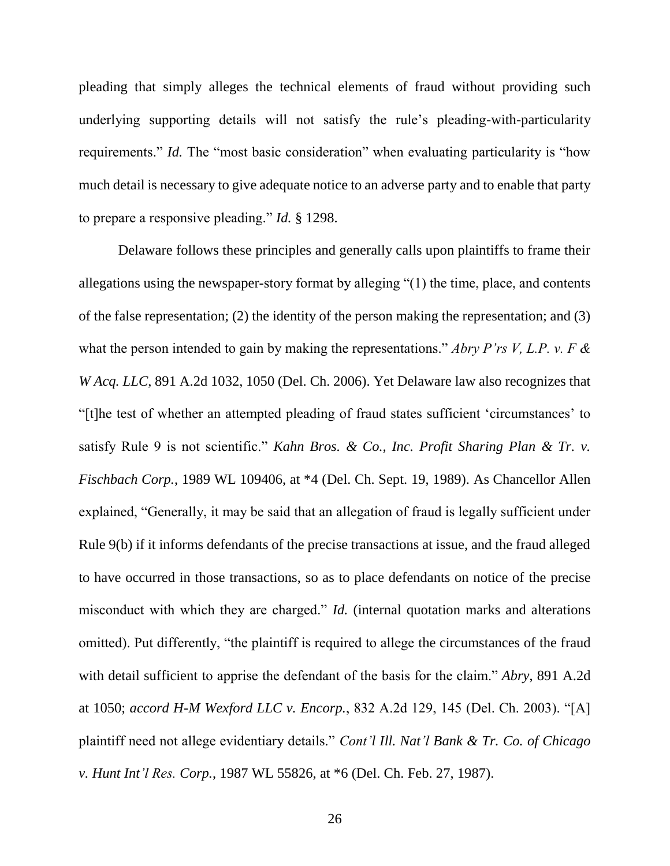pleading that simply alleges the technical elements of fraud without providing such underlying supporting details will not satisfy the rule's pleading-with-particularity requirements." *Id.* The "most basic consideration" when evaluating particularity is "how much detail is necessary to give adequate notice to an adverse party and to enable that party to prepare a responsive pleading." *Id.* § 1298.

Delaware follows these principles and generally calls upon plaintiffs to frame their allegations using the newspaper-story format by alleging "(1) the time, place, and contents of the false representation; (2) the identity of the person making the representation; and (3) what the person intended to gain by making the representations." *Abry P'rs V, L.P. v. F & W Acq. LLC*, 891 A.2d 1032, 1050 (Del. Ch. 2006). Yet Delaware law also recognizes that "[t]he test of whether an attempted pleading of fraud states sufficient 'circumstances' to satisfy Rule 9 is not scientific." *Kahn Bros. & Co., Inc. Profit Sharing Plan & Tr. v. Fischbach Corp.*, 1989 WL 109406, at \*4 (Del. Ch. Sept. 19, 1989). As Chancellor Allen explained, "Generally, it may be said that an allegation of fraud is legally sufficient under Rule 9(b) if it informs defendants of the precise transactions at issue, and the fraud alleged to have occurred in those transactions, so as to place defendants on notice of the precise misconduct with which they are charged." *Id.* (internal quotation marks and alterations omitted). Put differently, "the plaintiff is required to allege the circumstances of the fraud with detail sufficient to apprise the defendant of the basis for the claim." *Abry*, 891 A.2d at 1050; *accord H-M Wexford LLC v. Encorp.*, 832 A.2d 129, 145 (Del. Ch. 2003). "[A] plaintiff need not allege evidentiary details." *Cont'l Ill. Nat'l Bank & Tr. Co. of Chicago v. Hunt Int'l Res. Corp.*, 1987 WL 55826, at \*6 (Del. Ch. Feb. 27, 1987).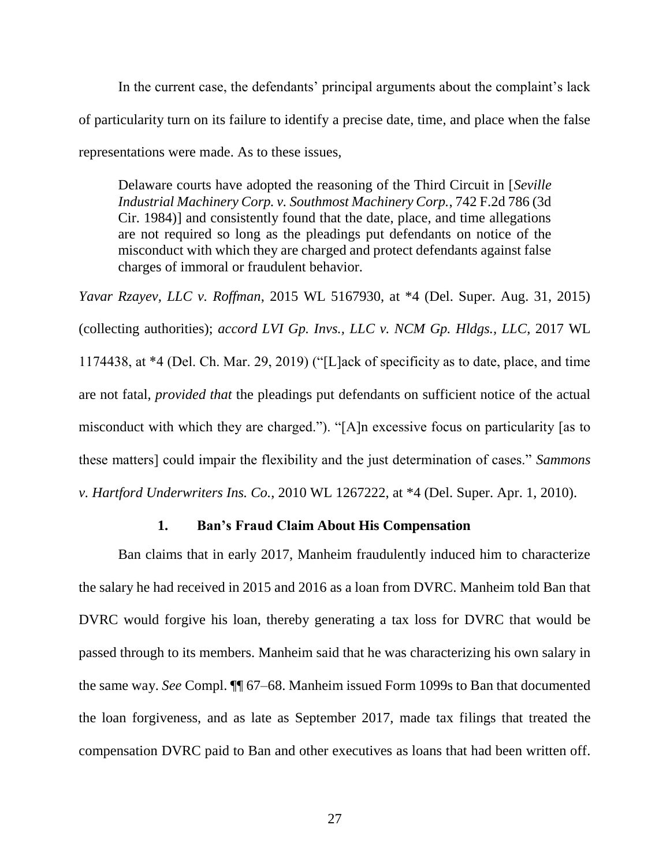In the current case, the defendants' principal arguments about the complaint's lack of particularity turn on its failure to identify a precise date, time, and place when the false representations were made. As to these issues,

Delaware courts have adopted the reasoning of the Third Circuit in [*Seville Industrial Machinery Corp. v. Southmost Machinery Corp.*, 742 F.2d 786 (3d Cir. 1984)] and consistently found that the date, place, and time allegations are not required so long as the pleadings put defendants on notice of the misconduct with which they are charged and protect defendants against false charges of immoral or fraudulent behavior.

*Yavar Rzayev, LLC v. Roffman*, 2015 WL 5167930, at \*4 (Del. Super. Aug. 31, 2015) (collecting authorities); *accord LVI Gp. Invs., LLC v. NCM Gp. Hldgs., LLC*, 2017 WL 1174438, at \*4 (Del. Ch. Mar. 29, 2019) ("[L]ack of specificity as to date, place, and time are not fatal, *provided that* the pleadings put defendants on sufficient notice of the actual misconduct with which they are charged."). "[A]n excessive focus on particularity [as to these matters] could impair the flexibility and the just determination of cases." *Sammons v. Hartford Underwriters Ins. Co.*, 2010 WL 1267222, at \*4 (Del. Super. Apr. 1, 2010).

#### **1. Ban's Fraud Claim About His Compensation**

Ban claims that in early 2017, Manheim fraudulently induced him to characterize the salary he had received in 2015 and 2016 as a loan from DVRC. Manheim told Ban that DVRC would forgive his loan, thereby generating a tax loss for DVRC that would be passed through to its members. Manheim said that he was characterizing his own salary in the same way. *See* Compl. ¶¶ 67–68. Manheim issued Form 1099s to Ban that documented the loan forgiveness, and as late as September 2017, made tax filings that treated the compensation DVRC paid to Ban and other executives as loans that had been written off.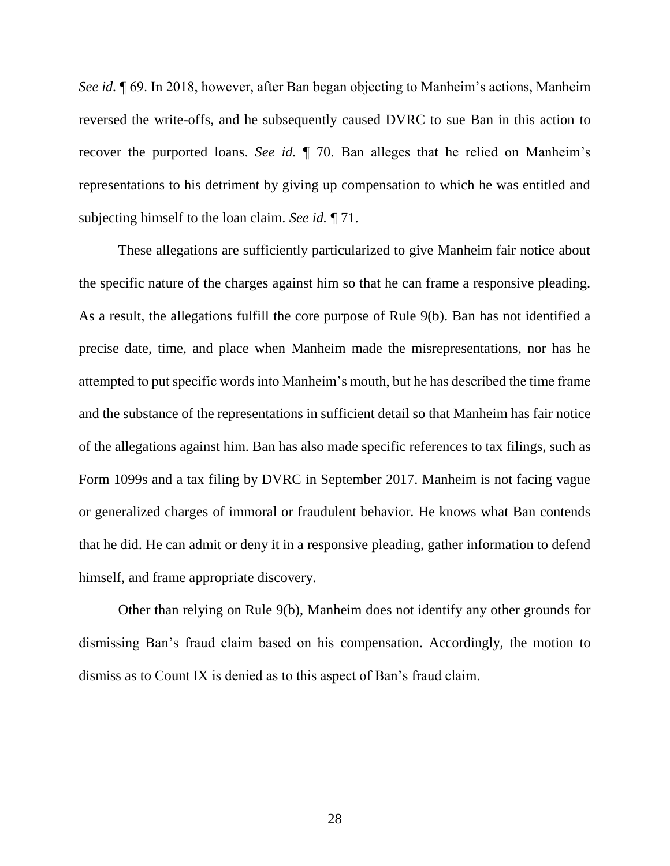*See id.* ¶ 69. In 2018, however, after Ban began objecting to Manheim's actions, Manheim reversed the write-offs, and he subsequently caused DVRC to sue Ban in this action to recover the purported loans. *See id.* ¶ 70. Ban alleges that he relied on Manheim's representations to his detriment by giving up compensation to which he was entitled and subjecting himself to the loan claim. *See id.* ¶ 71.

These allegations are sufficiently particularized to give Manheim fair notice about the specific nature of the charges against him so that he can frame a responsive pleading. As a result, the allegations fulfill the core purpose of Rule 9(b). Ban has not identified a precise date, time, and place when Manheim made the misrepresentations, nor has he attempted to put specific words into Manheim's mouth, but he has described the time frame and the substance of the representations in sufficient detail so that Manheim has fair notice of the allegations against him. Ban has also made specific references to tax filings, such as Form 1099s and a tax filing by DVRC in September 2017. Manheim is not facing vague or generalized charges of immoral or fraudulent behavior. He knows what Ban contends that he did. He can admit or deny it in a responsive pleading, gather information to defend himself, and frame appropriate discovery.

Other than relying on Rule 9(b), Manheim does not identify any other grounds for dismissing Ban's fraud claim based on his compensation. Accordingly, the motion to dismiss as to Count IX is denied as to this aspect of Ban's fraud claim.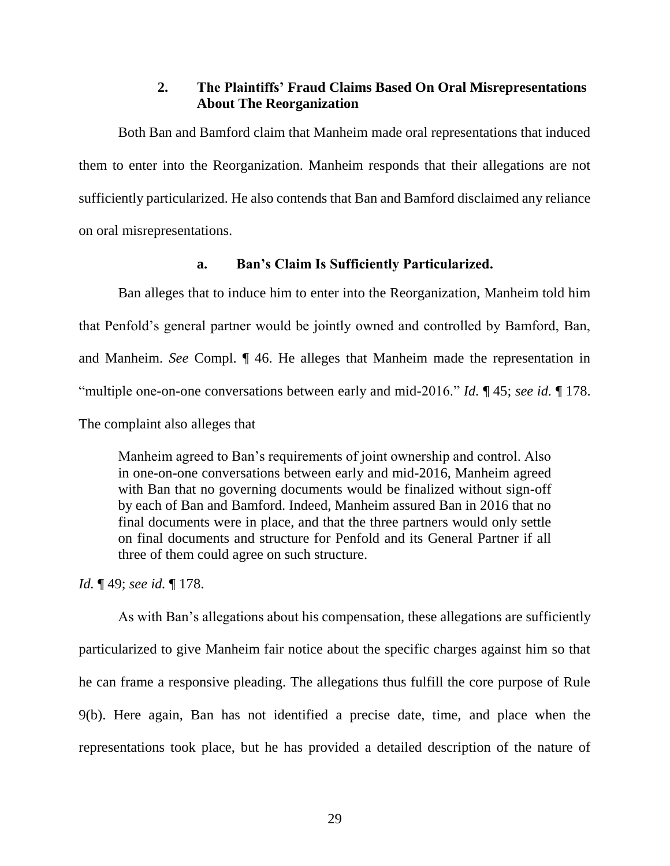## **2. The Plaintiffs' Fraud Claims Based On Oral Misrepresentations About The Reorganization**

Both Ban and Bamford claim that Manheim made oral representations that induced them to enter into the Reorganization. Manheim responds that their allegations are not sufficiently particularized. He also contends that Ban and Bamford disclaimed any reliance on oral misrepresentations.

## **a. Ban's Claim Is Sufficiently Particularized.**

Ban alleges that to induce him to enter into the Reorganization, Manheim told him that Penfold's general partner would be jointly owned and controlled by Bamford, Ban, and Manheim. *See* Compl. ¶ 46. He alleges that Manheim made the representation in "multiple one-on-one conversations between early and mid-2016." *Id.* ¶ 45; *see id.* ¶ 178. The complaint also alleges that

Manheim agreed to Ban's requirements of joint ownership and control. Also in one-on-one conversations between early and mid-2016, Manheim agreed with Ban that no governing documents would be finalized without sign-off by each of Ban and Bamford. Indeed, Manheim assured Ban in 2016 that no final documents were in place, and that the three partners would only settle on final documents and structure for Penfold and its General Partner if all three of them could agree on such structure.

*Id.* ¶ 49; *see id.* ¶ 178.

As with Ban's allegations about his compensation, these allegations are sufficiently particularized to give Manheim fair notice about the specific charges against him so that he can frame a responsive pleading. The allegations thus fulfill the core purpose of Rule 9(b). Here again, Ban has not identified a precise date, time, and place when the representations took place, but he has provided a detailed description of the nature of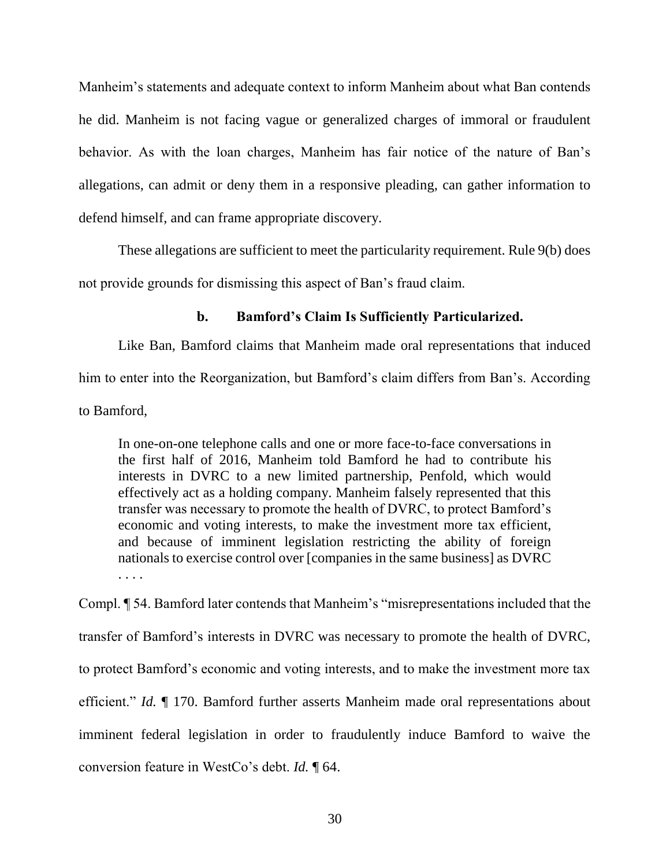Manheim's statements and adequate context to inform Manheim about what Ban contends he did. Manheim is not facing vague or generalized charges of immoral or fraudulent behavior. As with the loan charges, Manheim has fair notice of the nature of Ban's allegations, can admit or deny them in a responsive pleading, can gather information to defend himself, and can frame appropriate discovery.

These allegations are sufficient to meet the particularity requirement. Rule 9(b) does not provide grounds for dismissing this aspect of Ban's fraud claim.

## **b. Bamford's Claim Is Sufficiently Particularized.**

Like Ban, Bamford claims that Manheim made oral representations that induced him to enter into the Reorganization, but Bamford's claim differs from Ban's. According to Bamford,

In one-on-one telephone calls and one or more face-to-face conversations in the first half of 2016, Manheim told Bamford he had to contribute his interests in DVRC to a new limited partnership, Penfold, which would effectively act as a holding company. Manheim falsely represented that this transfer was necessary to promote the health of DVRC, to protect Bamford's economic and voting interests, to make the investment more tax efficient, and because of imminent legislation restricting the ability of foreign nationals to exercise control over [companies in the same business] as DVRC

Compl. ¶ 54. Bamford later contends that Manheim's "misrepresentations included that the transfer of Bamford's interests in DVRC was necessary to promote the health of DVRC, to protect Bamford's economic and voting interests, and to make the investment more tax efficient." *Id.* ¶ 170. Bamford further asserts Manheim made oral representations about imminent federal legislation in order to fraudulently induce Bamford to waive the conversion feature in WestCo's debt. *Id.* ¶ 64.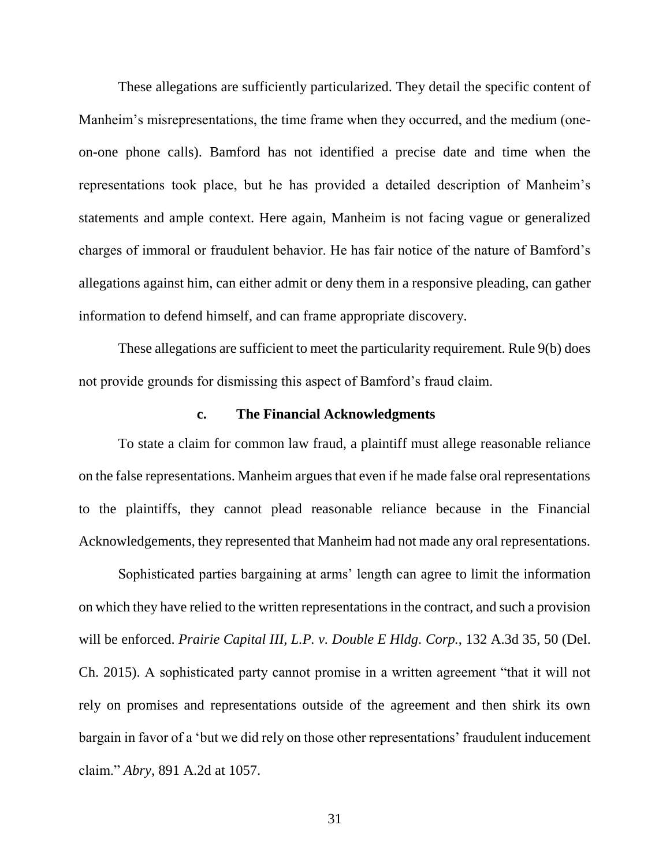These allegations are sufficiently particularized. They detail the specific content of Manheim's misrepresentations, the time frame when they occurred, and the medium (oneon-one phone calls). Bamford has not identified a precise date and time when the representations took place, but he has provided a detailed description of Manheim's statements and ample context. Here again, Manheim is not facing vague or generalized charges of immoral or fraudulent behavior. He has fair notice of the nature of Bamford's allegations against him, can either admit or deny them in a responsive pleading, can gather information to defend himself, and can frame appropriate discovery.

These allegations are sufficient to meet the particularity requirement. Rule 9(b) does not provide grounds for dismissing this aspect of Bamford's fraud claim.

#### **c. The Financial Acknowledgments**

To state a claim for common law fraud, a plaintiff must allege reasonable reliance on the false representations. Manheim argues that even if he made false oral representations to the plaintiffs, they cannot plead reasonable reliance because in the Financial Acknowledgements, they represented that Manheim had not made any oral representations.

Sophisticated parties bargaining at arms' length can agree to limit the information on which they have relied to the written representations in the contract, and such a provision will be enforced. *Prairie Capital III, L.P. v. Double E Hldg. Corp.*, 132 A.3d 35, 50 (Del. Ch. 2015). A sophisticated party cannot promise in a written agreement "that it will not rely on promises and representations outside of the agreement and then shirk its own bargain in favor of a 'but we did rely on those other representations' fraudulent inducement claim." *Abry*, 891 A.2d at 1057.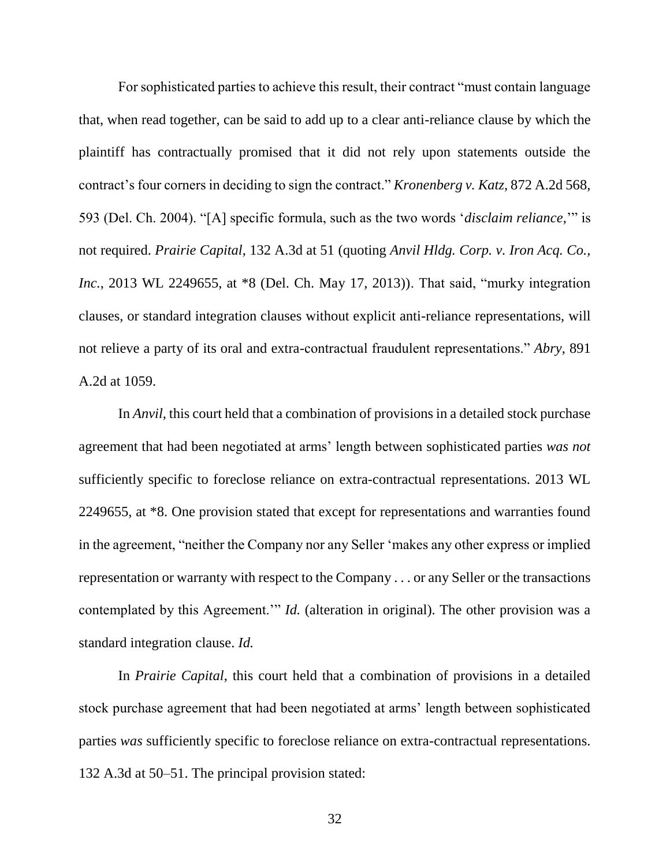For sophisticated parties to achieve this result, their contract "must contain language that, when read together, can be said to add up to a clear anti-reliance clause by which the plaintiff has contractually promised that it did not rely upon statements outside the contract's four corners in deciding to sign the contract." *Kronenberg v. Katz*, 872 A.2d 568, 593 (Del. Ch. 2004). "[A] specific formula, such as the two words '*disclaim reliance*,'" is not required. *Prairie Capital*, 132 A.3d at 51 (quoting *Anvil Hldg. Corp. v. Iron Acq. Co., Inc.*, 2013 WL 2249655, at \*8 (Del. Ch. May 17, 2013)). That said, "murky integration clauses, or standard integration clauses without explicit anti-reliance representations, will not relieve a party of its oral and extra-contractual fraudulent representations." *Abry*, 891 A.2d at 1059.

In *Anvil*, this court held that a combination of provisions in a detailed stock purchase agreement that had been negotiated at arms' length between sophisticated parties *was not* sufficiently specific to foreclose reliance on extra-contractual representations. 2013 WL 2249655, at \*8. One provision stated that except for representations and warranties found in the agreement, "neither the Company nor any Seller 'makes any other express or implied representation or warranty with respect to the Company . . . or any Seller or the transactions contemplated by this Agreement.'" *Id.* (alteration in original). The other provision was a standard integration clause. *Id.*

In *Prairie Capital*, this court held that a combination of provisions in a detailed stock purchase agreement that had been negotiated at arms' length between sophisticated parties *was* sufficiently specific to foreclose reliance on extra-contractual representations. 132 A.3d at 50–51. The principal provision stated: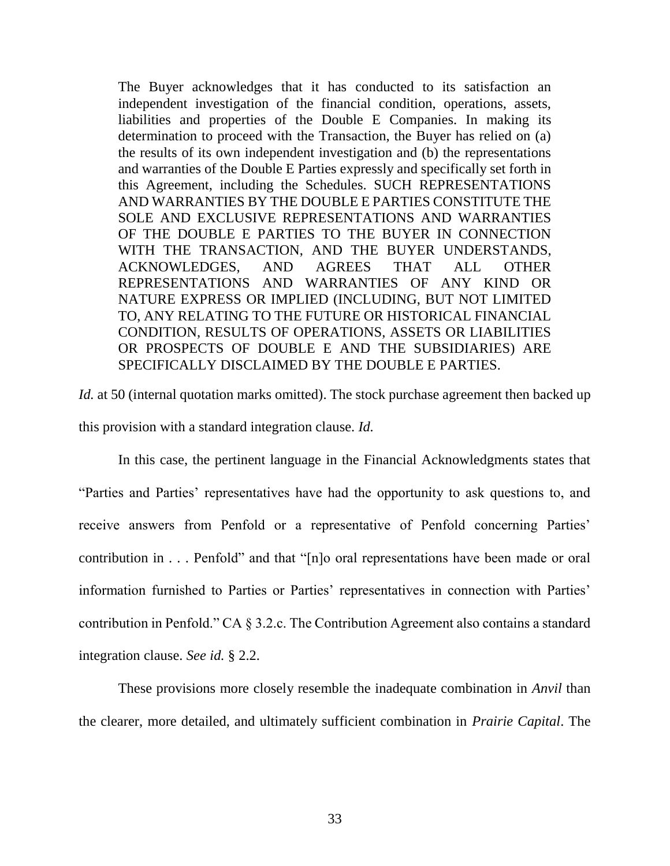The Buyer acknowledges that it has conducted to its satisfaction an independent investigation of the financial condition, operations, assets, liabilities and properties of the Double E Companies. In making its determination to proceed with the Transaction, the Buyer has relied on (a) the results of its own independent investigation and (b) the representations and warranties of the Double E Parties expressly and specifically set forth in this Agreement, including the Schedules. SUCH REPRESENTATIONS AND WARRANTIES BY THE DOUBLE E PARTIES CONSTITUTE THE SOLE AND EXCLUSIVE REPRESENTATIONS AND WARRANTIES OF THE DOUBLE E PARTIES TO THE BUYER IN CONNECTION WITH THE TRANSACTION, AND THE BUYER UNDERSTANDS, ACKNOWLEDGES, AND AGREES THAT ALL OTHER REPRESENTATIONS AND WARRANTIES OF ANY KIND OR NATURE EXPRESS OR IMPLIED (INCLUDING, BUT NOT LIMITED TO, ANY RELATING TO THE FUTURE OR HISTORICAL FINANCIAL CONDITION, RESULTS OF OPERATIONS, ASSETS OR LIABILITIES OR PROSPECTS OF DOUBLE E AND THE SUBSIDIARIES) ARE SPECIFICALLY DISCLAIMED BY THE DOUBLE E PARTIES.

*Id.* at 50 (internal quotation marks omitted). The stock purchase agreement then backed up this provision with a standard integration clause. *Id.* 

In this case, the pertinent language in the Financial Acknowledgments states that "Parties and Parties' representatives have had the opportunity to ask questions to, and receive answers from Penfold or a representative of Penfold concerning Parties' contribution in . . . Penfold" and that "[n]o oral representations have been made or oral information furnished to Parties or Parties' representatives in connection with Parties' contribution in Penfold." CA § 3.2.c. The Contribution Agreement also contains a standard integration clause. *See id.* § 2.2.

These provisions more closely resemble the inadequate combination in *Anvil* than the clearer, more detailed, and ultimately sufficient combination in *Prairie Capital*. The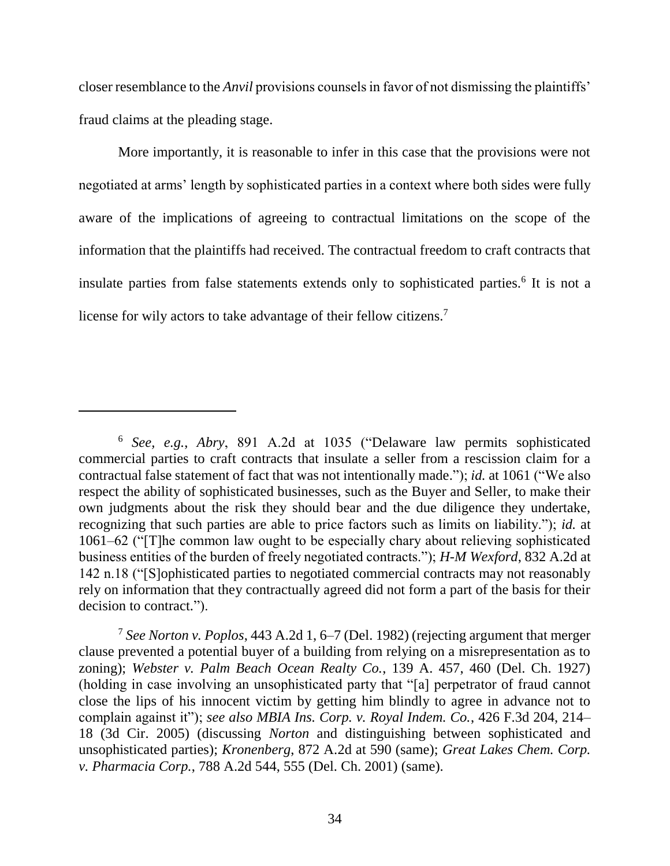closer resemblance to the *Anvil* provisions counsels in favor of not dismissing the plaintiffs' fraud claims at the pleading stage.

More importantly, it is reasonable to infer in this case that the provisions were not negotiated at arms' length by sophisticated parties in a context where both sides were fully aware of the implications of agreeing to contractual limitations on the scope of the information that the plaintiffs had received. The contractual freedom to craft contracts that insulate parties from false statements extends only to sophisticated parties.<sup>6</sup> It is not a license for wily actors to take advantage of their fellow citizens.<sup>7</sup>

 $\overline{a}$ 

<sup>6</sup> *See, e.g.*, *Abry*, 891 A.2d at 1035 ("Delaware law permits sophisticated commercial parties to craft contracts that insulate a seller from a rescission claim for a contractual false statement of fact that was not intentionally made."); *id.* at 1061 ("We also respect the ability of sophisticated businesses, such as the Buyer and Seller, to make their own judgments about the risk they should bear and the due diligence they undertake, recognizing that such parties are able to price factors such as limits on liability."); *id.* at 1061–62 ("[T]he common law ought to be especially chary about relieving sophisticated business entities of the burden of freely negotiated contracts."); *H-M Wexford*, 832 A.2d at 142 n.18 ("[S]ophisticated parties to negotiated commercial contracts may not reasonably rely on information that they contractually agreed did not form a part of the basis for their decision to contract.").

<sup>7</sup> *See Norton v. Poplos*, 443 A.2d 1, 6–7 (Del. 1982) (rejecting argument that merger clause prevented a potential buyer of a building from relying on a misrepresentation as to zoning); *Webster v. Palm Beach Ocean Realty Co.*, 139 A. 457, 460 (Del. Ch. 1927) (holding in case involving an unsophisticated party that "[a] perpetrator of fraud cannot close the lips of his innocent victim by getting him blindly to agree in advance not to complain against it"); *see also MBIA Ins. Corp. v. Royal Indem. Co.*, 426 F.3d 204, 214– 18 (3d Cir. 2005) (discussing *Norton* and distinguishing between sophisticated and unsophisticated parties); *Kronenberg*, 872 A.2d at 590 (same); *Great Lakes Chem. Corp. v. Pharmacia Corp.*, 788 A.2d 544, 555 (Del. Ch. 2001) (same).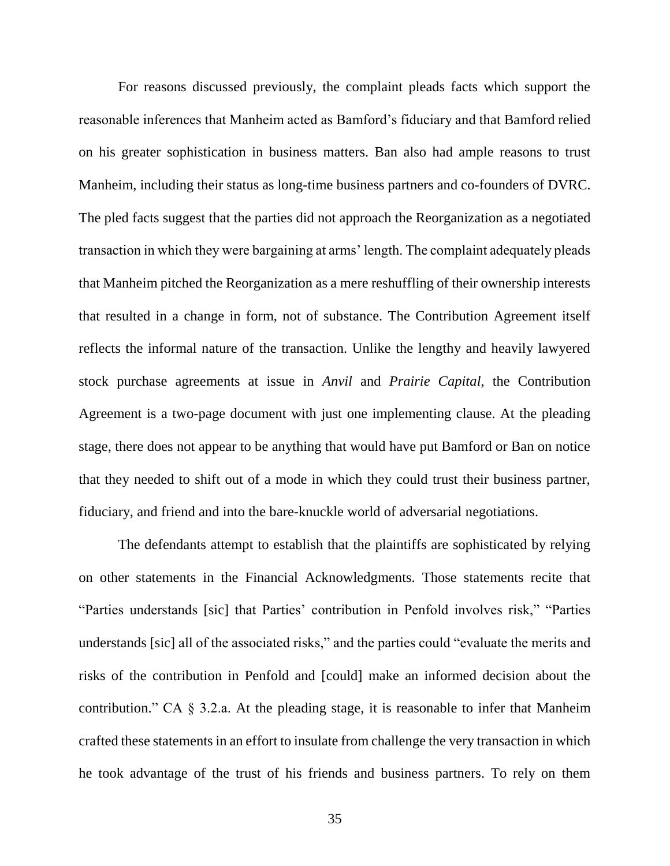For reasons discussed previously, the complaint pleads facts which support the reasonable inferences that Manheim acted as Bamford's fiduciary and that Bamford relied on his greater sophistication in business matters. Ban also had ample reasons to trust Manheim, including their status as long-time business partners and co-founders of DVRC. The pled facts suggest that the parties did not approach the Reorganization as a negotiated transaction in which they were bargaining at arms' length. The complaint adequately pleads that Manheim pitched the Reorganization as a mere reshuffling of their ownership interests that resulted in a change in form, not of substance. The Contribution Agreement itself reflects the informal nature of the transaction. Unlike the lengthy and heavily lawyered stock purchase agreements at issue in *Anvil* and *Prairie Capital*, the Contribution Agreement is a two-page document with just one implementing clause. At the pleading stage, there does not appear to be anything that would have put Bamford or Ban on notice that they needed to shift out of a mode in which they could trust their business partner, fiduciary, and friend and into the bare-knuckle world of adversarial negotiations.

The defendants attempt to establish that the plaintiffs are sophisticated by relying on other statements in the Financial Acknowledgments. Those statements recite that "Parties understands [sic] that Parties' contribution in Penfold involves risk," "Parties understands [sic] all of the associated risks," and the parties could "evaluate the merits and risks of the contribution in Penfold and [could] make an informed decision about the contribution." CA § 3.2.a. At the pleading stage, it is reasonable to infer that Manheim crafted these statements in an effort to insulate from challenge the very transaction in which he took advantage of the trust of his friends and business partners. To rely on them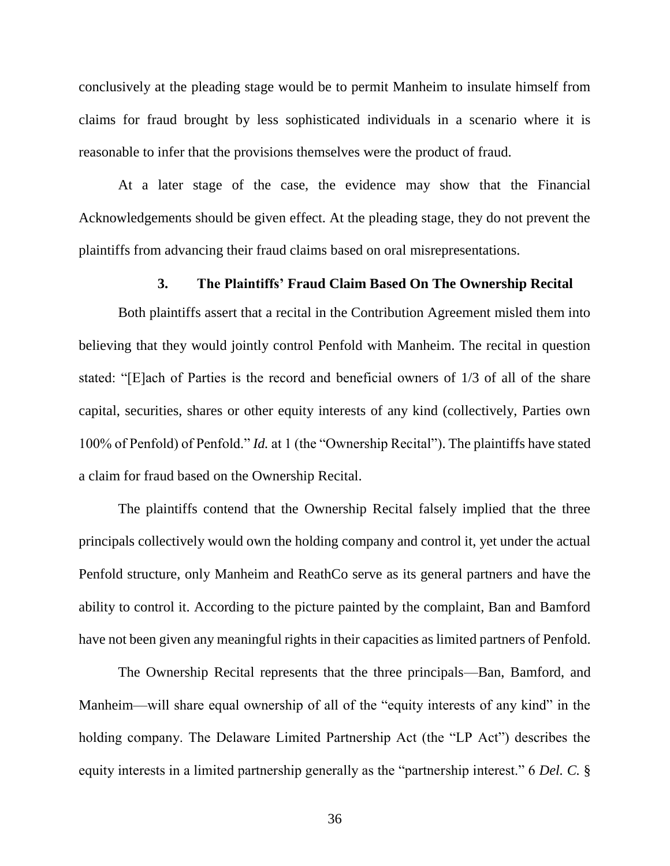conclusively at the pleading stage would be to permit Manheim to insulate himself from claims for fraud brought by less sophisticated individuals in a scenario where it is reasonable to infer that the provisions themselves were the product of fraud.

At a later stage of the case, the evidence may show that the Financial Acknowledgements should be given effect. At the pleading stage, they do not prevent the plaintiffs from advancing their fraud claims based on oral misrepresentations.

### **3. The Plaintiffs' Fraud Claim Based On The Ownership Recital**

Both plaintiffs assert that a recital in the Contribution Agreement misled them into believing that they would jointly control Penfold with Manheim. The recital in question stated: "[E]ach of Parties is the record and beneficial owners of 1/3 of all of the share capital, securities, shares or other equity interests of any kind (collectively, Parties own 100% of Penfold) of Penfold." *Id.* at 1 (the "Ownership Recital"). The plaintiffs have stated a claim for fraud based on the Ownership Recital.

The plaintiffs contend that the Ownership Recital falsely implied that the three principals collectively would own the holding company and control it, yet under the actual Penfold structure, only Manheim and ReathCo serve as its general partners and have the ability to control it. According to the picture painted by the complaint, Ban and Bamford have not been given any meaningful rights in their capacities as limited partners of Penfold.

The Ownership Recital represents that the three principals—Ban, Bamford, and Manheim—will share equal ownership of all of the "equity interests of any kind" in the holding company. The Delaware Limited Partnership Act (the "LP Act") describes the equity interests in a limited partnership generally as the "partnership interest." 6 *Del. C.* §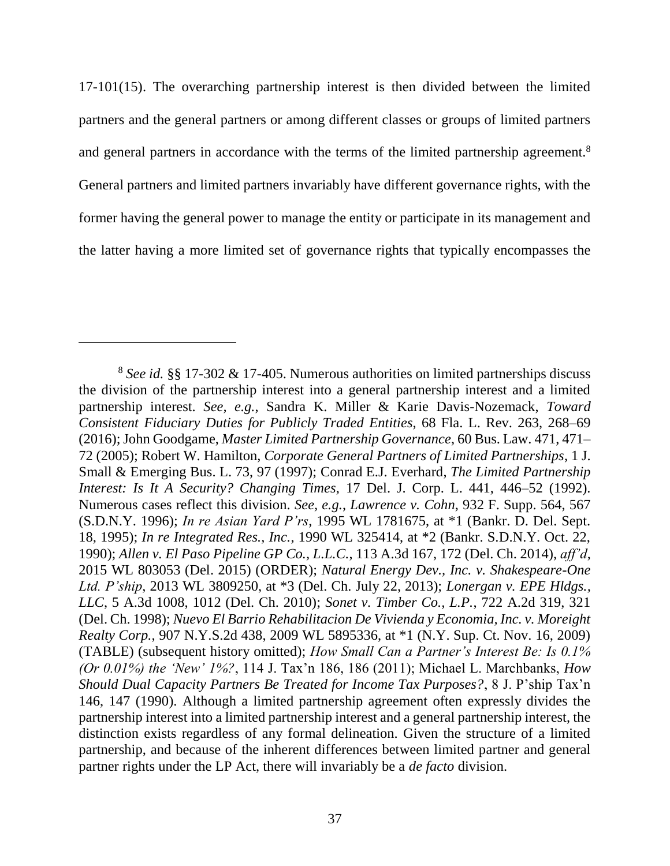17-101(15). The overarching partnership interest is then divided between the limited partners and the general partners or among different classes or groups of limited partners and general partners in accordance with the terms of the limited partnership agreement.<sup>8</sup> General partners and limited partners invariably have different governance rights, with the former having the general power to manage the entity or participate in its management and the latter having a more limited set of governance rights that typically encompasses the

<sup>8</sup> *See id.* §§ 17-302 & 17-405. Numerous authorities on limited partnerships discuss the division of the partnership interest into a general partnership interest and a limited partnership interest. *See, e.g.*, Sandra K. Miller & Karie Davis-Nozemack, *Toward Consistent Fiduciary Duties for Publicly Traded Entities*, 68 Fla. L. Rev. 263, 268–69 (2016); John Goodgame, *Master Limited Partnership Governance*, 60 Bus. Law. 471, 471– 72 (2005); Robert W. Hamilton, *Corporate General Partners of Limited Partnerships*, 1 J. Small & Emerging Bus. L. 73, 97 (1997); Conrad E.J. Everhard, *The Limited Partnership Interest: Is It A Security? Changing Times*, 17 Del. J. Corp. L. 441, 446–52 (1992). Numerous cases reflect this division. *See, e.g.*, *Lawrence v. Cohn*, 932 F. Supp. 564, 567 (S.D.N.Y. 1996); *In re Asian Yard P'rs*, 1995 WL 1781675, at \*1 (Bankr. D. Del. Sept. 18, 1995); *In re Integrated Res., Inc.*, 1990 WL 325414, at \*2 (Bankr. S.D.N.Y. Oct. 22, 1990); *Allen v. El Paso Pipeline GP Co., L.L.C.*, 113 A.3d 167, 172 (Del. Ch. 2014), *aff'd*, 2015 WL 803053 (Del. 2015) (ORDER); *Natural Energy Dev., Inc. v. Shakespeare-One Ltd. P'ship*, 2013 WL 3809250, at \*3 (Del. Ch. July 22, 2013); *Lonergan v. EPE Hldgs., LLC*, 5 A.3d 1008, 1012 (Del. Ch. 2010); *Sonet v. Timber Co., L.P.*, 722 A.2d 319, 321 (Del. Ch. 1998); *Nuevo El Barrio Rehabilitacion De Vivienda y Economia, Inc. v. Moreight Realty Corp.*, 907 N.Y.S.2d 438, 2009 WL 5895336, at \*1 (N.Y. Sup. Ct. Nov. 16, 2009) (TABLE) (subsequent history omitted); *How Small Can a Partner's Interest Be: Is 0.1% (Or 0.01%) the 'New' 1%?*, 114 J. Tax'n 186, 186 (2011); Michael L. Marchbanks, *How Should Dual Capacity Partners Be Treated for Income Tax Purposes?*, 8 J. P'ship Tax'n 146, 147 (1990). Although a limited partnership agreement often expressly divides the partnership interest into a limited partnership interest and a general partnership interest, the distinction exists regardless of any formal delineation. Given the structure of a limited partnership, and because of the inherent differences between limited partner and general partner rights under the LP Act, there will invariably be a *de facto* division.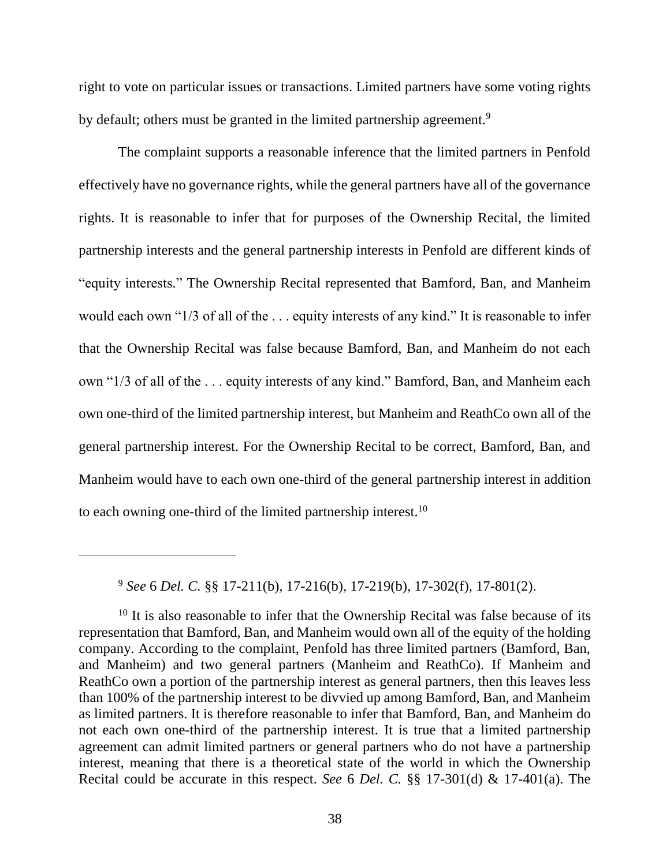right to vote on particular issues or transactions. Limited partners have some voting rights by default; others must be granted in the limited partnership agreement.<sup>9</sup>

The complaint supports a reasonable inference that the limited partners in Penfold effectively have no governance rights, while the general partners have all of the governance rights. It is reasonable to infer that for purposes of the Ownership Recital, the limited partnership interests and the general partnership interests in Penfold are different kinds of "equity interests." The Ownership Recital represented that Bamford, Ban, and Manheim would each own "1/3 of all of the . . . equity interests of any kind." It is reasonable to infer that the Ownership Recital was false because Bamford, Ban, and Manheim do not each own "1/3 of all of the . . . equity interests of any kind." Bamford, Ban, and Manheim each own one-third of the limited partnership interest, but Manheim and ReathCo own all of the general partnership interest. For the Ownership Recital to be correct, Bamford, Ban, and Manheim would have to each own one-third of the general partnership interest in addition to each owning one-third of the limited partnership interest.<sup>10</sup>

<sup>9</sup> *See* 6 *Del. C.* §§ 17-211(b), 17-216(b), 17-219(b), 17-302(f), 17-801(2).

 $\overline{a}$ 

<sup>10</sup> It is also reasonable to infer that the Ownership Recital was false because of its representation that Bamford, Ban, and Manheim would own all of the equity of the holding company. According to the complaint, Penfold has three limited partners (Bamford, Ban, and Manheim) and two general partners (Manheim and ReathCo). If Manheim and ReathCo own a portion of the partnership interest as general partners, then this leaves less than 100% of the partnership interest to be divvied up among Bamford, Ban, and Manheim as limited partners. It is therefore reasonable to infer that Bamford, Ban, and Manheim do not each own one-third of the partnership interest. It is true that a limited partnership agreement can admit limited partners or general partners who do not have a partnership interest, meaning that there is a theoretical state of the world in which the Ownership Recital could be accurate in this respect. *See* 6 *Del. C.* §§ 17-301(d) & 17-401(a). The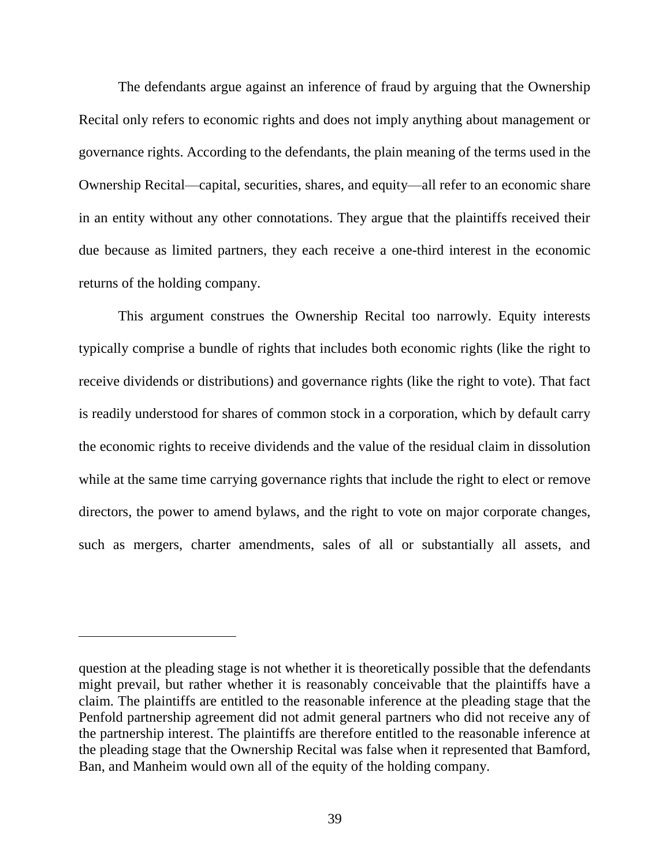The defendants argue against an inference of fraud by arguing that the Ownership Recital only refers to economic rights and does not imply anything about management or governance rights. According to the defendants, the plain meaning of the terms used in the Ownership Recital—capital, securities, shares, and equity—all refer to an economic share in an entity without any other connotations. They argue that the plaintiffs received their due because as limited partners, they each receive a one-third interest in the economic returns of the holding company.

This argument construes the Ownership Recital too narrowly. Equity interests typically comprise a bundle of rights that includes both economic rights (like the right to receive dividends or distributions) and governance rights (like the right to vote). That fact is readily understood for shares of common stock in a corporation, which by default carry the economic rights to receive dividends and the value of the residual claim in dissolution while at the same time carrying governance rights that include the right to elect or remove directors, the power to amend bylaws, and the right to vote on major corporate changes, such as mergers, charter amendments, sales of all or substantially all assets, and

question at the pleading stage is not whether it is theoretically possible that the defendants might prevail, but rather whether it is reasonably conceivable that the plaintiffs have a claim. The plaintiffs are entitled to the reasonable inference at the pleading stage that the Penfold partnership agreement did not admit general partners who did not receive any of the partnership interest. The plaintiffs are therefore entitled to the reasonable inference at the pleading stage that the Ownership Recital was false when it represented that Bamford, Ban, and Manheim would own all of the equity of the holding company.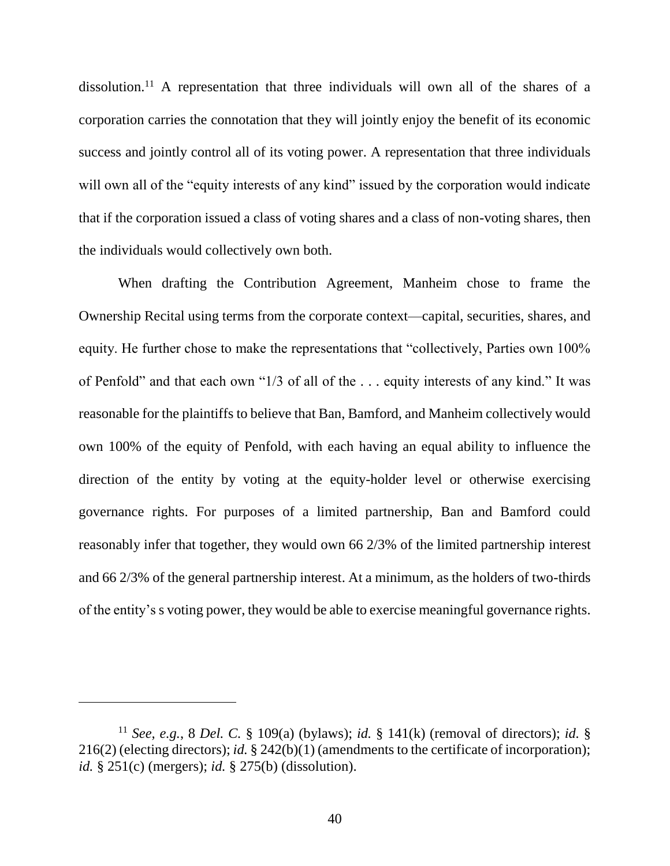dissolution.<sup>11</sup> A representation that three individuals will own all of the shares of a corporation carries the connotation that they will jointly enjoy the benefit of its economic success and jointly control all of its voting power. A representation that three individuals will own all of the "equity interests of any kind" issued by the corporation would indicate that if the corporation issued a class of voting shares and a class of non-voting shares, then the individuals would collectively own both.

When drafting the Contribution Agreement, Manheim chose to frame the Ownership Recital using terms from the corporate context—capital, securities, shares, and equity. He further chose to make the representations that "collectively, Parties own 100% of Penfold" and that each own "1/3 of all of the . . . equity interests of any kind." It was reasonable for the plaintiffs to believe that Ban, Bamford, and Manheim collectively would own 100% of the equity of Penfold, with each having an equal ability to influence the direction of the entity by voting at the equity-holder level or otherwise exercising governance rights. For purposes of a limited partnership, Ban and Bamford could reasonably infer that together, they would own 66 2/3% of the limited partnership interest and 66 2/3% of the general partnership interest. At a minimum, as the holders of two-thirds of the entity's s voting power, they would be able to exercise meaningful governance rights.

<sup>11</sup> *See, e.g.*, 8 *Del. C.* § 109(a) (bylaws); *id.* § 141(k) (removal of directors); *id.* § 216(2) (electing directors); *id.* § 242(b)(1) (amendments to the certificate of incorporation); *id.* § 251(c) (mergers); *id.* § 275(b) (dissolution).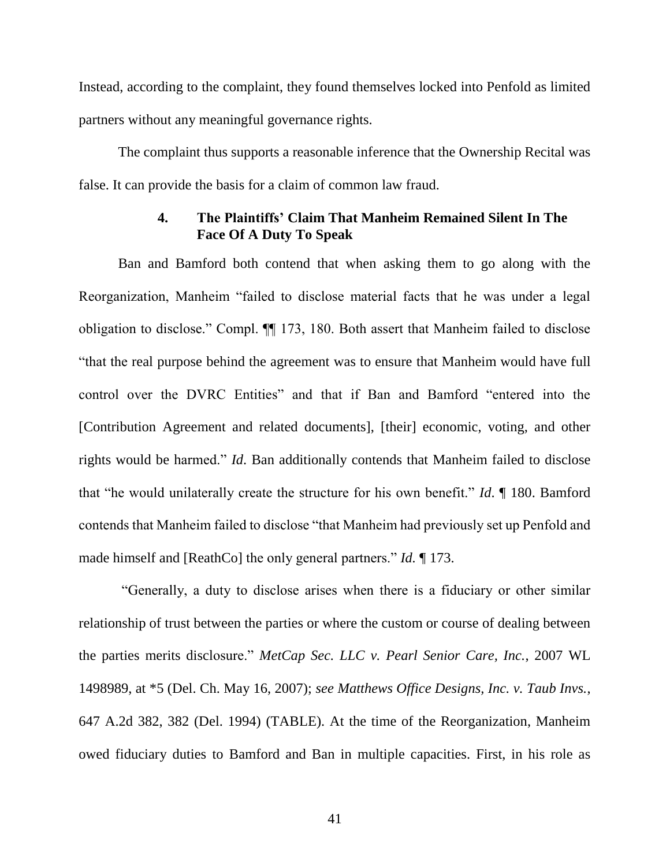Instead, according to the complaint, they found themselves locked into Penfold as limited partners without any meaningful governance rights.

The complaint thus supports a reasonable inference that the Ownership Recital was false. It can provide the basis for a claim of common law fraud.

## **4. The Plaintiffs' Claim That Manheim Remained Silent In The Face Of A Duty To Speak**

Ban and Bamford both contend that when asking them to go along with the Reorganization, Manheim "failed to disclose material facts that he was under a legal obligation to disclose." Compl. ¶¶ 173, 180. Both assert that Manheim failed to disclose "that the real purpose behind the agreement was to ensure that Manheim would have full control over the DVRC Entities" and that if Ban and Bamford "entered into the [Contribution Agreement and related documents], [their] economic, voting, and other rights would be harmed." *Id*. Ban additionally contends that Manheim failed to disclose that "he would unilaterally create the structure for his own benefit." *Id*. ¶ 180. Bamford contends that Manheim failed to disclose "that Manheim had previously set up Penfold and made himself and [ReathCo] the only general partners." *Id.* ¶ 173.

"Generally, a duty to disclose arises when there is a fiduciary or other similar relationship of trust between the parties or where the custom or course of dealing between the parties merits disclosure." *MetCap Sec. LLC v. Pearl Senior Care, Inc.*, 2007 WL 1498989, at \*5 (Del. Ch. May 16, 2007); *see Matthews Office Designs, Inc. v. Taub Invs.*, 647 A.2d 382, 382 (Del. 1994) (TABLE). At the time of the Reorganization, Manheim owed fiduciary duties to Bamford and Ban in multiple capacities. First, in his role as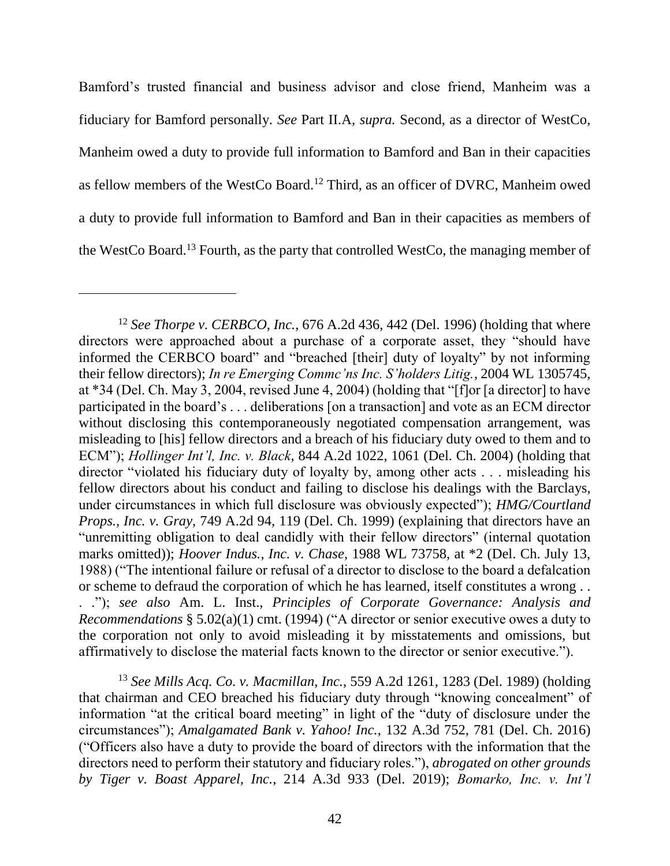Bamford's trusted financial and business advisor and close friend, Manheim was a fiduciary for Bamford personally. *See* Part II.A, *supra.* Second, as a director of WestCo, Manheim owed a duty to provide full information to Bamford and Ban in their capacities as fellow members of the WestCo Board.<sup>12</sup> Third, as an officer of DVRC, Manheim owed a duty to provide full information to Bamford and Ban in their capacities as members of the WestCo Board.<sup>13</sup> Fourth, as the party that controlled WestCo, the managing member of

<sup>13</sup> *See Mills Acq. Co. v. Macmillan, Inc.*, 559 A.2d 1261, 1283 (Del. 1989) (holding that chairman and CEO breached his fiduciary duty through "knowing concealment" of information "at the critical board meeting" in light of the "duty of disclosure under the circumstances"); *Amalgamated Bank v. Yahoo! Inc.*, 132 A.3d 752, 781 (Del. Ch. 2016) ("Officers also have a duty to provide the board of directors with the information that the directors need to perform their statutory and fiduciary roles."), *abrogated on other grounds by Tiger v. Boast Apparel, Inc.*, 214 A.3d 933 (Del. 2019); *Bomarko, Inc. v. Int'l* 

<sup>12</sup> *See Thorpe v. CERBCO, Inc.*, 676 A.2d 436, 442 (Del. 1996) (holding that where directors were approached about a purchase of a corporate asset, they "should have informed the CERBCO board" and "breached [their] duty of loyalty" by not informing their fellow directors); *In re Emerging Commc'ns Inc. S'holders Litig.*, 2004 WL 1305745, at \*34 (Del. Ch. May 3, 2004, revised June 4, 2004) (holding that "[f]or [a director] to have participated in the board's . . . deliberations [on a transaction] and vote as an ECM director without disclosing this contemporaneously negotiated compensation arrangement, was misleading to [his] fellow directors and a breach of his fiduciary duty owed to them and to ECM"); *Hollinger Int'l, Inc. v. Black*, 844 A.2d 1022, 1061 (Del. Ch. 2004) (holding that director "violated his fiduciary duty of loyalty by, among other acts . . . misleading his fellow directors about his conduct and failing to disclose his dealings with the Barclays, under circumstances in which full disclosure was obviously expected"); *HMG/Courtland Props., Inc. v. Gray*, 749 A.2d 94, 119 (Del. Ch. 1999) (explaining that directors have an "unremitting obligation to deal candidly with their fellow directors" (internal quotation marks omitted)); *Hoover Indus., Inc. v. Chase*, 1988 WL 73758, at \*2 (Del. Ch. July 13, 1988) ("The intentional failure or refusal of a director to disclose to the board a defalcation or scheme to defraud the corporation of which he has learned, itself constitutes a wrong . . . ."); *see also* Am. L. Inst., *Principles of Corporate Governance: Analysis and Recommendations* § 5.02(a)(1) cmt. (1994) ("A director or senior executive owes a duty to the corporation not only to avoid misleading it by misstatements and omissions, but affirmatively to disclose the material facts known to the director or senior executive.").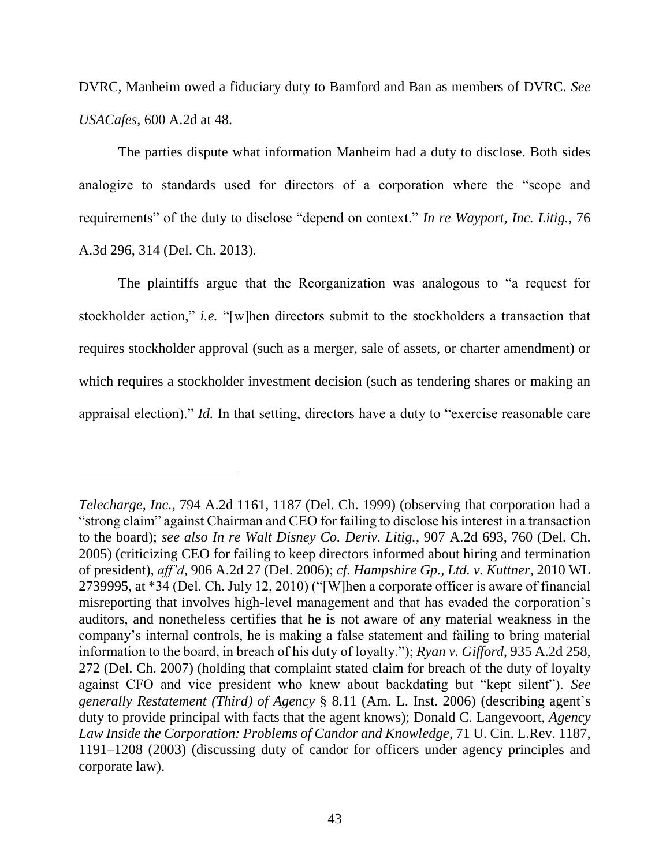DVRC, Manheim owed a fiduciary duty to Bamford and Ban as members of DVRC. *See USACafes*, 600 A.2d at 48.

The parties dispute what information Manheim had a duty to disclose. Both sides analogize to standards used for directors of a corporation where the "scope and requirements" of the duty to disclose "depend on context." *In re Wayport, Inc. Litig.*, 76 A.3d 296, 314 (Del. Ch. 2013).

The plaintiffs argue that the Reorganization was analogous to "a request for stockholder action," *i.e.* "[w]hen directors submit to the stockholders a transaction that requires stockholder approval (such as a merger, sale of assets, or charter amendment) or which requires a stockholder investment decision (such as tendering shares or making an appraisal election)." *Id.* In that setting, directors have a duty to "exercise reasonable care

*Telecharge, Inc.*, 794 A.2d 1161, 1187 (Del. Ch. 1999) (observing that corporation had a "strong claim" against Chairman and CEO for failing to disclose his interest in a transaction to the board); *see also In re Walt Disney Co. Deriv. Litig.*, 907 A.2d 693, 760 (Del. Ch. 2005) (criticizing CEO for failing to keep directors informed about hiring and termination of president), *aff'd*, 906 A.2d 27 (Del. 2006); *cf. Hampshire Gp., Ltd. v. Kuttner*, 2010 WL 2739995, at \*34 (Del. Ch. July 12, 2010) ("[W]hen a corporate officer is aware of financial misreporting that involves high-level management and that has evaded the corporation's auditors, and nonetheless certifies that he is not aware of any material weakness in the company's internal controls, he is making a false statement and failing to bring material information to the board, in breach of his duty of loyalty."); *Ryan v. Gifford*, 935 A.2d 258, 272 (Del. Ch. 2007) (holding that complaint stated claim for breach of the duty of loyalty against CFO and vice president who knew about backdating but "kept silent"). *See generally Restatement (Third) of Agency* § 8.11 (Am. L. Inst. 2006) (describing agent's duty to provide principal with facts that the agent knows); Donald C. Langevoort, *Agency Law Inside the Corporation: Problems of Candor and Knowledge*, 71 U. Cin. L.Rev. 1187, 1191–1208 (2003) (discussing duty of candor for officers under agency principles and corporate law).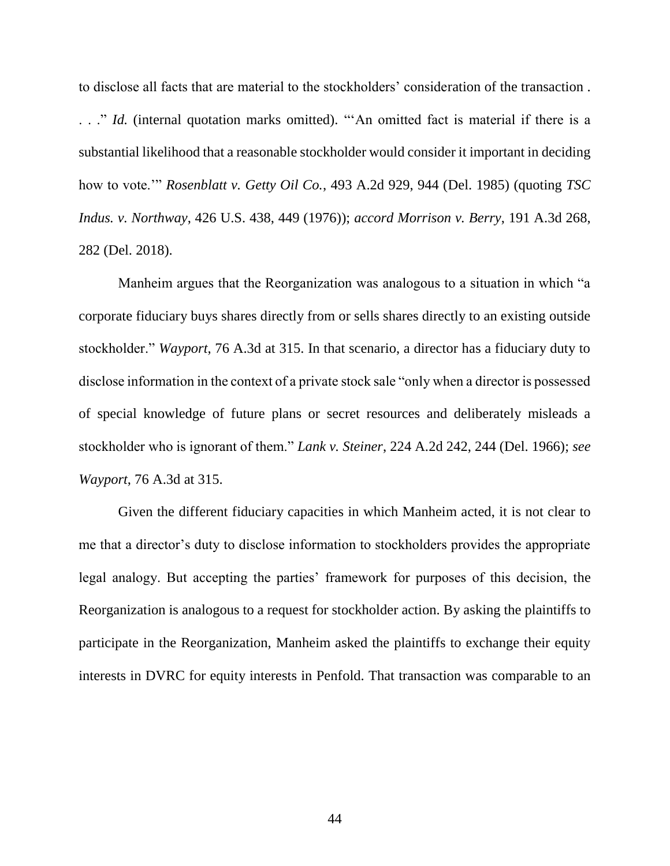to disclose all facts that are material to the stockholders' consideration of the transaction . . . ." *Id.* (internal quotation marks omitted). "An omitted fact is material if there is a substantial likelihood that a reasonable stockholder would consider it important in deciding how to vote.'" *Rosenblatt v. Getty Oil Co.*, 493 A.2d 929, 944 (Del. 1985) (quoting *TSC Indus. v. Northway*, 426 U.S. 438, 449 (1976)); *accord Morrison v. Berry*, 191 A.3d 268, 282 (Del. 2018).

Manheim argues that the Reorganization was analogous to a situation in which "a corporate fiduciary buys shares directly from or sells shares directly to an existing outside stockholder." *Wayport*, 76 A.3d at 315. In that scenario, a director has a fiduciary duty to disclose information in the context of a private stock sale "only when a director is possessed of special knowledge of future plans or secret resources and deliberately misleads a stockholder who is ignorant of them." *Lank v. Steiner*, 224 A.2d 242, 244 (Del. 1966); *see Wayport*, 76 A.3d at 315.

Given the different fiduciary capacities in which Manheim acted, it is not clear to me that a director's duty to disclose information to stockholders provides the appropriate legal analogy. But accepting the parties' framework for purposes of this decision, the Reorganization is analogous to a request for stockholder action. By asking the plaintiffs to participate in the Reorganization, Manheim asked the plaintiffs to exchange their equity interests in DVRC for equity interests in Penfold. That transaction was comparable to an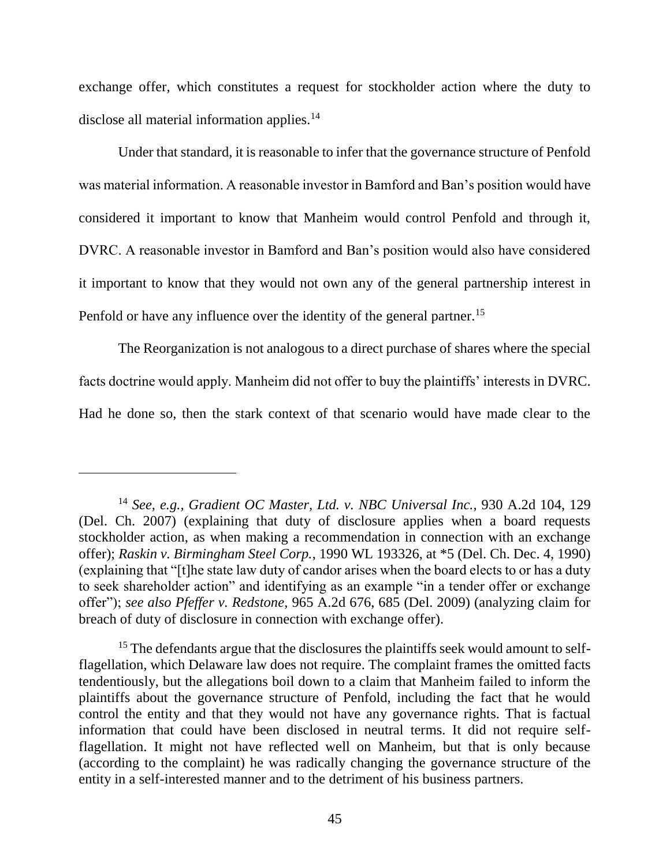exchange offer, which constitutes a request for stockholder action where the duty to disclose all material information applies.<sup>14</sup>

Under that standard, it is reasonable to infer that the governance structure of Penfold was material information. A reasonable investor in Bamford and Ban's position would have considered it important to know that Manheim would control Penfold and through it, DVRC. A reasonable investor in Bamford and Ban's position would also have considered it important to know that they would not own any of the general partnership interest in Penfold or have any influence over the identity of the general partner.<sup>15</sup>

The Reorganization is not analogous to a direct purchase of shares where the special facts doctrine would apply. Manheim did not offer to buy the plaintiffs' interests in DVRC. Had he done so, then the stark context of that scenario would have made clear to the

<sup>14</sup> *See, e.g., Gradient OC Master, Ltd. v. NBC Universal Inc.*, 930 A.2d 104, 129 (Del. Ch. 2007) (explaining that duty of disclosure applies when a board requests stockholder action, as when making a recommendation in connection with an exchange offer); *Raskin v. Birmingham Steel Corp.*, 1990 WL 193326, at \*5 (Del. Ch. Dec. 4, 1990) (explaining that "[t]he state law duty of candor arises when the board elects to or has a duty to seek shareholder action" and identifying as an example "in a tender offer or exchange offer"); *see also Pfeffer v. Redstone*, 965 A.2d 676, 685 (Del. 2009) (analyzing claim for breach of duty of disclosure in connection with exchange offer).

<sup>&</sup>lt;sup>15</sup> The defendants argue that the disclosures the plaintiffs seek would amount to selfflagellation, which Delaware law does not require. The complaint frames the omitted facts tendentiously, but the allegations boil down to a claim that Manheim failed to inform the plaintiffs about the governance structure of Penfold, including the fact that he would control the entity and that they would not have any governance rights. That is factual information that could have been disclosed in neutral terms. It did not require selfflagellation. It might not have reflected well on Manheim, but that is only because (according to the complaint) he was radically changing the governance structure of the entity in a self-interested manner and to the detriment of his business partners.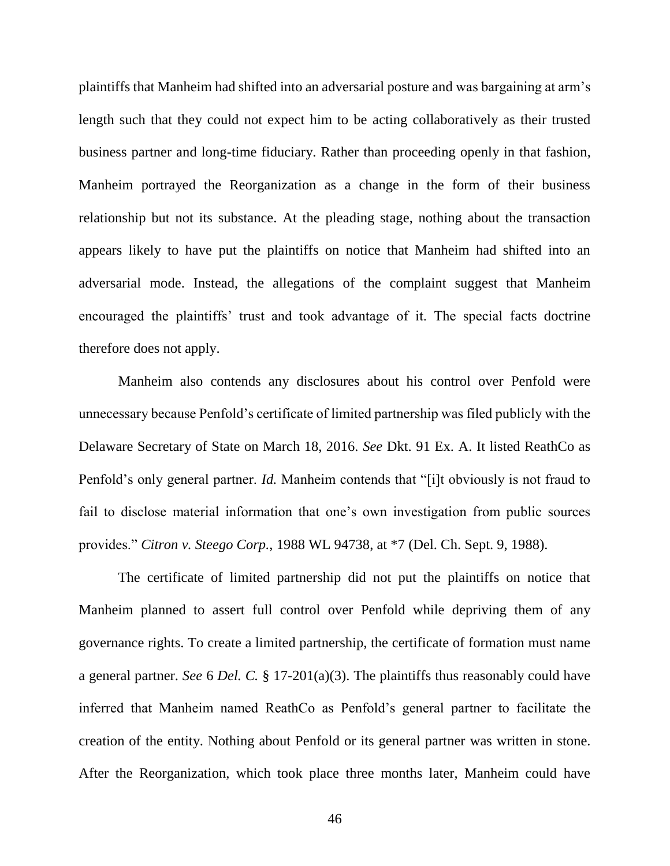plaintiffs that Manheim had shifted into an adversarial posture and was bargaining at arm's length such that they could not expect him to be acting collaboratively as their trusted business partner and long-time fiduciary. Rather than proceeding openly in that fashion, Manheim portrayed the Reorganization as a change in the form of their business relationship but not its substance. At the pleading stage, nothing about the transaction appears likely to have put the plaintiffs on notice that Manheim had shifted into an adversarial mode. Instead, the allegations of the complaint suggest that Manheim encouraged the plaintiffs' trust and took advantage of it. The special facts doctrine therefore does not apply.

Manheim also contends any disclosures about his control over Penfold were unnecessary because Penfold's certificate of limited partnership was filed publicly with the Delaware Secretary of State on March 18, 2016. *See* Dkt. 91 Ex. A. It listed ReathCo as Penfold's only general partner. *Id.* Manheim contends that "[i]t obviously is not fraud to fail to disclose material information that one's own investigation from public sources provides." *Citron v. Steego Corp.*, 1988 WL 94738, at \*7 (Del. Ch. Sept. 9, 1988).

The certificate of limited partnership did not put the plaintiffs on notice that Manheim planned to assert full control over Penfold while depriving them of any governance rights. To create a limited partnership, the certificate of formation must name a general partner. *See* 6 *Del. C.* § 17-201(a)(3). The plaintiffs thus reasonably could have inferred that Manheim named ReathCo as Penfold's general partner to facilitate the creation of the entity. Nothing about Penfold or its general partner was written in stone. After the Reorganization, which took place three months later, Manheim could have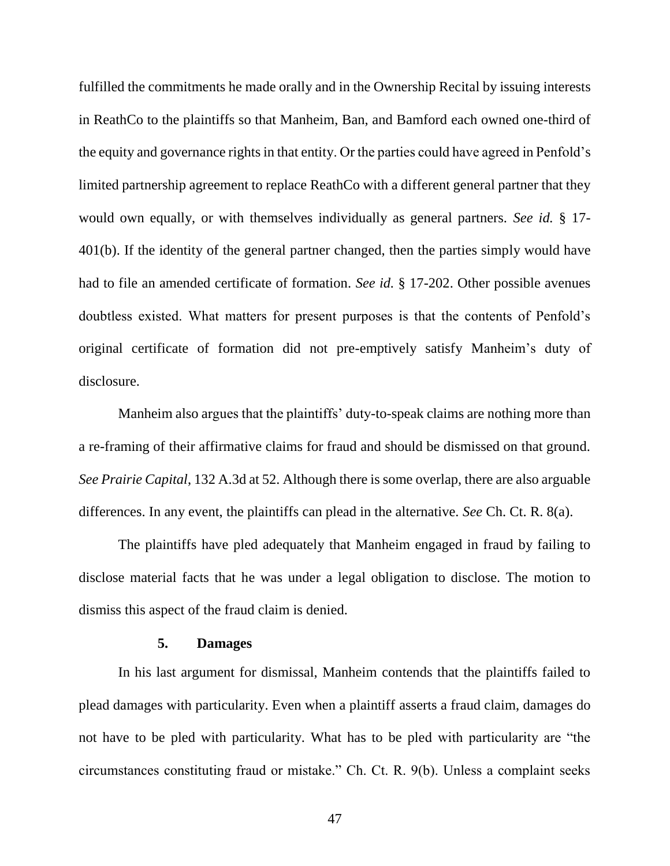fulfilled the commitments he made orally and in the Ownership Recital by issuing interests in ReathCo to the plaintiffs so that Manheim, Ban, and Bamford each owned one-third of the equity and governance rights in that entity. Or the parties could have agreed in Penfold's limited partnership agreement to replace ReathCo with a different general partner that they would own equally, or with themselves individually as general partners. *See id.* § 17- 401(b). If the identity of the general partner changed, then the parties simply would have had to file an amended certificate of formation. *See id.* § 17-202. Other possible avenues doubtless existed. What matters for present purposes is that the contents of Penfold's original certificate of formation did not pre-emptively satisfy Manheim's duty of disclosure.

Manheim also argues that the plaintiffs' duty-to-speak claims are nothing more than a re-framing of their affirmative claims for fraud and should be dismissed on that ground. *See Prairie Capital*, 132 A.3d at 52. Although there is some overlap, there are also arguable differences. In any event, the plaintiffs can plead in the alternative. *See* Ch. Ct. R. 8(a).

The plaintiffs have pled adequately that Manheim engaged in fraud by failing to disclose material facts that he was under a legal obligation to disclose. The motion to dismiss this aspect of the fraud claim is denied.

#### **5. Damages**

In his last argument for dismissal, Manheim contends that the plaintiffs failed to plead damages with particularity. Even when a plaintiff asserts a fraud claim, damages do not have to be pled with particularity. What has to be pled with particularity are "the circumstances constituting fraud or mistake." Ch. Ct. R. 9(b). Unless a complaint seeks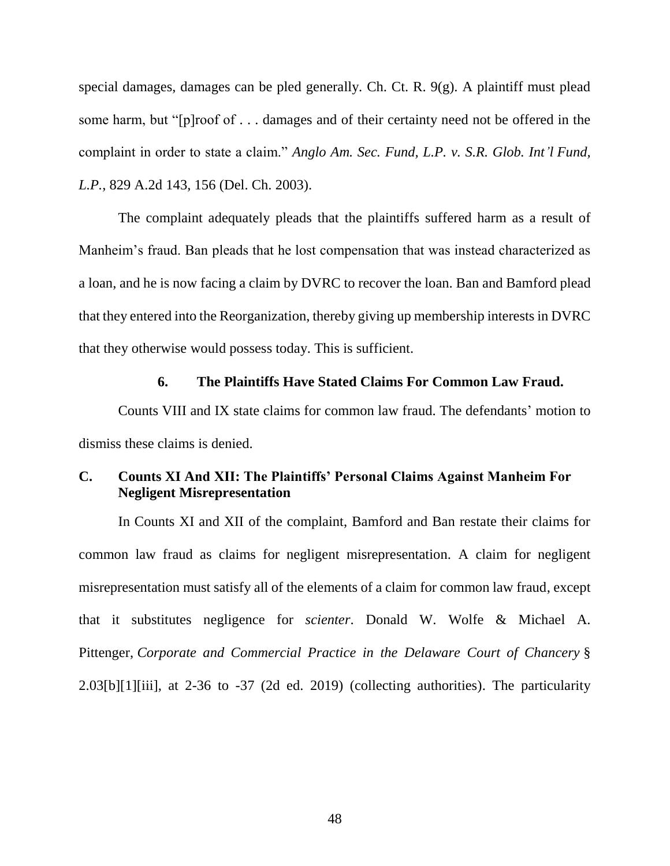special damages, damages can be pled generally. Ch. Ct. R. 9(g). A plaintiff must plead some harm, but "[p]roof of . . . damages and of their certainty need not be offered in the complaint in order to state a claim." *Anglo Am. Sec. Fund, L.P. v. S.R. Glob. Int'l Fund, L.P.*, 829 A.2d 143, 156 (Del. Ch. 2003).

The complaint adequately pleads that the plaintiffs suffered harm as a result of Manheim's fraud. Ban pleads that he lost compensation that was instead characterized as a loan, and he is now facing a claim by DVRC to recover the loan. Ban and Bamford plead that they entered into the Reorganization, thereby giving up membership interests in DVRC that they otherwise would possess today. This is sufficient.

### **6. The Plaintiffs Have Stated Claims For Common Law Fraud.**

Counts VIII and IX state claims for common law fraud. The defendants' motion to dismiss these claims is denied.

### **C. Counts XI And XII: The Plaintiffs' Personal Claims Against Manheim For Negligent Misrepresentation**

In Counts XI and XII of the complaint, Bamford and Ban restate their claims for common law fraud as claims for negligent misrepresentation. A claim for negligent misrepresentation must satisfy all of the elements of a claim for common law fraud, except that it substitutes negligence for *scienter*. Donald W. Wolfe & Michael A. Pittenger, *Corporate and Commercial Practice in the Delaware Court of Chancery* § 2.03[b][1][iii], at 2-36 to -37 (2d ed. 2019) (collecting authorities). The particularity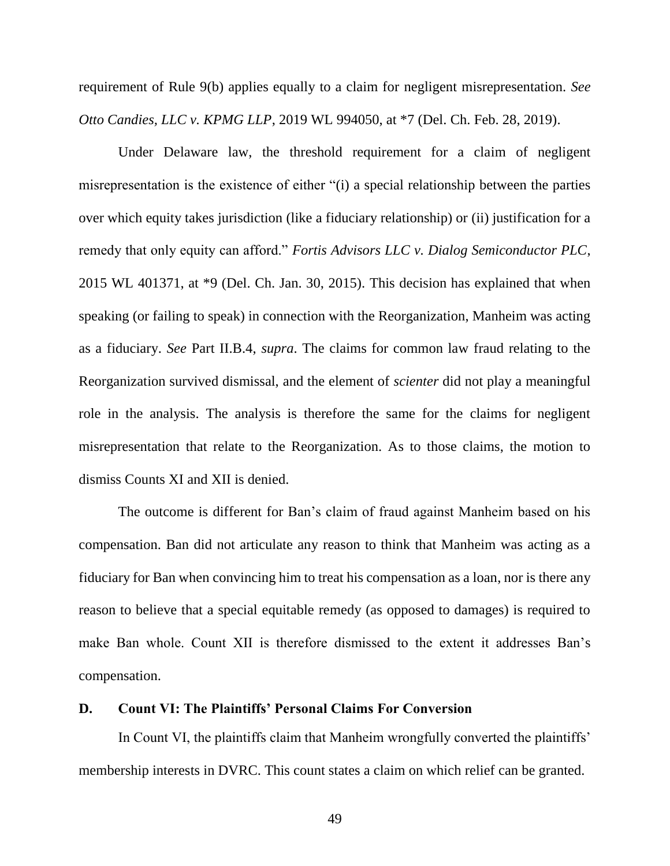requirement of Rule 9(b) applies equally to a claim for negligent misrepresentation. *See Otto Candies, LLC v. KPMG LLP*, 2019 WL 994050, at \*7 (Del. Ch. Feb. 28, 2019).

Under Delaware law, the threshold requirement for a claim of negligent misrepresentation is the existence of either "(i) a special relationship between the parties over which equity takes jurisdiction (like a fiduciary relationship) or (ii) justification for a remedy that only equity can afford." *Fortis Advisors LLC v. Dialog Semiconductor PLC*, 2015 WL 401371, at \*9 (Del. Ch. Jan. 30, 2015). This decision has explained that when speaking (or failing to speak) in connection with the Reorganization, Manheim was acting as a fiduciary. *See* Part II.B.4, *supra*. The claims for common law fraud relating to the Reorganization survived dismissal, and the element of *scienter* did not play a meaningful role in the analysis. The analysis is therefore the same for the claims for negligent misrepresentation that relate to the Reorganization. As to those claims, the motion to dismiss Counts XI and XII is denied.

The outcome is different for Ban's claim of fraud against Manheim based on his compensation. Ban did not articulate any reason to think that Manheim was acting as a fiduciary for Ban when convincing him to treat his compensation as a loan, nor is there any reason to believe that a special equitable remedy (as opposed to damages) is required to make Ban whole. Count XII is therefore dismissed to the extent it addresses Ban's compensation.

#### **D. Count VI: The Plaintiffs' Personal Claims For Conversion**

In Count VI, the plaintiffs claim that Manheim wrongfully converted the plaintiffs' membership interests in DVRC. This count states a claim on which relief can be granted.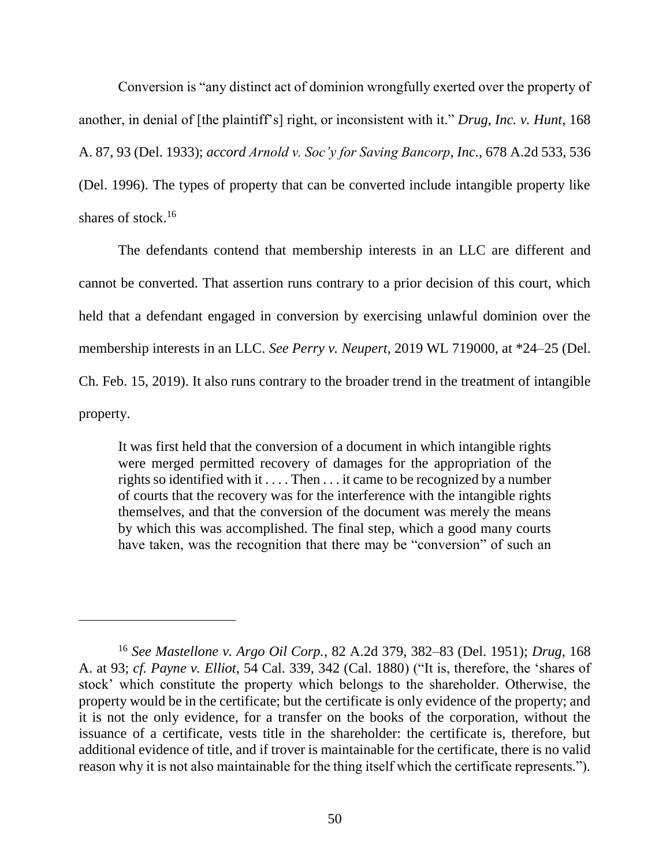Conversion is "any distinct act of dominion wrongfully exerted over the property of another, in denial of [the plaintiff's] right, or inconsistent with it." *Drug, Inc. v. Hunt*, 168 A. 87, 93 (Del. 1933); *accord Arnold v. Soc'y for Saving Bancorp, Inc.*, 678 A.2d 533, 536 (Del. 1996). The types of property that can be converted include intangible property like shares of stock.<sup>16</sup>

The defendants contend that membership interests in an LLC are different and cannot be converted. That assertion runs contrary to a prior decision of this court, which held that a defendant engaged in conversion by exercising unlawful dominion over the membership interests in an LLC. *See Perry v. Neupert*, 2019 WL 719000, at \*24–25 (Del. Ch. Feb. 15, 2019). It also runs contrary to the broader trend in the treatment of intangible property.

It was first held that the conversion of a document in which intangible rights were merged permitted recovery of damages for the appropriation of the rights so identified with it . . . . Then . . . it came to be recognized by a number of courts that the recovery was for the interference with the intangible rights themselves, and that the conversion of the document was merely the means by which this was accomplished. The final step, which a good many courts have taken, was the recognition that there may be "conversion" of such an

<sup>16</sup> *See Mastellone v. Argo Oil Corp.*, 82 A.2d 379, 382–83 (Del. 1951); *Drug*, 168 A. at 93; *cf. Payne v. Elliot*, 54 Cal. 339, 342 (Cal. 1880) ("It is, therefore, the 'shares of stock' which constitute the property which belongs to the shareholder. Otherwise, the property would be in the certificate; but the certificate is only evidence of the property; and it is not the only evidence, for a transfer on the books of the corporation, without the issuance of a certificate, vests title in the shareholder: the certificate is, therefore, but additional evidence of title, and if trover is maintainable for the certificate, there is no valid reason why it is not also maintainable for the thing itself which the certificate represents.").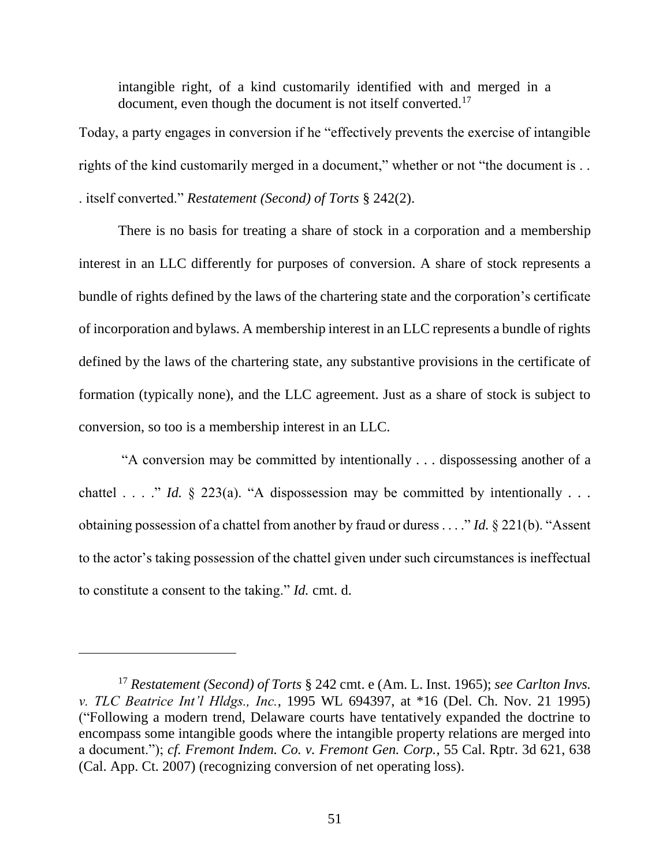intangible right, of a kind customarily identified with and merged in a document, even though the document is not itself converted.<sup>17</sup>

Today, a party engages in conversion if he "effectively prevents the exercise of intangible rights of the kind customarily merged in a document," whether or not "the document is ... . itself converted." *Restatement (Second) of Torts* § 242(2).

There is no basis for treating a share of stock in a corporation and a membership interest in an LLC differently for purposes of conversion. A share of stock represents a bundle of rights defined by the laws of the chartering state and the corporation's certificate of incorporation and bylaws. A membership interest in an LLC represents a bundle of rights defined by the laws of the chartering state, any substantive provisions in the certificate of formation (typically none), and the LLC agreement. Just as a share of stock is subject to conversion, so too is a membership interest in an LLC.

"A conversion may be committed by intentionally . . . dispossessing another of a chattel  $\ldots$  " *Id.* § 223(a). "A dispossession may be committed by intentionally  $\ldots$ obtaining possession of a chattel from another by fraud or duress . . . ." *Id.* § 221(b). "Assent to the actor's taking possession of the chattel given under such circumstances is ineffectual to constitute a consent to the taking." *Id.* cmt. d.

<sup>17</sup> *Restatement (Second) of Torts* § 242 cmt. e (Am. L. Inst. 1965); *see Carlton Invs. v. TLC Beatrice Int'l Hldgs., Inc.*, 1995 WL 694397, at \*16 (Del. Ch. Nov. 21 1995) ("Following a modern trend, Delaware courts have tentatively expanded the doctrine to encompass some intangible goods where the intangible property relations are merged into a document."); *cf. Fremont Indem. Co. v. Fremont Gen. Corp.*, 55 Cal. Rptr. 3d 621, 638 (Cal. App. Ct. 2007) (recognizing conversion of net operating loss).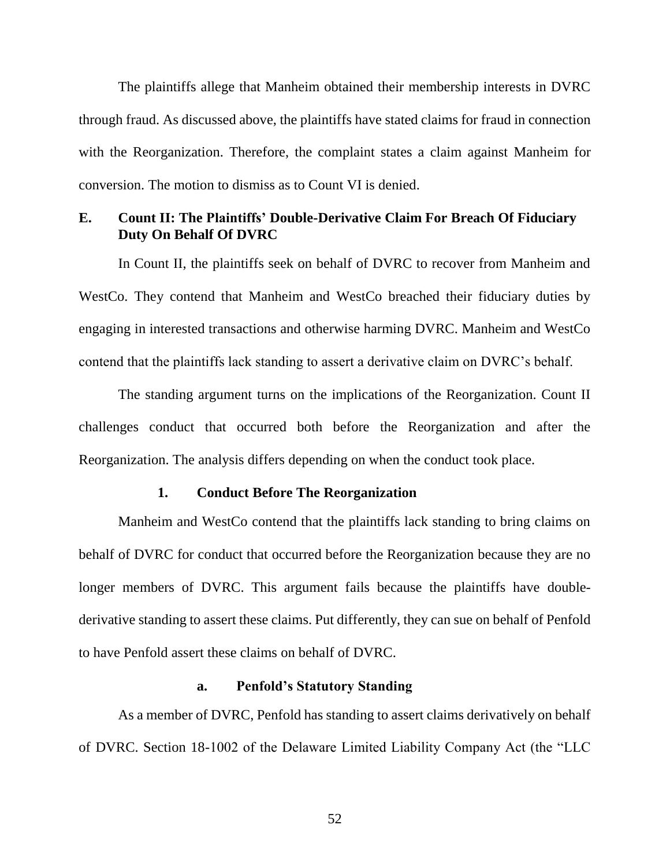The plaintiffs allege that Manheim obtained their membership interests in DVRC through fraud. As discussed above, the plaintiffs have stated claims for fraud in connection with the Reorganization. Therefore, the complaint states a claim against Manheim for conversion. The motion to dismiss as to Count VI is denied.

## **E. Count II: The Plaintiffs' Double-Derivative Claim For Breach Of Fiduciary Duty On Behalf Of DVRC**

In Count II, the plaintiffs seek on behalf of DVRC to recover from Manheim and WestCo. They contend that Manheim and WestCo breached their fiduciary duties by engaging in interested transactions and otherwise harming DVRC. Manheim and WestCo contend that the plaintiffs lack standing to assert a derivative claim on DVRC's behalf.

The standing argument turns on the implications of the Reorganization. Count II challenges conduct that occurred both before the Reorganization and after the Reorganization. The analysis differs depending on when the conduct took place.

#### **1. Conduct Before The Reorganization**

Manheim and WestCo contend that the plaintiffs lack standing to bring claims on behalf of DVRC for conduct that occurred before the Reorganization because they are no longer members of DVRC. This argument fails because the plaintiffs have doublederivative standing to assert these claims. Put differently, they can sue on behalf of Penfold to have Penfold assert these claims on behalf of DVRC.

#### **a. Penfold's Statutory Standing**

As a member of DVRC, Penfold has standing to assert claims derivatively on behalf of DVRC. Section 18-1002 of the Delaware Limited Liability Company Act (the "LLC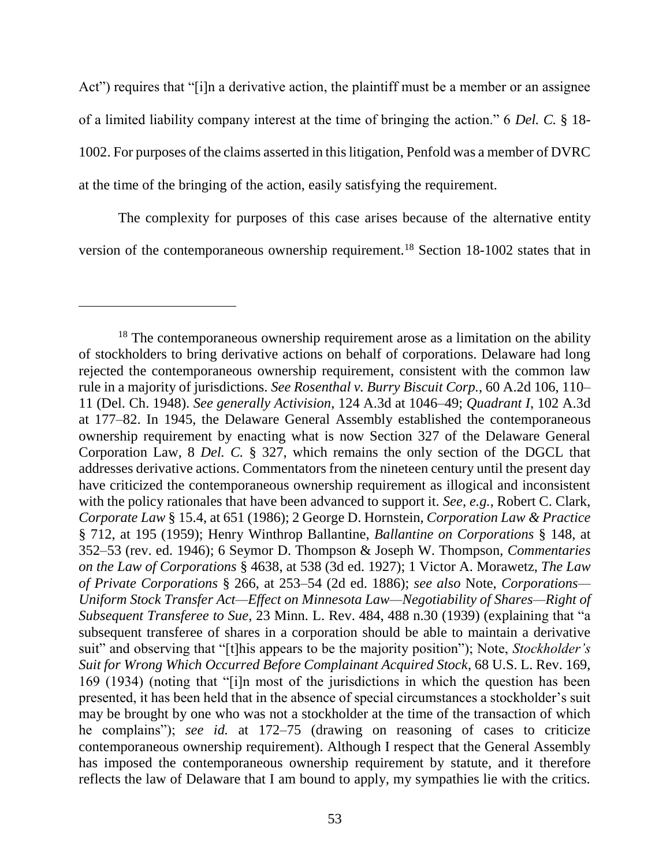Act") requires that "[i]n a derivative action, the plaintiff must be a member or an assignee of a limited liability company interest at the time of bringing the action." 6 *Del. C.* § 18- 1002. For purposes of the claims asserted in this litigation, Penfold was a member of DVRC at the time of the bringing of the action, easily satisfying the requirement.

The complexity for purposes of this case arises because of the alternative entity version of the contemporaneous ownership requirement.<sup>18</sup> Section 18-1002 states that in

 $18$  The contemporaneous ownership requirement arose as a limitation on the ability of stockholders to bring derivative actions on behalf of corporations. Delaware had long rejected the contemporaneous ownership requirement, consistent with the common law rule in a majority of jurisdictions. *See Rosenthal v. Burry Biscuit Corp.*, 60 A.2d 106, 110– 11 (Del. Ch. 1948). *See generally Activision*, 124 A.3d at 1046–49; *Quadrant I*, 102 A.3d at 177–82. In 1945, the Delaware General Assembly established the contemporaneous ownership requirement by enacting what is now Section 327 of the Delaware General Corporation Law, 8 *Del. C.* § 327, which remains the only section of the DGCL that addresses derivative actions. Commentators from the nineteen century until the present day have criticized the contemporaneous ownership requirement as illogical and inconsistent with the policy rationales that have been advanced to support it. *See, e.g.*, Robert C. Clark, *Corporate Law* § 15.4, at 651 (1986); 2 George D. Hornstein, *Corporation Law & Practice* § 712, at 195 (1959); Henry Winthrop Ballantine, *Ballantine on Corporations* § 148, at 352–53 (rev. ed. 1946); 6 Seymor D. Thompson & Joseph W. Thompson, *Commentaries on the Law of Corporations* § 4638, at 538 (3d ed. 1927); 1 Victor A. Morawetz, *The Law of Private Corporations* § 266, at 253–54 (2d ed. 1886); *see also* Note, *Corporations— Uniform Stock Transfer Act—Effect on Minnesota Law—Negotiability of Shares—Right of Subsequent Transferee to Sue*, 23 Minn. L. Rev. 484, 488 n.30 (1939) (explaining that "a subsequent transferee of shares in a corporation should be able to maintain a derivative suit" and observing that "[t]his appears to be the majority position"); Note, *Stockholder's Suit for Wrong Which Occurred Before Complainant Acquired Stock*, 68 U.S. L. Rev. 169, 169 (1934) (noting that "[i]n most of the jurisdictions in which the question has been presented, it has been held that in the absence of special circumstances a stockholder's suit may be brought by one who was not a stockholder at the time of the transaction of which he complains"); *see id.* at 172–75 (drawing on reasoning of cases to criticize contemporaneous ownership requirement). Although I respect that the General Assembly has imposed the contemporaneous ownership requirement by statute, and it therefore reflects the law of Delaware that I am bound to apply, my sympathies lie with the critics.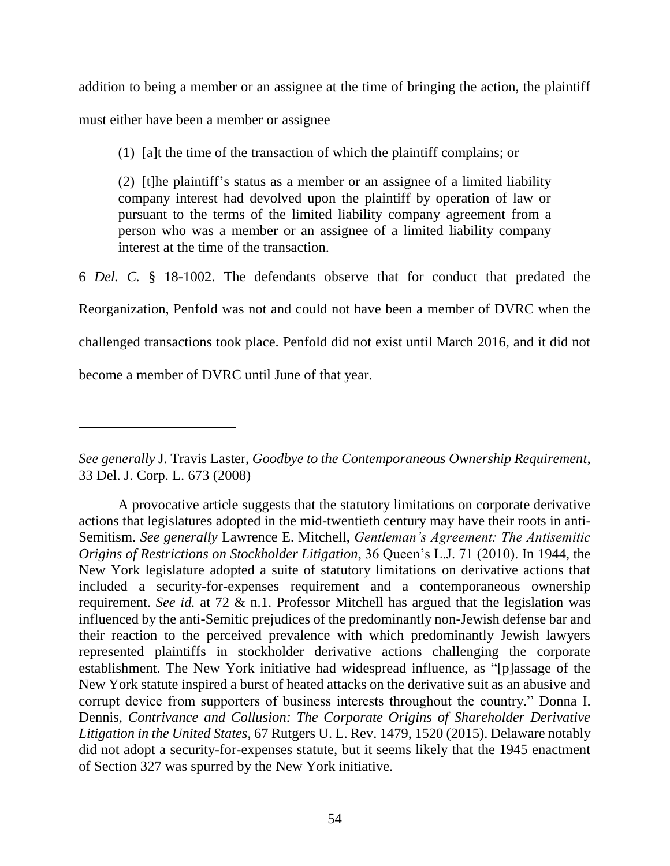addition to being a member or an assignee at the time of bringing the action, the plaintiff

must either have been a member or assignee

 $\overline{a}$ 

(1) [a]t the time of the transaction of which the plaintiff complains; or

(2) [t]he plaintiff's status as a member or an assignee of a limited liability company interest had devolved upon the plaintiff by operation of law or pursuant to the terms of the limited liability company agreement from a person who was a member or an assignee of a limited liability company interest at the time of the transaction.

6 *Del. C.* § 18-1002. The defendants observe that for conduct that predated the Reorganization, Penfold was not and could not have been a member of DVRC when the challenged transactions took place. Penfold did not exist until March 2016, and it did not become a member of DVRC until June of that year.

*See generally* J. Travis Laster, *Goodbye to the Contemporaneous Ownership Requirement*, 33 Del. J. Corp. L. 673 (2008)

A provocative article suggests that the statutory limitations on corporate derivative actions that legislatures adopted in the mid-twentieth century may have their roots in anti-Semitism. *See generally* Lawrence E. Mitchell, *Gentleman's Agreement: The Antisemitic Origins of Restrictions on Stockholder Litigation*, 36 Queen's L.J. 71 (2010). In 1944, the New York legislature adopted a suite of statutory limitations on derivative actions that included a security-for-expenses requirement and a contemporaneous ownership requirement. *See id.* at 72 & n.1. Professor Mitchell has argued that the legislation was influenced by the anti-Semitic prejudices of the predominantly non-Jewish defense bar and their reaction to the perceived prevalence with which predominantly Jewish lawyers represented plaintiffs in stockholder derivative actions challenging the corporate establishment. The New York initiative had widespread influence, as "[p]assage of the New York statute inspired a burst of heated attacks on the derivative suit as an abusive and corrupt device from supporters of business interests throughout the country." Donna I. Dennis, *Contrivance and Collusion: The Corporate Origins of Shareholder Derivative Litigation in the United States*, 67 Rutgers U. L. Rev. 1479, 1520 (2015). Delaware notably did not adopt a security-for-expenses statute, but it seems likely that the 1945 enactment of Section 327 was spurred by the New York initiative.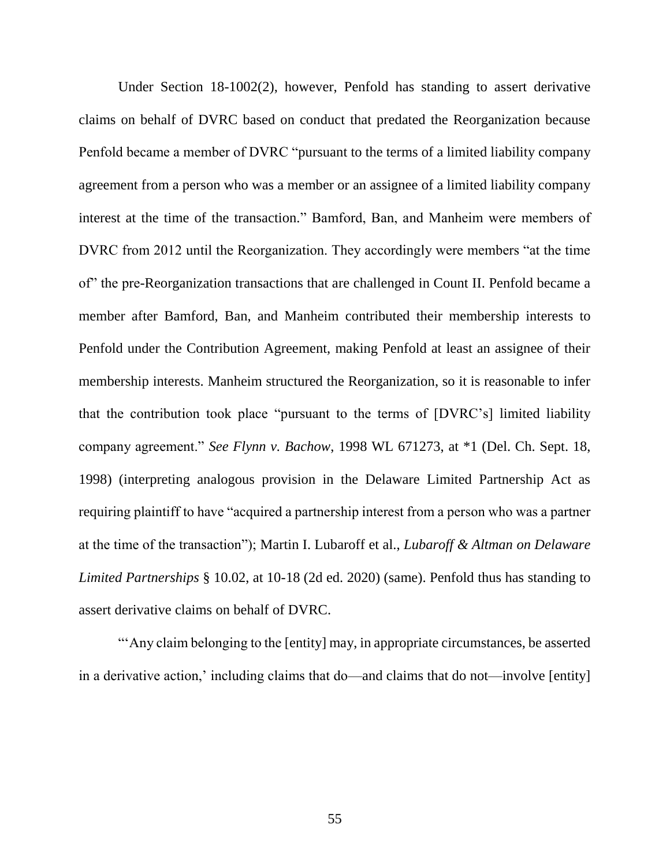Under Section 18-1002(2), however, Penfold has standing to assert derivative claims on behalf of DVRC based on conduct that predated the Reorganization because Penfold became a member of DVRC "pursuant to the terms of a limited liability company agreement from a person who was a member or an assignee of a limited liability company interest at the time of the transaction." Bamford, Ban, and Manheim were members of DVRC from 2012 until the Reorganization. They accordingly were members "at the time of" the pre-Reorganization transactions that are challenged in Count II. Penfold became a member after Bamford, Ban, and Manheim contributed their membership interests to Penfold under the Contribution Agreement, making Penfold at least an assignee of their membership interests. Manheim structured the Reorganization, so it is reasonable to infer that the contribution took place "pursuant to the terms of [DVRC's] limited liability company agreement." *See Flynn v. Bachow*, 1998 WL 671273, at \*1 (Del. Ch. Sept. 18, 1998) (interpreting analogous provision in the Delaware Limited Partnership Act as requiring plaintiff to have "acquired a partnership interest from a person who was a partner at the time of the transaction"); Martin I. Lubaroff et al., *Lubaroff & Altman on Delaware Limited Partnerships* § 10.02, at 10-18 (2d ed. 2020) (same). Penfold thus has standing to assert derivative claims on behalf of DVRC.

"'Any claim belonging to the [entity] may, in appropriate circumstances, be asserted in a derivative action,' including claims that do—and claims that do not—involve [entity]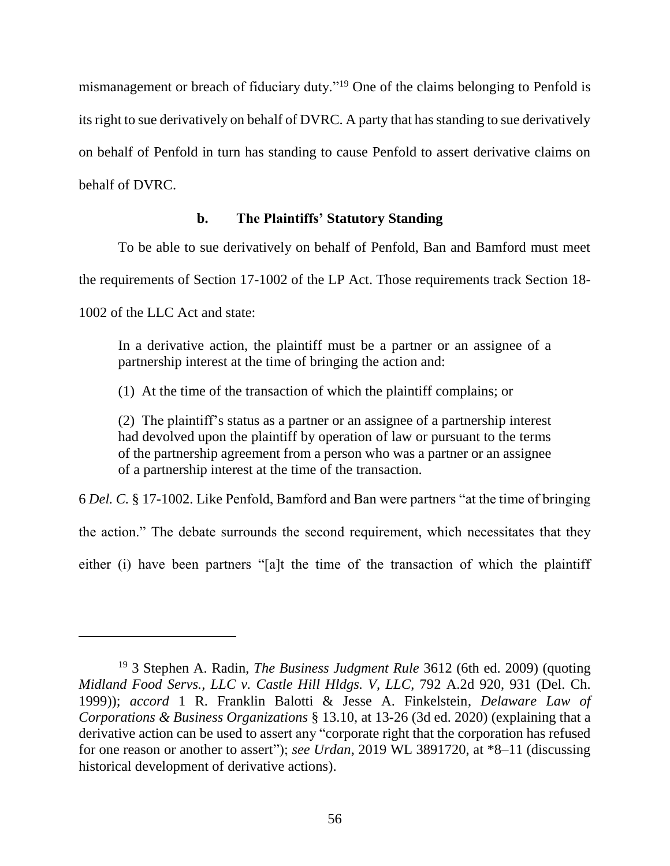mismanagement or breach of fiduciary duty."<sup>19</sup> One of the claims belonging to Penfold is its right to sue derivatively on behalf of DVRC. A party that has standing to sue derivatively on behalf of Penfold in turn has standing to cause Penfold to assert derivative claims on behalf of DVRC.

## **b. The Plaintiffs' Statutory Standing**

To be able to sue derivatively on behalf of Penfold, Ban and Bamford must meet

the requirements of Section 17-1002 of the LP Act. Those requirements track Section 18-

1002 of the LLC Act and state:

 $\overline{a}$ 

In a derivative action, the plaintiff must be a partner or an assignee of a partnership interest at the time of bringing the action and:

(1) At the time of the transaction of which the plaintiff complains; or

(2) The plaintiff's status as a partner or an assignee of a partnership interest had devolved upon the plaintiff by operation of law or pursuant to the terms of the partnership agreement from a person who was a partner or an assignee of a partnership interest at the time of the transaction.

6 *Del. C.* § 17-1002. Like Penfold, Bamford and Ban were partners "at the time of bringing

the action." The debate surrounds the second requirement, which necessitates that they

either (i) have been partners "[a]t the time of the transaction of which the plaintiff

<sup>19</sup> 3 Stephen A. Radin, *The Business Judgment Rule* 3612 (6th ed. 2009) (quoting *Midland Food Servs., LLC v. Castle Hill Hldgs. V, LLC*, 792 A.2d 920, 931 (Del. Ch. 1999)); *accord* 1 R. Franklin Balotti & Jesse A. Finkelstein, *Delaware Law of Corporations & Business Organizations* § 13.10, at 13-26 (3d ed. 2020) (explaining that a derivative action can be used to assert any "corporate right that the corporation has refused for one reason or another to assert"); *see Urdan*, 2019 WL 3891720, at \*8–11 (discussing historical development of derivative actions).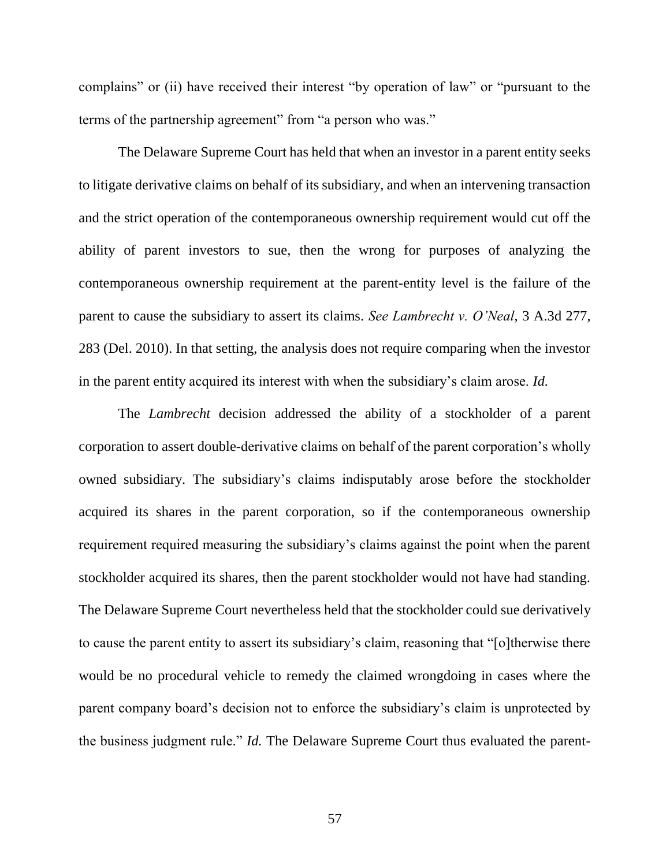complains" or (ii) have received their interest "by operation of law" or "pursuant to the terms of the partnership agreement" from "a person who was."

The Delaware Supreme Court has held that when an investor in a parent entity seeks to litigate derivative claims on behalf of its subsidiary, and when an intervening transaction and the strict operation of the contemporaneous ownership requirement would cut off the ability of parent investors to sue, then the wrong for purposes of analyzing the contemporaneous ownership requirement at the parent-entity level is the failure of the parent to cause the subsidiary to assert its claims. *See Lambrecht v. O'Neal*, 3 A.3d 277, 283 (Del. 2010). In that setting, the analysis does not require comparing when the investor in the parent entity acquired its interest with when the subsidiary's claim arose. *Id.*

The *Lambrecht* decision addressed the ability of a stockholder of a parent corporation to assert double-derivative claims on behalf of the parent corporation's wholly owned subsidiary. The subsidiary's claims indisputably arose before the stockholder acquired its shares in the parent corporation, so if the contemporaneous ownership requirement required measuring the subsidiary's claims against the point when the parent stockholder acquired its shares, then the parent stockholder would not have had standing. The Delaware Supreme Court nevertheless held that the stockholder could sue derivatively to cause the parent entity to assert its subsidiary's claim, reasoning that "[o]therwise there would be no procedural vehicle to remedy the claimed wrongdoing in cases where the parent company board's decision not to enforce the subsidiary's claim is unprotected by the business judgment rule." *Id.* The Delaware Supreme Court thus evaluated the parent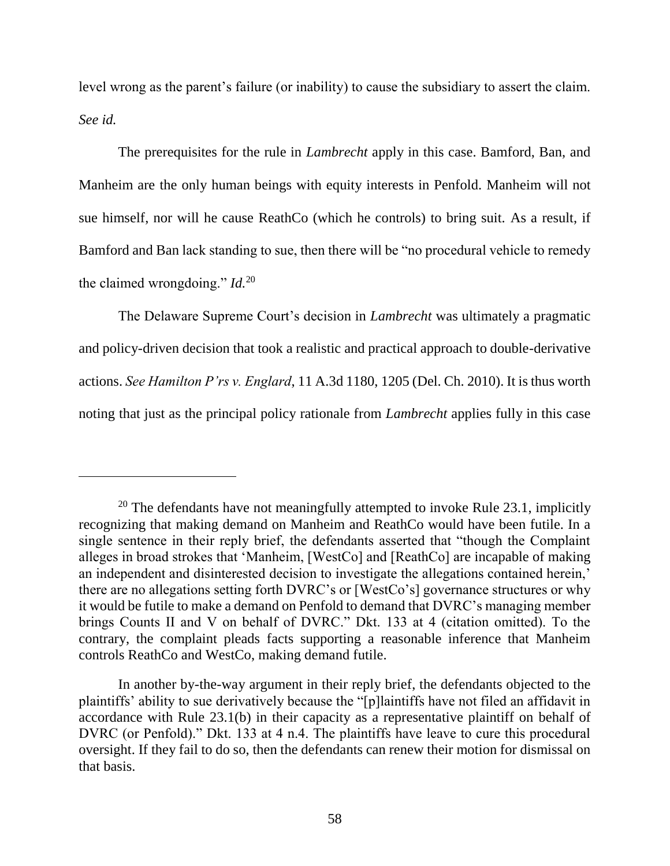level wrong as the parent's failure (or inability) to cause the subsidiary to assert the claim. *See id.*

The prerequisites for the rule in *Lambrecht* apply in this case. Bamford, Ban, and Manheim are the only human beings with equity interests in Penfold. Manheim will not sue himself, nor will he cause ReathCo (which he controls) to bring suit. As a result, if Bamford and Ban lack standing to sue, then there will be "no procedural vehicle to remedy the claimed wrongdoing." *Id.*<sup>20</sup>

The Delaware Supreme Court's decision in *Lambrecht* was ultimately a pragmatic and policy-driven decision that took a realistic and practical approach to double-derivative actions. *See Hamilton P'rs v. Englard*, 11 A.3d 1180, 1205 (Del. Ch. 2010). It is thus worth noting that just as the principal policy rationale from *Lambrecht* applies fully in this case

<sup>&</sup>lt;sup>20</sup> The defendants have not meaningfully attempted to invoke Rule  $23.1$ , implicitly recognizing that making demand on Manheim and ReathCo would have been futile. In a single sentence in their reply brief, the defendants asserted that "though the Complaint alleges in broad strokes that 'Manheim, [WestCo] and [ReathCo] are incapable of making an independent and disinterested decision to investigate the allegations contained herein,' there are no allegations setting forth DVRC's or [WestCo's] governance structures or why it would be futile to make a demand on Penfold to demand that DVRC's managing member brings Counts II and V on behalf of DVRC." Dkt. 133 at 4 (citation omitted). To the contrary, the complaint pleads facts supporting a reasonable inference that Manheim controls ReathCo and WestCo, making demand futile.

In another by-the-way argument in their reply brief, the defendants objected to the plaintiffs' ability to sue derivatively because the "[p]laintiffs have not filed an affidavit in accordance with Rule 23.1(b) in their capacity as a representative plaintiff on behalf of DVRC (or Penfold)." Dkt. 133 at 4 n.4. The plaintiffs have leave to cure this procedural oversight. If they fail to do so, then the defendants can renew their motion for dismissal on that basis.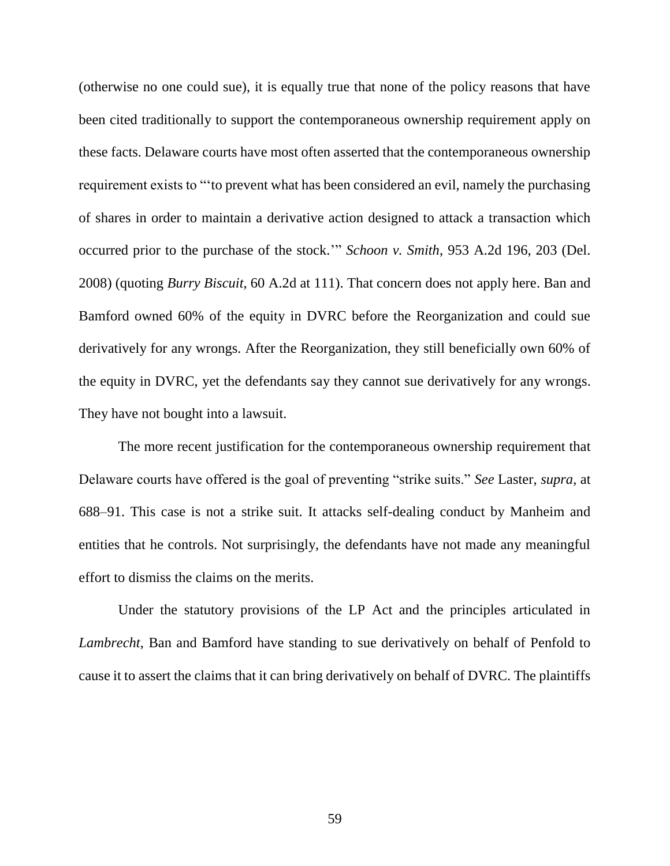(otherwise no one could sue), it is equally true that none of the policy reasons that have been cited traditionally to support the contemporaneous ownership requirement apply on these facts. Delaware courts have most often asserted that the contemporaneous ownership requirement exists to "'to prevent what has been considered an evil, namely the purchasing of shares in order to maintain a derivative action designed to attack a transaction which occurred prior to the purchase of the stock.'" *Schoon v. Smith*, 953 A.2d 196, 203 (Del. 2008) (quoting *Burry Biscuit*, 60 A.2d at 111). That concern does not apply here. Ban and Bamford owned 60% of the equity in DVRC before the Reorganization and could sue derivatively for any wrongs. After the Reorganization, they still beneficially own 60% of the equity in DVRC, yet the defendants say they cannot sue derivatively for any wrongs. They have not bought into a lawsuit.

The more recent justification for the contemporaneous ownership requirement that Delaware courts have offered is the goal of preventing "strike suits." *See* Laster, *supra*, at 688–91. This case is not a strike suit. It attacks self-dealing conduct by Manheim and entities that he controls. Not surprisingly, the defendants have not made any meaningful effort to dismiss the claims on the merits.

Under the statutory provisions of the LP Act and the principles articulated in *Lambrecht*, Ban and Bamford have standing to sue derivatively on behalf of Penfold to cause it to assert the claims that it can bring derivatively on behalf of DVRC. The plaintiffs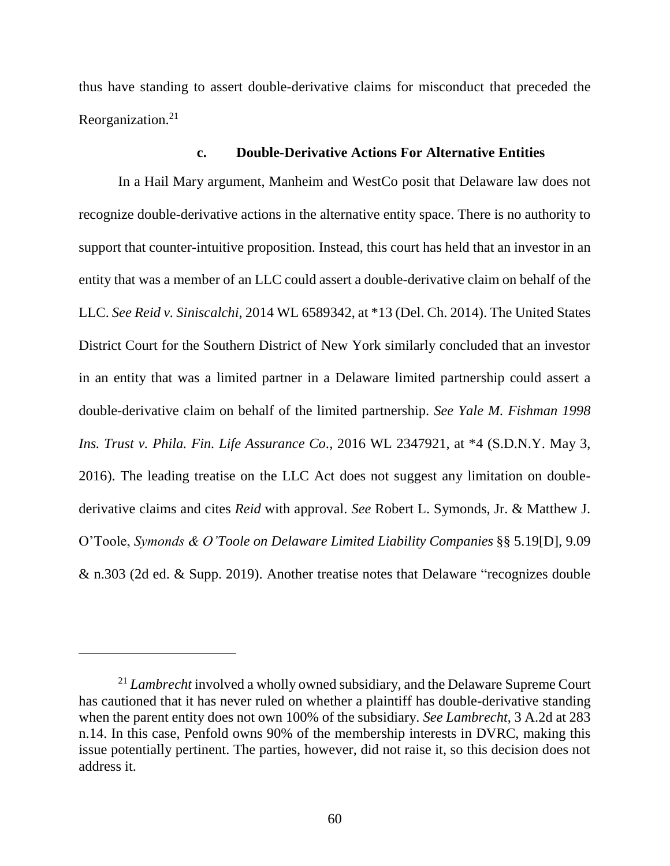thus have standing to assert double-derivative claims for misconduct that preceded the Reorganization.<sup>21</sup>

#### **c. Double-Derivative Actions For Alternative Entities**

In a Hail Mary argument, Manheim and WestCo posit that Delaware law does not recognize double-derivative actions in the alternative entity space. There is no authority to support that counter-intuitive proposition. Instead, this court has held that an investor in an entity that was a member of an LLC could assert a double-derivative claim on behalf of the LLC. *See Reid v. Siniscalchi*, 2014 WL 6589342, at \*13 (Del. Ch. 2014). The United States District Court for the Southern District of New York similarly concluded that an investor in an entity that was a limited partner in a Delaware limited partnership could assert a double-derivative claim on behalf of the limited partnership. *See Yale M. Fishman 1998 Ins. Trust v. Phila. Fin. Life Assurance Co*., 2016 WL 2347921, at \*4 (S.D.N.Y. May 3, 2016). The leading treatise on the LLC Act does not suggest any limitation on doublederivative claims and cites *Reid* with approval. *See* Robert L. Symonds, Jr. & Matthew J. O'Toole, *Symonds & O'Toole on Delaware Limited Liability Companies* §§ 5.19[D], 9.09 & n.303 (2d ed. & Supp. 2019). Another treatise notes that Delaware "recognizes double

<sup>&</sup>lt;sup>21</sup> *Lambrecht* involved a wholly owned subsidiary, and the Delaware Supreme Court has cautioned that it has never ruled on whether a plaintiff has double-derivative standing when the parent entity does not own 100% of the subsidiary. *See Lambrecht*, 3 A.2d at 283 n.14. In this case, Penfold owns 90% of the membership interests in DVRC, making this issue potentially pertinent. The parties, however, did not raise it, so this decision does not address it.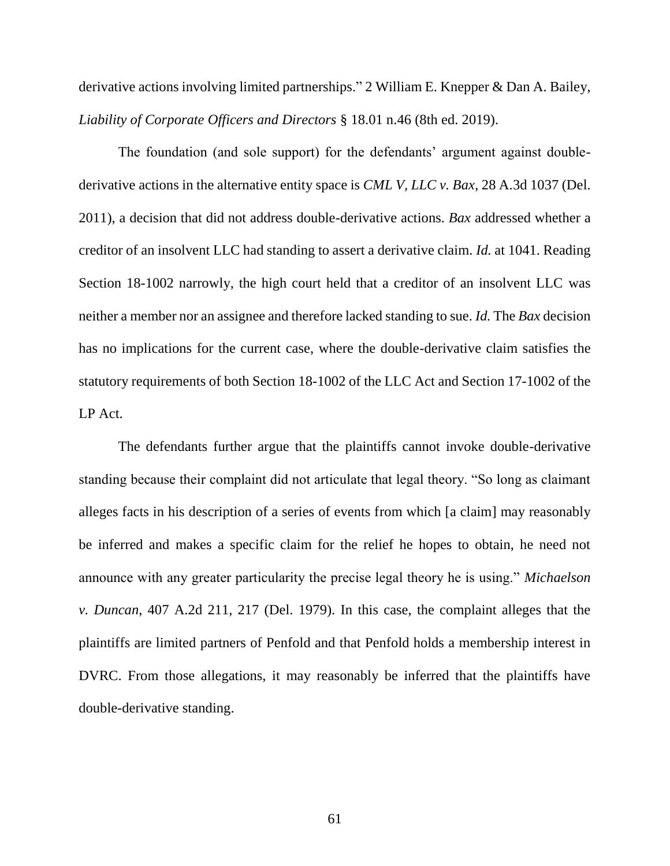derivative actions involving limited partnerships." 2 [William E. Knepper & Dan A. Bailey,](https://advance.lexis.com/api/document/collection/analytical-materials/id/540X-C190-R03M-R2BR-00000-00?cite=2%20Liability%20of%20Corporate%20Officers%20and%20Directors%20%C2%A7%2018.01&context=1000516) *[Liability of Corporate Officers and Directors](https://advance.lexis.com/api/document/collection/analytical-materials/id/540X-C190-R03M-R2BR-00000-00?cite=2%20Liability%20of%20Corporate%20Officers%20and%20Directors%20%C2%A7%2018.01&context=1000516)* § 18.01 n.46 (8th ed. 2019).

The foundation (and sole support) for the defendants' argument against doublederivative actions in the alternative entity space is *CML V, LLC v. Bax*, 28 A.3d 1037 (Del. 2011), a decision that did not address double-derivative actions. *Bax* addressed whether a creditor of an insolvent LLC had standing to assert a derivative claim. *Id.* at 1041. Reading Section 18-1002 narrowly, the high court held that a creditor of an insolvent LLC was neither a member nor an assignee and therefore lacked standing to sue. *Id.* The *Bax* decision has no implications for the current case, where the double-derivative claim satisfies the statutory requirements of both Section 18-1002 of the LLC Act and Section 17-1002 of the LP Act.

The defendants further argue that the plaintiffs cannot invoke double-derivative standing because their complaint did not articulate that legal theory. "So long as claimant alleges facts in his description of a series of events from which [a claim] may reasonably be inferred and makes a specific claim for the relief he hopes to obtain, he need not announce with any greater particularity the precise legal theory he is using." *Michaelson v. Duncan*, 407 A.2d 211, 217 (Del. 1979). In this case, the complaint alleges that the plaintiffs are limited partners of Penfold and that Penfold holds a membership interest in DVRC. From those allegations, it may reasonably be inferred that the plaintiffs have double-derivative standing.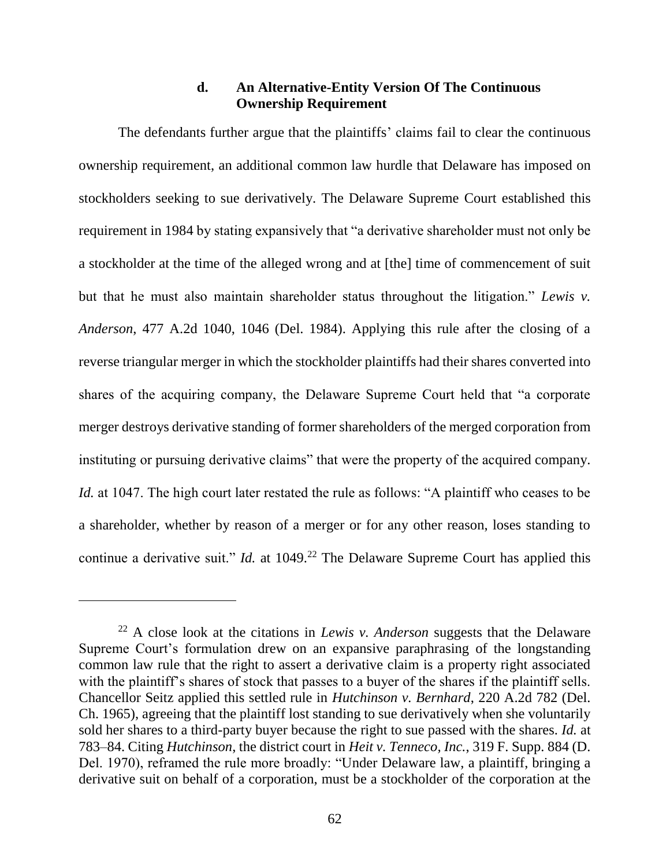### **d. An Alternative-Entity Version Of The Continuous Ownership Requirement**

The defendants further argue that the plaintiffs' claims fail to clear the continuous ownership requirement, an additional common law hurdle that Delaware has imposed on stockholders seeking to sue derivatively. The Delaware Supreme Court established this requirement in 1984 by stating expansively that "a derivative shareholder must not only be a stockholder at the time of the alleged wrong and at [the] time of commencement of suit but that he must also maintain shareholder status throughout the litigation." *Lewis v. Anderson*, 477 A.2d 1040, 1046 (Del. 1984). Applying this rule after the closing of a reverse triangular merger in which the stockholder plaintiffs had their shares converted into shares of the acquiring company, the Delaware Supreme Court held that "a corporate merger destroys derivative standing of former shareholders of the merged corporation from instituting or pursuing derivative claims" that were the property of the acquired company. *Id.* at 1047. The high court later restated the rule as follows: "A plaintiff who ceases to be a shareholder, whether by reason of a merger or for any other reason, loses standing to continue a derivative suit." *Id.* at 1049.<sup>22</sup> The Delaware Supreme Court has applied this

<sup>22</sup> A close look at the citations in *Lewis v. Anderson* suggests that the Delaware Supreme Court's formulation drew on an expansive paraphrasing of the longstanding common law rule that the right to assert a derivative claim is a property right associated with the plaintiff's shares of stock that passes to a buyer of the shares if the plaintiff sells. Chancellor Seitz applied this settled rule in *Hutchinson v. Bernhard*, 220 A.2d 782 (Del. Ch. 1965), agreeing that the plaintiff lost standing to sue derivatively when she voluntarily sold her shares to a third-party buyer because the right to sue passed with the shares. *Id.* at 783–84. Citing *Hutchinson*, the district court in *Heit v. Tenneco, Inc.*, 319 F. Supp. 884 (D. Del. 1970), reframed the rule more broadly: "Under Delaware law, a plaintiff, bringing a derivative suit on behalf of a corporation, must be a stockholder of the corporation at the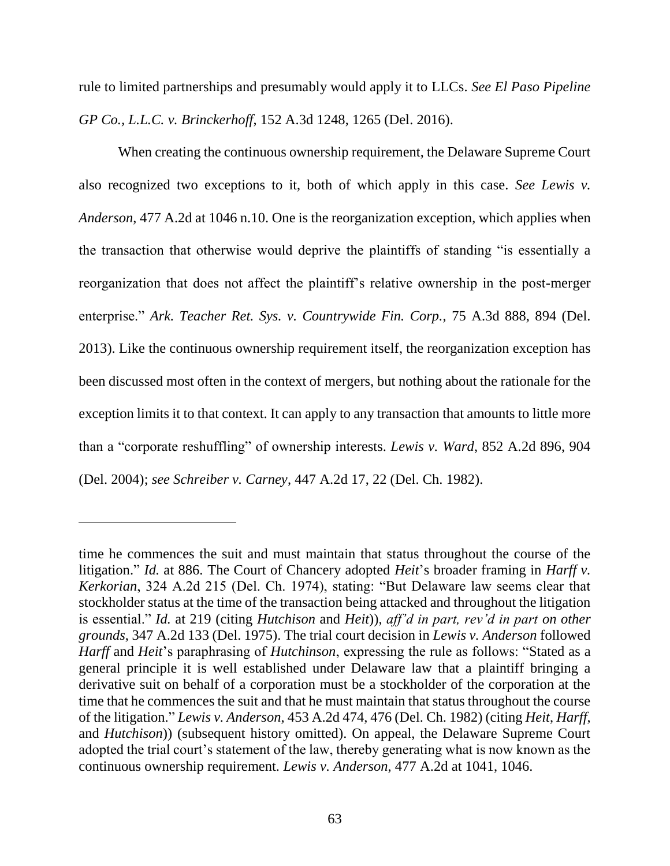rule to limited partnerships and presumably would apply it to LLCs. *See El Paso Pipeline GP Co., L.L.C. v. Brinckerhoff*, 152 A.3d 1248, 1265 (Del. 2016).

When creating the continuous ownership requirement, the Delaware Supreme Court also recognized two exceptions to it, both of which apply in this case. *See Lewis v. Anderson*, 477 A.2d at 1046 n.10. One is the reorganization exception, which applies when the transaction that otherwise would deprive the plaintiffs of standing "is essentially a reorganization that does not affect the plaintiff's relative ownership in the post-merger enterprise." *Ark. Teacher Ret. Sys. v. Countrywide Fin. Corp.*, 75 A.3d 888, 894 (Del. 2013). Like the continuous ownership requirement itself, the reorganization exception has been discussed most often in the context of mergers, but nothing about the rationale for the exception limits it to that context. It can apply to any transaction that amounts to little more than a "corporate reshuffling" of ownership interests. *Lewis v. Ward*, 852 A.2d 896, 904 (Del. 2004); *see Schreiber v. Carney*, 447 A.2d 17, 22 (Del. Ch. 1982).

time he commences the suit and must maintain that status throughout the course of the litigation." *Id.* at 886. The Court of Chancery adopted *Heit*'s broader framing in *Harff v. Kerkorian*, 324 A.2d 215 (Del. Ch. 1974), stating: "But Delaware law seems clear that stockholder status at the time of the transaction being attacked and throughout the litigation is essential." *Id.* at 219 (citing *Hutchison* and *Heit*)), *aff'd in part, rev'd in part on other grounds*, 347 A.2d 133 (Del. 1975). The trial court decision in *Lewis v. Anderson* followed *Harff* and *Heit*'s paraphrasing of *Hutchinson*, expressing the rule as follows: "Stated as a general principle it is well established under Delaware law that a plaintiff bringing a derivative suit on behalf of a corporation must be a stockholder of the corporation at the time that he commences the suit and that he must maintain that status throughout the course of the litigation." *Lewis v. Anderson*, 453 A.2d 474, 476 (Del. Ch. 1982) (citing *Heit*, *Harff*, and *Hutchison*)) (subsequent history omitted). On appeal, the Delaware Supreme Court adopted the trial court's statement of the law, thereby generating what is now known as the continuous ownership requirement. *Lewis v. Anderson*, 477 A.2d at 1041, 1046.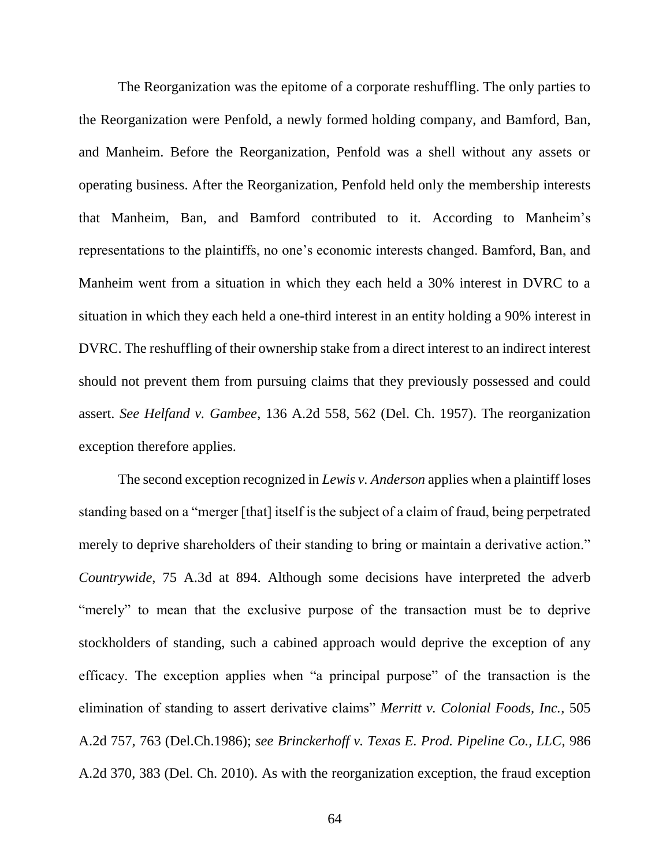The Reorganization was the epitome of a corporate reshuffling. The only parties to the Reorganization were Penfold, a newly formed holding company, and Bamford, Ban, and Manheim. Before the Reorganization, Penfold was a shell without any assets or operating business. After the Reorganization, Penfold held only the membership interests that Manheim, Ban, and Bamford contributed to it. According to Manheim's representations to the plaintiffs, no one's economic interests changed. Bamford, Ban, and Manheim went from a situation in which they each held a 30% interest in DVRC to a situation in which they each held a one-third interest in an entity holding a 90% interest in DVRC. The reshuffling of their ownership stake from a direct interest to an indirect interest should not prevent them from pursuing claims that they previously possessed and could assert. *See Helfand v. Gambee*, 136 A.2d 558, 562 (Del. Ch. 1957). The reorganization exception therefore applies.

The second exception recognized in *Lewis v. Anderson* applies when a plaintiff loses standing based on a "merger [that] itself is the subject of a claim of fraud, being perpetrated merely to deprive shareholders of their standing to bring or maintain a derivative action." *Countrywide*, 75 A.3d at 894. Although some decisions have interpreted the adverb "merely" to mean that the exclusive purpose of the transaction must be to deprive stockholders of standing, such a cabined approach would deprive the exception of any efficacy. The exception applies when "a principal purpose" of the transaction is the elimination of standing to assert derivative claims" *Merritt v. Colonial Foods, Inc.*, 505 A.2d 757, 763 (Del.Ch.1986); *see Brinckerhoff v. Texas E. Prod. Pipeline Co., LLC*, 986 A.2d 370, 383 (Del. Ch. 2010). As with the reorganization exception, the fraud exception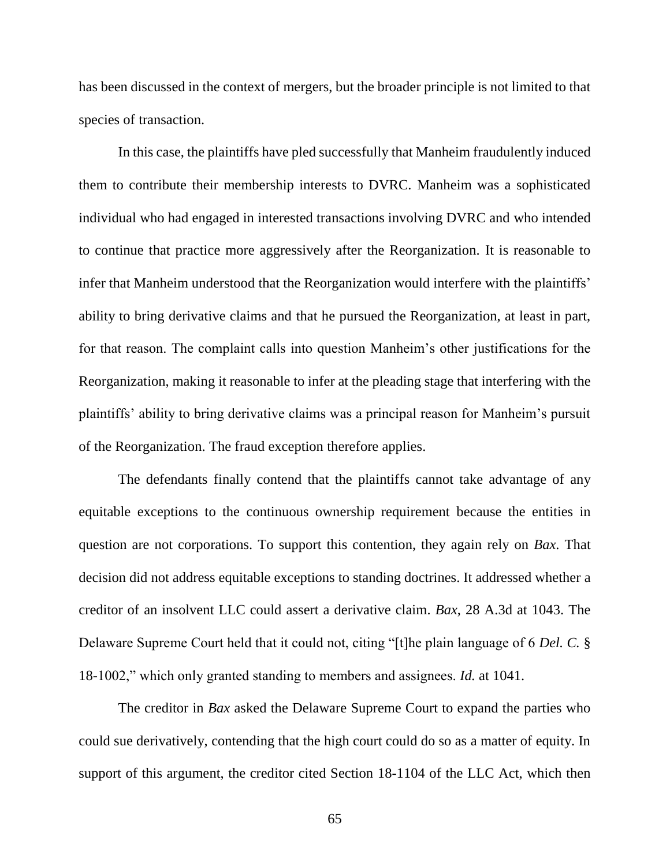has been discussed in the context of mergers, but the broader principle is not limited to that species of transaction.

In this case, the plaintiffs have pled successfully that Manheim fraudulently induced them to contribute their membership interests to DVRC. Manheim was a sophisticated individual who had engaged in interested transactions involving DVRC and who intended to continue that practice more aggressively after the Reorganization. It is reasonable to infer that Manheim understood that the Reorganization would interfere with the plaintiffs' ability to bring derivative claims and that he pursued the Reorganization, at least in part, for that reason. The complaint calls into question Manheim's other justifications for the Reorganization, making it reasonable to infer at the pleading stage that interfering with the plaintiffs' ability to bring derivative claims was a principal reason for Manheim's pursuit of the Reorganization. The fraud exception therefore applies.

The defendants finally contend that the plaintiffs cannot take advantage of any equitable exceptions to the continuous ownership requirement because the entities in question are not corporations. To support this contention, they again rely on *Bax*. That decision did not address equitable exceptions to standing doctrines. It addressed whether a creditor of an insolvent LLC could assert a derivative claim. *Bax*, 28 A.3d at 1043. The Delaware Supreme Court held that it could not, citing "[t]he plain language of 6 *Del. C.* § 18-1002," which only granted standing to members and assignees. *Id.* at 1041.

The creditor in *Bax* asked the Delaware Supreme Court to expand the parties who could sue derivatively, contending that the high court could do so as a matter of equity. In support of this argument, the creditor cited Section 18-1104 of the LLC Act, which then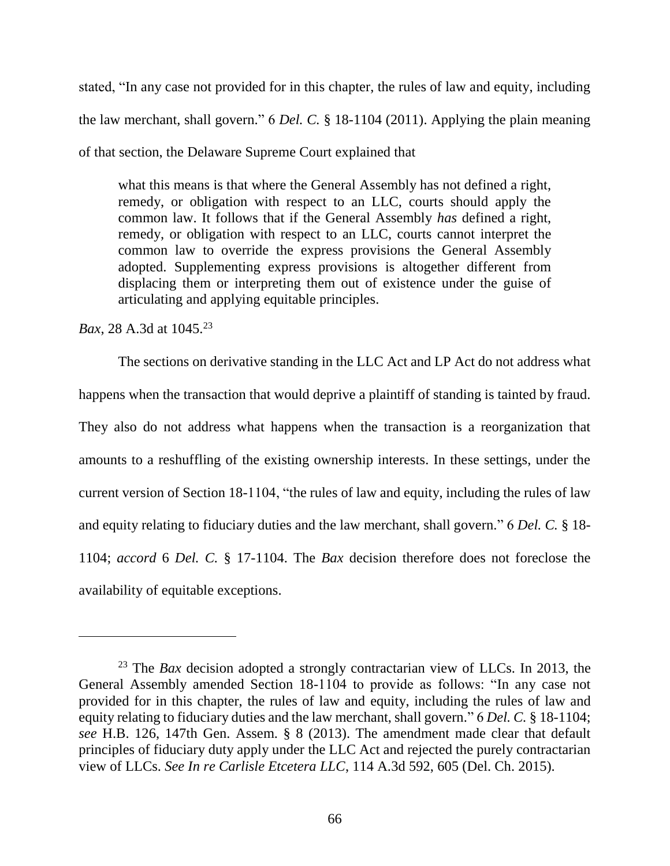stated, "In any case not provided for in this chapter, the rules of law and equity, including the law merchant, shall govern." 6 *Del. C.* § 18-1104 (2011). Applying the plain meaning of that section, the Delaware Supreme Court explained that

what this means is that where the General Assembly has not defined a right, remedy, or obligation with respect to an LLC, courts should apply the common law. It follows that if the General Assembly *has* defined a right, remedy, or obligation with respect to an LLC, courts cannot interpret the common law to override the express provisions the General Assembly adopted. Supplementing express provisions is altogether different from displacing them or interpreting them out of existence under the guise of articulating and applying equitable principles.

*Bax*, 28 A.3d at 1045.<sup>23</sup>

 $\overline{a}$ 

The sections on derivative standing in the LLC Act and LP Act do not address what happens when the transaction that would deprive a plaintiff of standing is tainted by fraud. They also do not address what happens when the transaction is a reorganization that amounts to a reshuffling of the existing ownership interests. In these settings, under the current version of Section 18-1104, "the rules of law and equity, including the rules of law and equity relating to fiduciary duties and the law merchant, shall govern." 6 *Del. C.* § 18- 1104; *accord* 6 *Del. C.* § 17-1104. The *Bax* decision therefore does not foreclose the availability of equitable exceptions.

<sup>23</sup> The *Bax* decision adopted a strongly contractarian view of LLCs. In 2013, the General Assembly amended Section 18-1104 to provide as follows: "In any case not provided for in this chapter, the rules of law and equity, including the rules of law and equity relating to fiduciary duties and the law merchant, shall govern." 6 *Del. C.* § 18-1104; *see* H.B. 126, 147th Gen. Assem. § 8 (2013). The amendment made clear that default principles of fiduciary duty apply under the LLC Act and rejected the purely contractarian view of LLCs. *See In re Carlisle Etcetera LLC*, 114 A.3d 592, 605 (Del. Ch. 2015).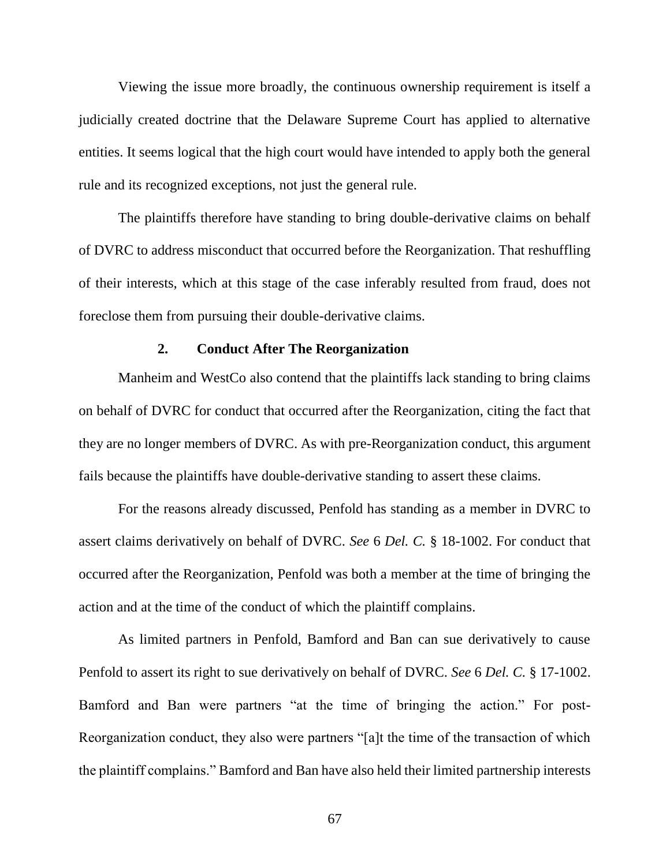Viewing the issue more broadly, the continuous ownership requirement is itself a judicially created doctrine that the Delaware Supreme Court has applied to alternative entities. It seems logical that the high court would have intended to apply both the general rule and its recognized exceptions, not just the general rule.

The plaintiffs therefore have standing to bring double-derivative claims on behalf of DVRC to address misconduct that occurred before the Reorganization. That reshuffling of their interests, which at this stage of the case inferably resulted from fraud, does not foreclose them from pursuing their double-derivative claims.

#### **2. Conduct After The Reorganization**

Manheim and WestCo also contend that the plaintiffs lack standing to bring claims on behalf of DVRC for conduct that occurred after the Reorganization, citing the fact that they are no longer members of DVRC. As with pre-Reorganization conduct, this argument fails because the plaintiffs have double-derivative standing to assert these claims.

For the reasons already discussed, Penfold has standing as a member in DVRC to assert claims derivatively on behalf of DVRC. *See* 6 *Del. C.* § 18-1002. For conduct that occurred after the Reorganization, Penfold was both a member at the time of bringing the action and at the time of the conduct of which the plaintiff complains.

As limited partners in Penfold, Bamford and Ban can sue derivatively to cause Penfold to assert its right to sue derivatively on behalf of DVRC. *See* 6 *Del. C.* § 17-1002. Bamford and Ban were partners "at the time of bringing the action." For post-Reorganization conduct, they also were partners "[a]t the time of the transaction of which the plaintiff complains." Bamford and Ban have also held their limited partnership interests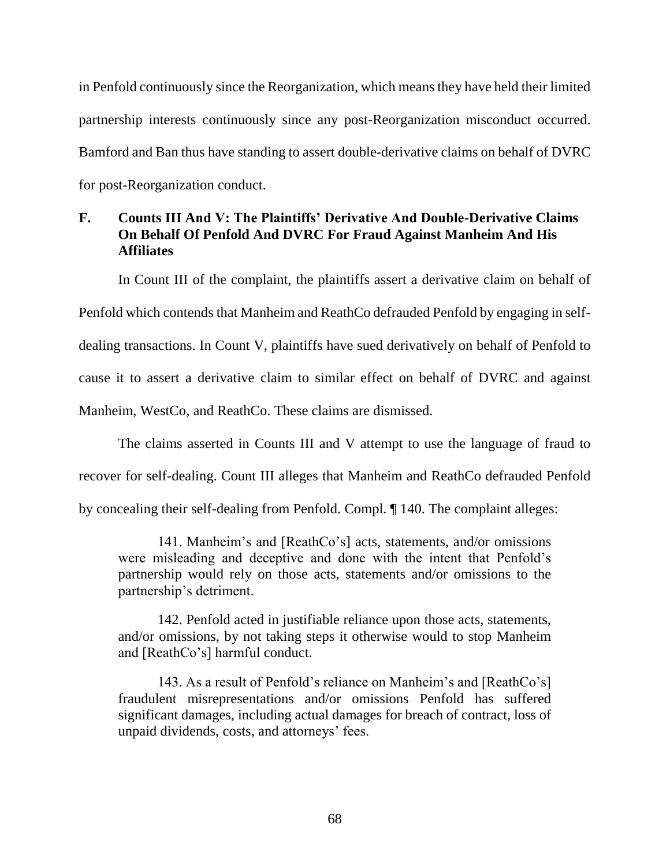in Penfold continuously since the Reorganization, which means they have held their limited partnership interests continuously since any post-Reorganization misconduct occurred. Bamford and Ban thus have standing to assert double-derivative claims on behalf of DVRC for post-Reorganization conduct.

# **F. Counts III And V: The Plaintiffs' Derivative And Double-Derivative Claims On Behalf Of Penfold And DVRC For Fraud Against Manheim And His Affiliates**

In Count III of the complaint, the plaintiffs assert a derivative claim on behalf of Penfold which contends that Manheim and ReathCo defrauded Penfold by engaging in selfdealing transactions. In Count V, plaintiffs have sued derivatively on behalf of Penfold to cause it to assert a derivative claim to similar effect on behalf of DVRC and against Manheim, WestCo, and ReathCo. These claims are dismissed.

The claims asserted in Counts III and V attempt to use the language of fraud to recover for self-dealing. Count III alleges that Manheim and ReathCo defrauded Penfold by concealing their self-dealing from Penfold. Compl. ¶ 140. The complaint alleges:

141. Manheim's and [ReathCo's] acts, statements, and/or omissions were misleading and deceptive and done with the intent that Penfold's partnership would rely on those acts, statements and/or omissions to the partnership's detriment.

142. Penfold acted in justifiable reliance upon those acts, statements, and/or omissions, by not taking steps it otherwise would to stop Manheim and [ReathCo's] harmful conduct.

143. As a result of Penfold's reliance on Manheim's and [ReathCo's] fraudulent misrepresentations and/or omissions Penfold has suffered significant damages, including actual damages for breach of contract, loss of unpaid dividends, costs, and attorneys' fees.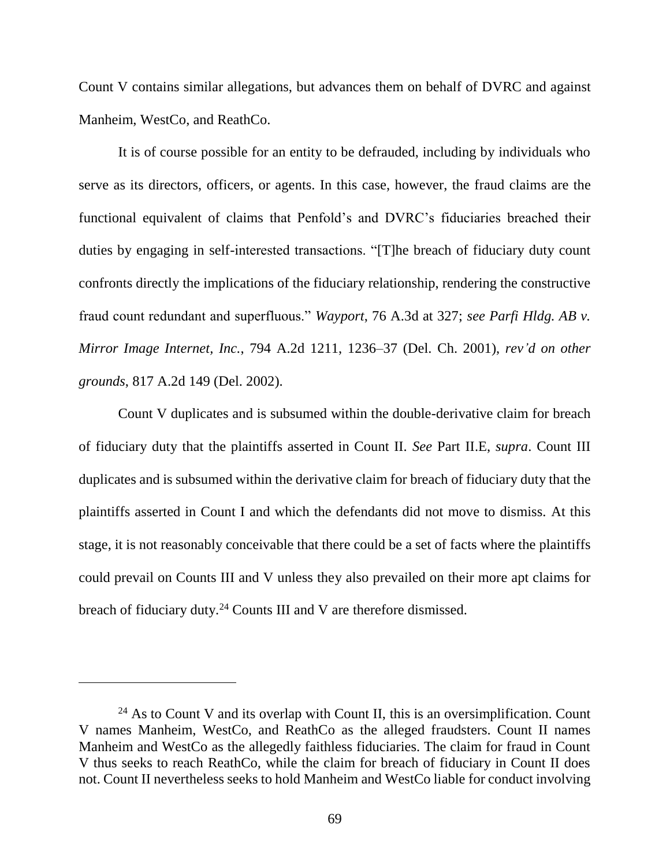Count V contains similar allegations, but advances them on behalf of DVRC and against Manheim, WestCo, and ReathCo.

It is of course possible for an entity to be defrauded, including by individuals who serve as its directors, officers, or agents. In this case, however, the fraud claims are the functional equivalent of claims that Penfold's and DVRC's fiduciaries breached their duties by engaging in self-interested transactions. "[T]he breach of fiduciary duty count confronts directly the implications of the fiduciary relationship, rendering the constructive fraud count redundant and superfluous." *Wayport*, 76 A.3d at 327; *see Parfi Hldg. AB v. Mirror Image Internet, Inc.*, 794 A.2d 1211, 1236–37 (Del. Ch. 2001), *rev'd on other grounds*, 817 A.2d 149 (Del. 2002).

Count V duplicates and is subsumed within the double-derivative claim for breach of fiduciary duty that the plaintiffs asserted in Count II. *See* Part II.E, *supra*. Count III duplicates and is subsumed within the derivative claim for breach of fiduciary duty that the plaintiffs asserted in Count I and which the defendants did not move to dismiss. At this stage, it is not reasonably conceivable that there could be a set of facts where the plaintiffs could prevail on Counts III and V unless they also prevailed on their more apt claims for breach of fiduciary duty.<sup>24</sup> Counts III and V are therefore dismissed.

 $24$  As to Count V and its overlap with Count II, this is an oversimplification. Count V names Manheim, WestCo, and ReathCo as the alleged fraudsters. Count II names Manheim and WestCo as the allegedly faithless fiduciaries. The claim for fraud in Count V thus seeks to reach ReathCo, while the claim for breach of fiduciary in Count II does not. Count II nevertheless seeks to hold Manheim and WestCo liable for conduct involving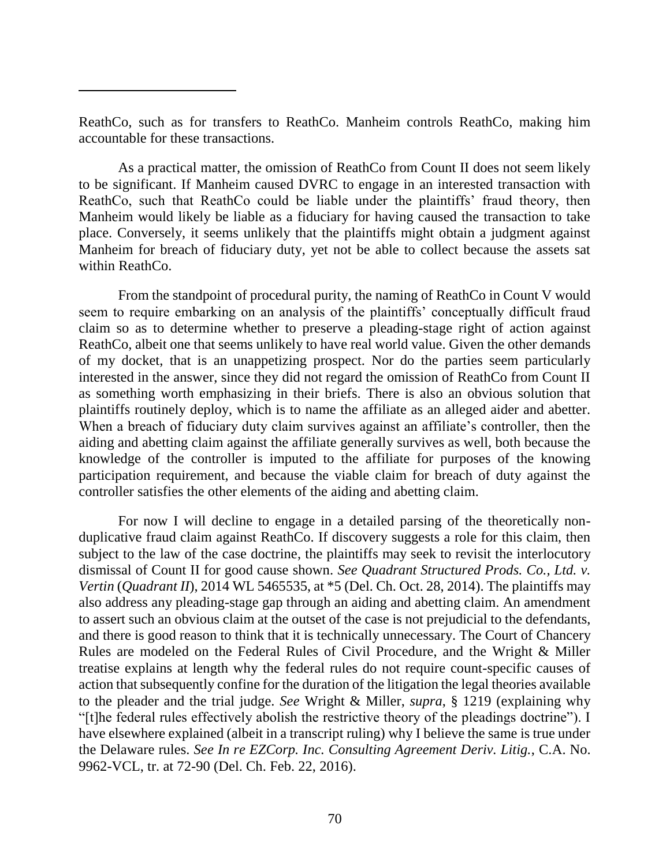ReathCo, such as for transfers to ReathCo. Manheim controls ReathCo, making him accountable for these transactions.

 $\overline{a}$ 

As a practical matter, the omission of ReathCo from Count II does not seem likely to be significant. If Manheim caused DVRC to engage in an interested transaction with ReathCo, such that ReathCo could be liable under the plaintiffs' fraud theory, then Manheim would likely be liable as a fiduciary for having caused the transaction to take place. Conversely, it seems unlikely that the plaintiffs might obtain a judgment against Manheim for breach of fiduciary duty, yet not be able to collect because the assets sat within ReathCo.

From the standpoint of procedural purity, the naming of ReathCo in Count V would seem to require embarking on an analysis of the plaintiffs' conceptually difficult fraud claim so as to determine whether to preserve a pleading-stage right of action against ReathCo, albeit one that seems unlikely to have real world value. Given the other demands of my docket, that is an unappetizing prospect. Nor do the parties seem particularly interested in the answer, since they did not regard the omission of ReathCo from Count II as something worth emphasizing in their briefs. There is also an obvious solution that plaintiffs routinely deploy, which is to name the affiliate as an alleged aider and abetter. When a breach of fiduciary duty claim survives against an affiliate's controller, then the aiding and abetting claim against the affiliate generally survives as well, both because the knowledge of the controller is imputed to the affiliate for purposes of the knowing participation requirement, and because the viable claim for breach of duty against the controller satisfies the other elements of the aiding and abetting claim.

For now I will decline to engage in a detailed parsing of the theoretically nonduplicative fraud claim against ReathCo. If discovery suggests a role for this claim, then subject to the law of the case doctrine, the plaintiffs may seek to revisit the interlocutory dismissal of Count II for good cause shown. *See Quadrant Structured Prods. Co., Ltd. v. Vertin* (*Quadrant II*), 2014 WL 5465535, at \*5 (Del. Ch. Oct. 28, 2014). The plaintiffs may also address any pleading-stage gap through an aiding and abetting claim. An amendment to assert such an obvious claim at the outset of the case is not prejudicial to the defendants, and there is good reason to think that it is technically unnecessary. The Court of Chancery Rules are modeled on the Federal Rules of Civil Procedure, and the Wright & Miller treatise explains at length why the federal rules do not require count-specific causes of action that subsequently confine for the duration of the litigation the legal theories available to the pleader and the trial judge. *See* Wright & Miller, *supra*, § 1219 (explaining why "[t]he federal rules effectively abolish the restrictive theory of the pleadings doctrine"). I have elsewhere explained (albeit in a transcript ruling) why I believe the same is true under the Delaware rules. *See In re EZCorp. Inc. Consulting Agreement Deriv. Litig.*, C.A. No. 9962-VCL, tr. at 72-90 (Del. Ch. Feb. 22, 2016).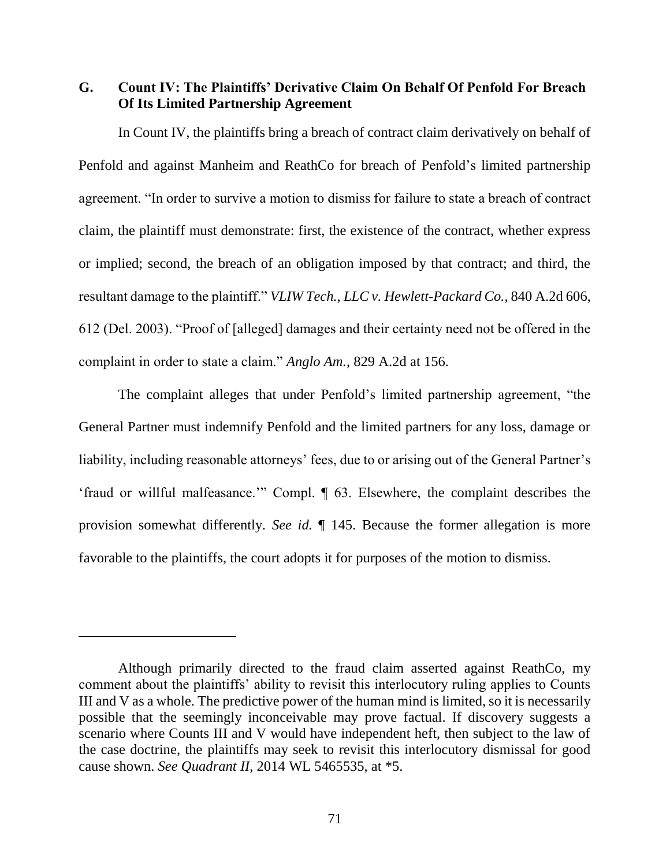**G. Count IV: The Plaintiffs' Derivative Claim On Behalf Of Penfold For Breach Of Its Limited Partnership Agreement**

In Count IV, the plaintiffs bring a breach of contract claim derivatively on behalf of Penfold and against Manheim and ReathCo for breach of Penfold's limited partnership agreement. "In order to survive a motion to dismiss for failure to state a breach of contract claim, the plaintiff must demonstrate: first, the existence of the contract, whether express or implied; second, the breach of an obligation imposed by that contract; and third, the resultant damage to the plaintiff." *VLIW Tech., LLC v. Hewlett-Packard Co.*, 840 A.2d 606, 612 (Del. 2003). "Proof of [alleged] damages and their certainty need not be offered in the complaint in order to state a claim." *Anglo Am.*, 829 A.2d at 156.

The complaint alleges that under Penfold's limited partnership agreement, "the General Partner must indemnify Penfold and the limited partners for any loss, damage or liability, including reasonable attorneys' fees, due to or arising out of the General Partner's 'fraud or willful malfeasance.'" Compl. ¶ 63. Elsewhere, the complaint describes the provision somewhat differently. *See id.* ¶ 145. Because the former allegation is more favorable to the plaintiffs, the court adopts it for purposes of the motion to dismiss.

Although primarily directed to the fraud claim asserted against ReathCo, my comment about the plaintiffs' ability to revisit this interlocutory ruling applies to Counts III and V as a whole. The predictive power of the human mind is limited, so it is necessarily possible that the seemingly inconceivable may prove factual. If discovery suggests a scenario where Counts III and V would have independent heft, then subject to the law of the case doctrine, the plaintiffs may seek to revisit this interlocutory dismissal for good cause shown. *See Quadrant II*, 2014 WL 5465535, at \*5.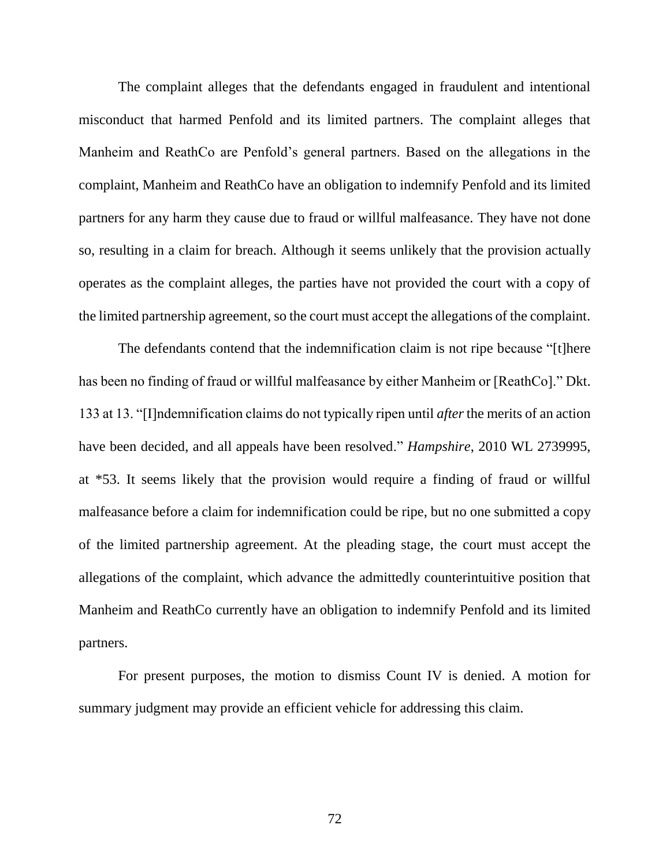The complaint alleges that the defendants engaged in fraudulent and intentional misconduct that harmed Penfold and its limited partners. The complaint alleges that Manheim and ReathCo are Penfold's general partners. Based on the allegations in the complaint, Manheim and ReathCo have an obligation to indemnify Penfold and its limited partners for any harm they cause due to fraud or willful malfeasance. They have not done so, resulting in a claim for breach. Although it seems unlikely that the provision actually operates as the complaint alleges, the parties have not provided the court with a copy of the limited partnership agreement, so the court must accept the allegations of the complaint.

The defendants contend that the indemnification claim is not ripe because "[t]here has been no finding of fraud or willful malfeasance by either Manheim or [ReathCo]." Dkt. 133 at 13. "[I]ndemnification claims do not typically ripen until *after* the merits of an action have been decided, and all appeals have been resolved." *Hampshire*, 2010 WL 2739995, at \*53. It seems likely that the provision would require a finding of fraud or willful malfeasance before a claim for indemnification could be ripe, but no one submitted a copy of the limited partnership agreement. At the pleading stage, the court must accept the allegations of the complaint, which advance the admittedly counterintuitive position that Manheim and ReathCo currently have an obligation to indemnify Penfold and its limited partners.

For present purposes, the motion to dismiss Count IV is denied. A motion for summary judgment may provide an efficient vehicle for addressing this claim.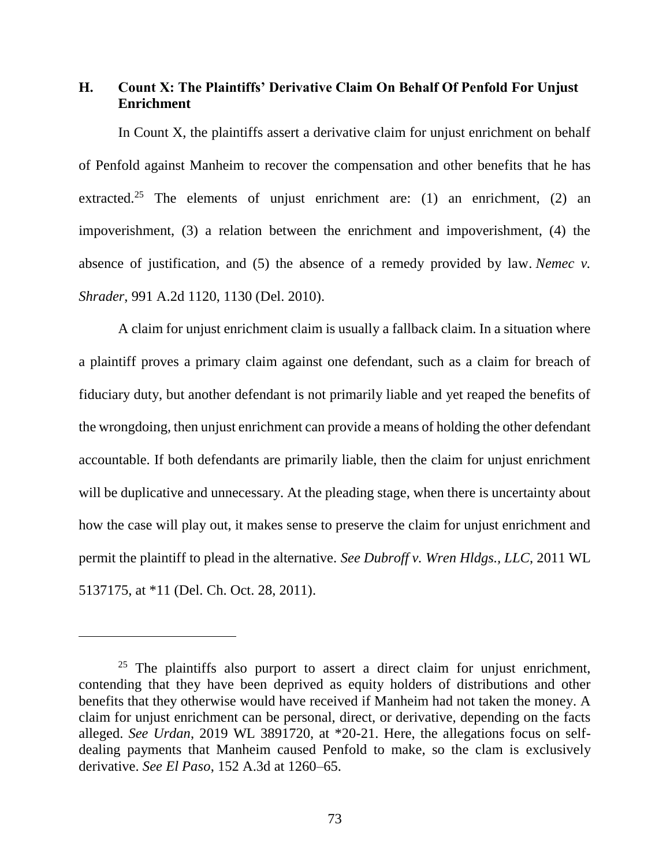## **H. Count X: The Plaintiffs' Derivative Claim On Behalf Of Penfold For Unjust Enrichment**

In Count X, the plaintiffs assert a derivative claim for unjust enrichment on behalf of Penfold against Manheim to recover the compensation and other benefits that he has extracted.<sup>25</sup> The elements of unjust enrichment are: (1) an enrichment, (2) an impoverishment, (3) a relation between the enrichment and impoverishment, (4) the absence of justification, and (5) the absence of a remedy provided by law. *Nemec v. Shrader*, 991 A.2d 1120, 1130 (Del. 2010).

A claim for unjust enrichment claim is usually a fallback claim. In a situation where a plaintiff proves a primary claim against one defendant, such as a claim for breach of fiduciary duty, but another defendant is not primarily liable and yet reaped the benefits of the wrongdoing, then unjust enrichment can provide a means of holding the other defendant accountable. If both defendants are primarily liable, then the claim for unjust enrichment will be duplicative and unnecessary. At the pleading stage, when there is uncertainty about how the case will play out, it makes sense to preserve the claim for unjust enrichment and permit the plaintiff to plead in the alternative. *See Dubroff v. Wren Hldgs., LLC*, 2011 WL 5137175, at \*11 (Del. Ch. Oct. 28, 2011).

 $\overline{a}$ 

 $25$  The plaintiffs also purport to assert a direct claim for unjust enrichment, contending that they have been deprived as equity holders of distributions and other benefits that they otherwise would have received if Manheim had not taken the money. A claim for unjust enrichment can be personal, direct, or derivative, depending on the facts alleged. *See Urdan*, 2019 WL 3891720, at \*20-21. Here, the allegations focus on selfdealing payments that Manheim caused Penfold to make, so the clam is exclusively derivative. *See El Paso*, 152 A.3d at 1260–65.